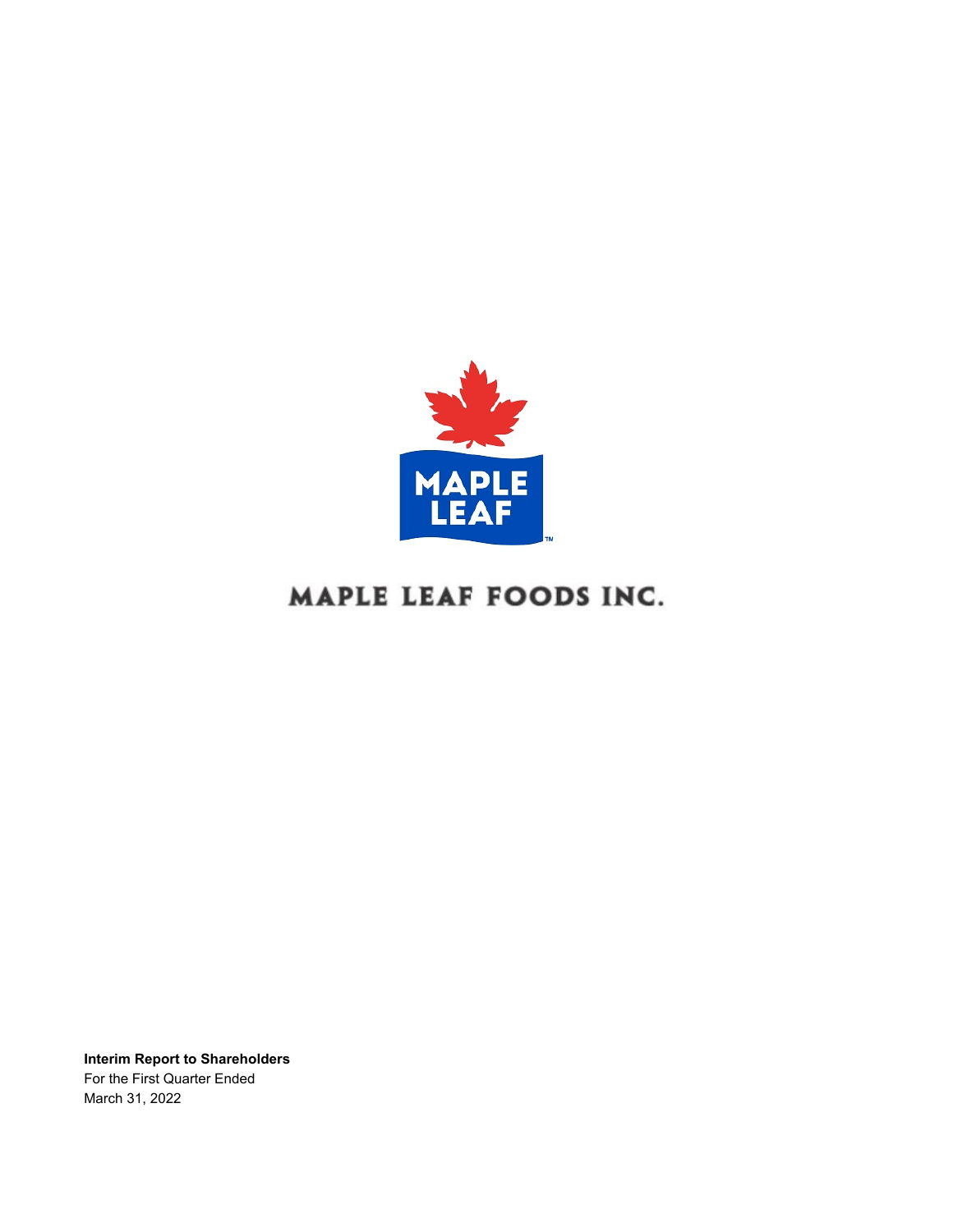

# MAPLE LEAF FOODS INC.

**Interim Report to Shareholders** For the First Quarter Ended March 31, 2022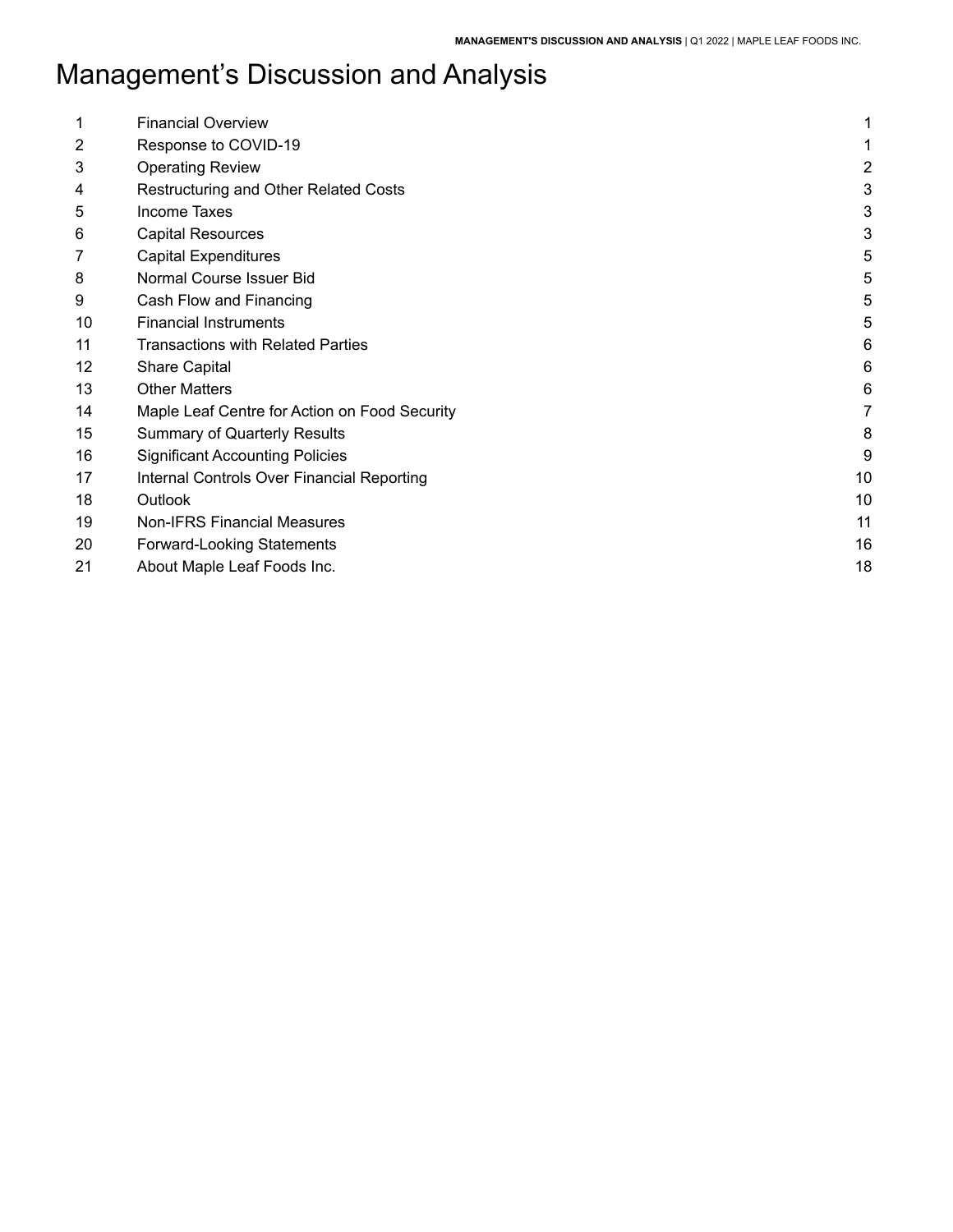| 1              | <b>Financial Overview</b>                     | 1  |
|----------------|-----------------------------------------------|----|
| $\overline{2}$ | Response to COVID-19                          |    |
|                |                                               |    |
| 3              | <b>Operating Review</b>                       | 2  |
| 4              | Restructuring and Other Related Costs         | 3  |
| 5              | Income Taxes                                  | 3  |
| 6              | <b>Capital Resources</b>                      | 3  |
| 7              | <b>Capital Expenditures</b>                   | 5  |
| 8              | Normal Course Issuer Bid                      | 5  |
| 9              | Cash Flow and Financing                       | 5  |
| 10             | <b>Financial Instruments</b>                  | 5  |
| 11             | <b>Transactions with Related Parties</b>      | 6  |
| 12             | <b>Share Capital</b>                          | 6  |
| 13             | <b>Other Matters</b>                          | 6  |
| 14             | Maple Leaf Centre for Action on Food Security | 7  |
| 15             | <b>Summary of Quarterly Results</b>           | 8  |
| 16             | <b>Significant Accounting Policies</b>        | 9  |
| 17             | Internal Controls Over Financial Reporting    | 10 |
| 18             | Outlook                                       | 10 |
| 19             | <b>Non-IFRS Financial Measures</b>            | 11 |
| 20             | <b>Forward-Looking Statements</b>             | 16 |
| 21             | About Maple Leaf Foods Inc.                   | 18 |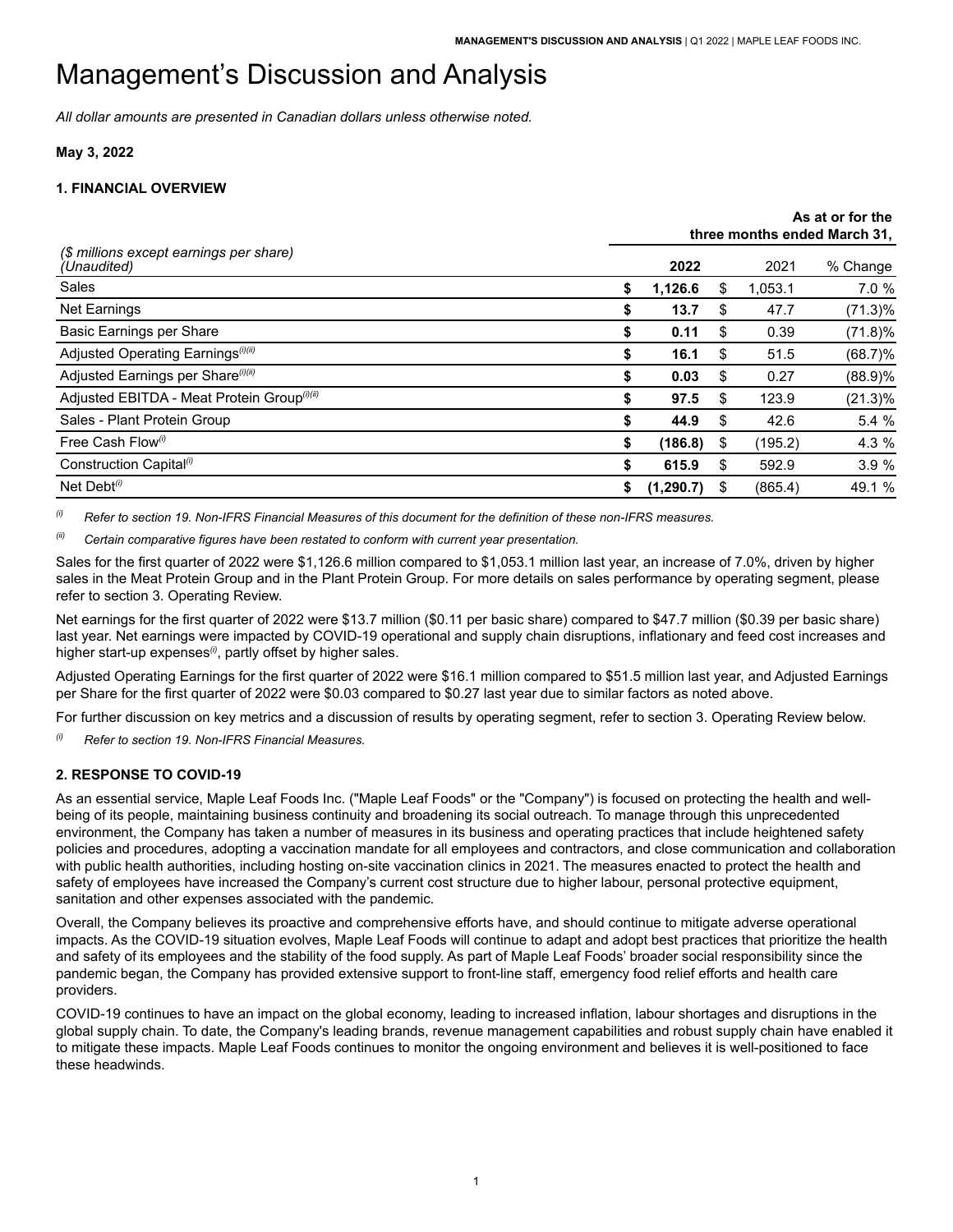*All dollar amounts are presented in Canadian dollars unless otherwise noted.*

### **May 3, 2022**

## <span id="page-2-0"></span>**1. FINANCIAL OVERVIEW**

|                                                         |                  |    |         | As at or for the<br>three months ended March 31, |
|---------------------------------------------------------|------------------|----|---------|--------------------------------------------------|
| (\$ millions except earnings per share)<br>(Unaudited)  | 2022             |    | 2021    | % Change                                         |
| Sales                                                   | \$<br>1,126.6    | S  | 1,053.1 | 7.0 %                                            |
| <b>Net Earnings</b>                                     | \$<br>13.7       | S  | 47.7    | $(71.3)\%$                                       |
| Basic Earnings per Share                                | \$<br>0.11       | S  | 0.39    | $(71.8)\%$                                       |
| Adjusted Operating Earnings <sup>(i)(ii)</sup>          | \$<br>16.1       | S  | 51.5    | $(68.7)\%$                                       |
| Adjusted Earnings per Share <sup>(i)(ii)</sup>          | \$<br>0.03       | S  | 0.27    | (88.9)%                                          |
| Adjusted EBITDA - Meat Protein Group <sup>(i)(ii)</sup> | \$<br>97.5       | \$ | 123.9   | $(21.3)\%$                                       |
| Sales - Plant Protein Group                             | \$<br>44.9       | S  | 42.6    | 5.4 %                                            |
| Free Cash Flow <sup>(i)</sup>                           | \$<br>(186.8)    | \$ | (195.2) | 4.3 %                                            |
| Construction Capital <sup>(i)</sup>                     | \$<br>615.9      | S  | 592.9   | 3.9%                                             |
| Net Debt $(0)$                                          | \$<br>(1, 290.7) | S  | (865.4) | 49.1 %                                           |

 $^{(i)}$  Refer to section 19. Non-IFRS Financial Measures of this document for the definition of these non-IFRS measures.

*(ii) Certain comparative figures have been restated to conform with current year presentation.*

 Sales for the first quarter of 2022 were \$1,126.6 million compared to \$1,053.1 million last year, an increase of 7.0%, driven by higher sales in the Meat Protein Group and in the Plant Protein Group. For more details on sales performance by operating segment, please refer to section 3. Operating Review.

 Net earnings for the first quarter of 2022 were \$13.7 million (\$0.11 per basic share) compared to \$47.7 million (\$0.39 per basic share) last year. Net earnings were impacted by COVID-19 operational and supply chain disruptions, inflationary and feed cost increases and higher start-up expenses<sup>(i)</sup>, partly offset by higher sales.

 Adjusted Operating Earnings for the first quarter of 2022 were \$16.1 million compared to \$51.5 million last year, and Adjusted Earnings per Share for the first quarter of 2022 were \$0.03 compared to \$0.27 last year due to similar factors as noted above.

For further discussion on key metrics and a discussion of results by operating segment, refer to section 3. Operating Review below.

*(i) Refer to section 19. Non-IFRS Financial Measures.*

## <span id="page-2-1"></span>**2. RESPONSE TO COVID-19**

As an essential service, Maple Leaf Foods Inc. ("Maple Leaf Foods" or the "Company") is focused on protecting the health and wellbeing of its people, maintaining business continuity and broadening its social outreach. To manage through this unprecedented environment, the Company has taken a number of measures in its business and operating practices that include heightened safety policies and procedures, adopting a vaccination mandate for all employees and contractors, and close communication and collaboration with public health authorities, including hosting on-site vaccination clinics in 2021. The measures enacted to protect the health and safety of employees have increased the Company's current cost structure due to higher labour, personal protective equipment, sanitation and other expenses associated with the pandemic.

 Overall, the Company believes its proactive and comprehensive efforts have, and should continue to mitigate adverse operational impacts. As the COVID-19 situation evolves, Maple Leaf Foods will continue to adapt and adopt best practices that prioritize the health and safety of its employees and the stability of the food supply. As part of Maple Leaf Foods' broader social responsibility since the pandemic began, the Company has provided extensive support to front-line staff, emergency food relief efforts and health care providers.

 COVID-19 continues to have an impact on the global economy, leading to increased inflation, labour shortages and disruptions in the global supply chain. To date, the Company's leading brands, revenue management capabilities and robust supply chain have enabled it to mitigate these impacts. Maple Leaf Foods continues to monitor the ongoing environment and believes it is well-positioned to face these headwinds.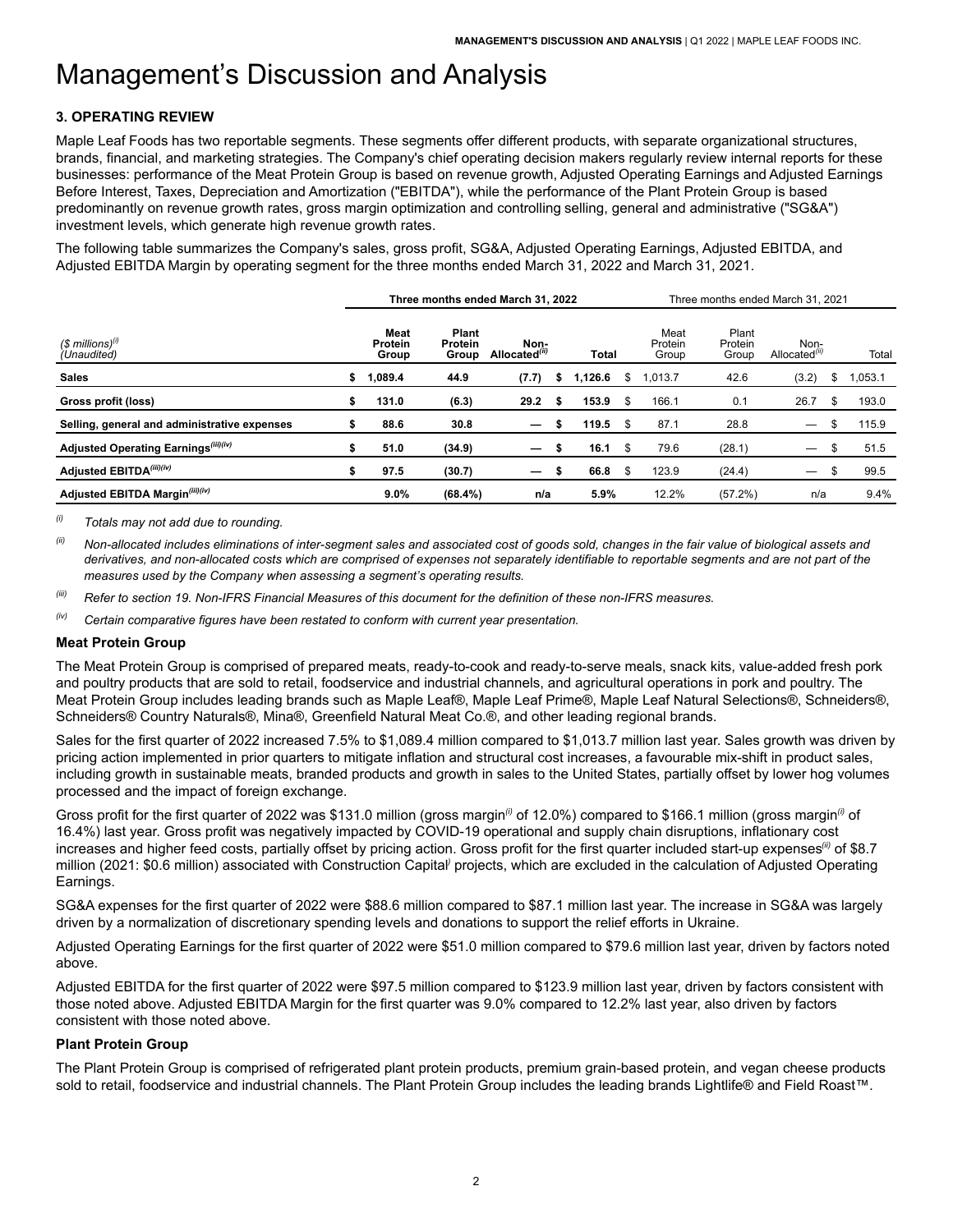## <span id="page-3-0"></span>**3. OPERATING REVIEW**

 Maple Leaf Foods has two reportable segments. These segments offer different products, with separate organizational structures, brands, financial, and marketing strategies. The Company's chief operating decision makers regularly review internal reports for these businesses: performance of the Meat Protein Group is based on revenue growth, Adjusted Operating Earnings and Adjusted Earnings Before Interest, Taxes, Depreciation and Amortization ("EBITDA"), while the performance of the Plant Protein Group is based predominantly on revenue growth rates, gross margin optimization and controlling selling, general and administrative ("SG&A") investment levels, which generate high revenue growth rates.

 The following table summarizes the Company's sales, gross profit, SG&A, Adjusted Operating Earnings, Adjusted EBITDA, and Adjusted EBITDA Margin by operating segment for the three months ended March 31, 2022 and March 31, 2021.

|                                                  |    |                                 |                           | Three months ended March 31, 2022 |     | Three months ended March 31, 2021 |      |                          |                           |                                   |    |         |
|--------------------------------------------------|----|---------------------------------|---------------------------|-----------------------------------|-----|-----------------------------------|------|--------------------------|---------------------------|-----------------------------------|----|---------|
| $$$ millions) <sup>(i)</sup><br>(Unaudited)      |    | Meat<br><b>Protein</b><br>Group | Plant<br>Protein<br>Group | Non-<br>Allocated <sup>(ii)</sup> |     | <b>Total</b>                      |      | Meat<br>Protein<br>Group | Plant<br>Protein<br>Group | Non-<br>Allocated <sup>(11)</sup> |    | Total   |
| <b>Sales</b>                                     | \$ | 1.089.4                         | 44.9                      | (7.7)                             | S   | 1.126.6                           | S    | 1,013.7                  | 42.6                      | (3.2)                             | \$ | 1,053.1 |
| Gross profit (loss)                              | \$ | 131.0                           | (6.3)                     | 29.2                              |     | 153.9                             | \$   | 166.1                    | 0.1                       | 26.7                              | £. | 193.0   |
| Selling, general and administrative expenses     |    | 88.6                            | 30.8                      | $\overline{\phantom{m}}$          |     | 119.5                             | - \$ | 87.1                     | 28.8                      | $\overline{\phantom{0}}$          |    | 115.9   |
| Adjusted Operating Earnings <sup>(iii)(iv)</sup> | \$ | 51.0                            | (34.9)                    | $\overline{\phantom{0}}$          | \$  | 16.1                              | \$   | 79.6                     | (28.1)                    | $\overline{\phantom{0}}$          | ъ  | 51.5    |
| Adjusted EBITDA(iii)(iv)                         | \$ | 97.5                            | (30.7)                    |                                   | -56 | 66.8                              | \$   | 123.9                    | (24.4)                    | —                                 |    | 99.5    |
| Adjusted EBITDA Margin <sup>(iii)(iv)</sup>      |    | $9.0\%$                         | (68.4%)                   | n/a                               |     | 5.9%                              |      | 12.2%                    | (57.2%)                   | n/a                               |    | 9.4%    |

*(i) Totals may not add due to rounding.*

(ii) Non-allocated includes eliminations of inter-segment sales and associated cost of goods sold, changes in the fair value of biological assets and derivatives, and non-allocated costs which are comprised of expenses not separately identifiable to reportable segments and are not part of the *measures used by the Company when assessing a segment's operating results.*

(iii) Refer to section 19. Non-IFRS Financial Measures of this document for the definition of these non-IFRS measures.

*(iv) Certain comparative figures have been restated to conform with current year presentation.*

#### **Meat Protein Group**

 The Meat Protein Group is comprised of prepared meats, ready-to-cook and ready-to-serve meals, snack kits, value-added fresh pork and poultry products that are sold to retail, foodservice and industrial channels, and agricultural operations in pork and poultry. The Meat Protein Group includes leading brands such as Maple Leaf®, Maple Leaf Prime®, Maple Leaf Natural Selections®, Schneiders®, Schneiders® Country Naturals®, Mina®, Greenfield Natural Meat Co.®, and other leading regional brands.

 Sales for the first quarter of 2022 increased 7.5% to \$1,089.4 million compared to \$1,013.7 million last year. Sales growth was driven by pricing action implemented in prior quarters to mitigate inflation and structural cost increases, a favourable mix-shift in product sales, including growth in sustainable meats, branded products and growth in sales to the United States, partially offset by lower hog volumes processed and the impact of foreign exchange.

 Gross profit for the first quarter of 2022 was \$131.0 million (gross margin*(i)* of 12.0%) compared to \$166.1 million (gross margin*(i)* of 16.4%) last year. Gross profit was negatively impacted by COVID-19 operational and supply chain disruptions, inflationary cost increases and higher feed costs, partially offset by pricing action. Gross profit for the first quarter included start-up expenses*(ii)* of \$8.7 million (2021: \$0.6 million) associated with Construction Capital*)* projects, which are excluded in the calculation of Adjusted Operating Earnings.

 SG&A expenses for the first quarter of 2022 were \$88.6 million compared to \$87.1 million last year. The increase in SG&A was largely driven by a normalization of discretionary spending levels and donations to support the relief efforts in Ukraine.

 Adjusted Operating Earnings for the first quarter of 2022 were \$51.0 million compared to \$79.6 million last year, driven by factors noted above.

 those noted above. Adjusted EBITDA Margin for the first quarter was 9.0% compared to 12.2% last year, also driven by factors consistent with those noted above. Adjusted EBITDA for the first quarter of 2022 were \$97.5 million compared to \$123.9 million last year, driven by factors consistent with

### **Plant Protein Group**

 The Plant Protein Group is comprised of refrigerated plant protein products, premium grain-based protein, and vegan cheese products sold to retail, foodservice and industrial channels. The Plant Protein Group includes the leading brands Lightlife® and Field Roast™.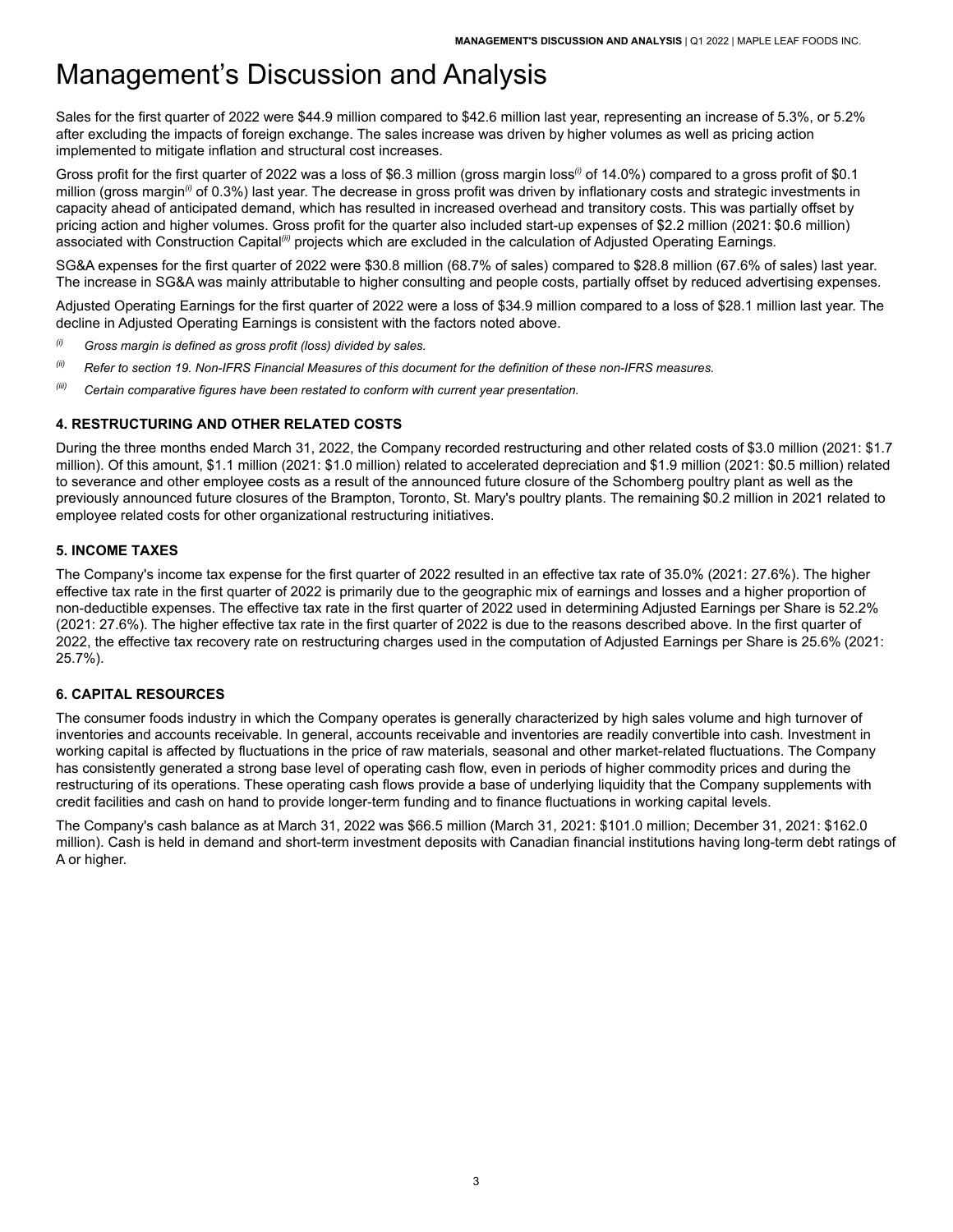Sales for the first quarter of 2022 were \$44.9 million compared to \$42.6 million last year, representing an increase of 5.3%, or 5.2% after excluding the impacts of foreign exchange. The sales increase was driven by higher volumes as well as pricing action implemented to mitigate inflation and structural cost increases.

Gross profit for the first quarter of 2022 was a loss of \$6.3 million (gross margin loss<sup>®</sup> of 14.0%) compared to a gross profit of \$0.1 million (gross margin*(i)* of 0.3%) last year. The decrease in gross profit was driven by inflationary costs and strategic investments in capacity ahead of anticipated demand, which has resulted in increased overhead and transitory costs. This was partially offset by pricing action and higher volumes. Gross profit for the quarter also included start-up expenses of \$2.2 million (2021: \$0.6 million) associated with Construction Capital*(ii)* projects which are excluded in the calculation of Adjusted Operating Earnings.

 SG&A expenses for the first quarter of 2022 were \$30.8 million (68.7% of sales) compared to \$28.8 million (67.6% of sales) last year. The increase in SG&A was mainly attributable to higher consulting and people costs, partially offset by reduced advertising expenses.

 Adjusted Operating Earnings for the first quarter of 2022 were a loss of \$34.9 million compared to a loss of \$28.1 million last year. The decline in Adjusted Operating Earnings is consistent with the factors noted above.

- *(i) Gross margin is defined as gross profit (loss) divided by sales.*
- (ii) Refer to section 19. Non-IFRS Financial Measures of this document for the definition of these non-IFRS measures.
- *(iii) Certain comparative figures have been restated to conform with current year presentation.*

## <span id="page-4-0"></span>**4. RESTRUCTURING AND OTHER RELATED COSTS**

 During the three months ended March 31, 2022, the Company recorded restructuring and other related costs of \$3.0 million (2021: \$1.7 million). Of this amount, \$1.1 million (2021: \$1.0 million) related to accelerated depreciation and \$1.9 million (2021: \$0.5 million) related to severance and other employee costs as a result of the announced future closure of the Schomberg poultry plant as well as the previously announced future closures of the Brampton, Toronto, St. Mary's poultry plants. The remaining \$0.2 million in 2021 related to employee related costs for other organizational restructuring initiatives.

### <span id="page-4-1"></span>**5. INCOME TAXES**

 The Company's income tax expense for the first quarter of 2022 resulted in an effective tax rate of 35.0% (2021: 27.6%). The higher effective tax rate in the first quarter of 2022 is primarily due to the geographic mix of earnings and losses and a higher proportion of non-deductible expenses. The effective tax rate in the first quarter of 2022 used in determining Adjusted Earnings per Share is 52.2% (2021: 27.6%). The higher effective tax rate in the first quarter of 2022 is due to the reasons described above. In the first quarter of 2022, the effective tax recovery rate on restructuring charges used in the computation of Adjusted Earnings per Share is 25.6% (2021: 25.7%).

## <span id="page-4-2"></span>**6. CAPITAL RESOURCES**

 The consumer foods industry in which the Company operates is generally characterized by high sales volume and high turnover of inventories and accounts receivable. In general, accounts receivable and inventories are readily convertible into cash. Investment in working capital is affected by fluctuations in the price of raw materials, seasonal and other market-related fluctuations. The Company has consistently generated a strong base level of operating cash flow, even in periods of higher commodity prices and during the restructuring of its operations. These operating cash flows provide a base of underlying liquidity that the Company supplements with credit facilities and cash on hand to provide longer-term funding and to finance fluctuations in working capital levels.

 The Company's cash balance as at March 31, 2022 was \$66.5 million (March 31, 2021: \$101.0 million; December 31, 2021: \$162.0 million). Cash is held in demand and short-term investment deposits with Canadian financial institutions having long-term debt ratings of A or higher.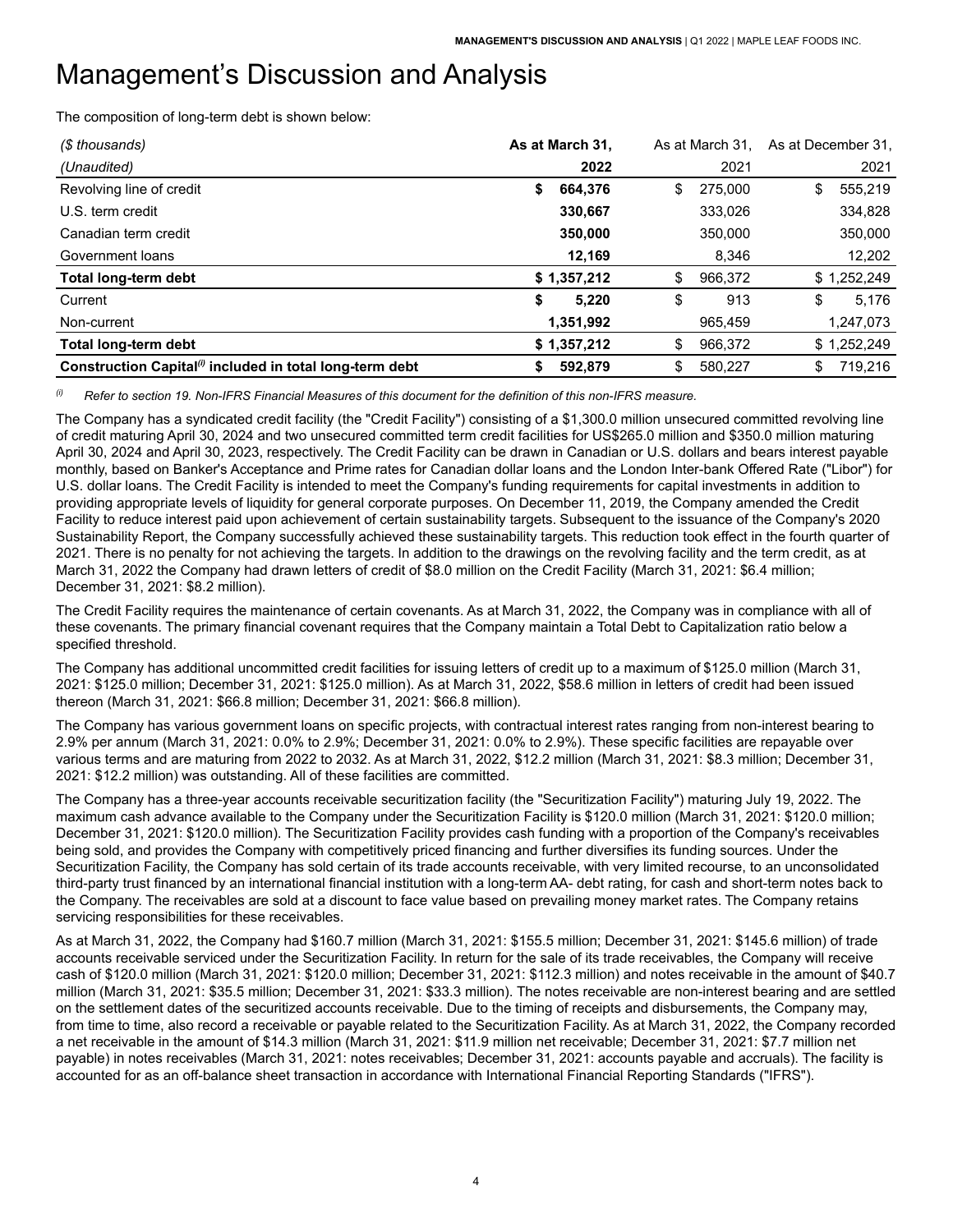The composition of long-term debt is shown below:

| (\$ thousands)                                                       | As at March 31, | As at March 31. | As at December 31. |             |
|----------------------------------------------------------------------|-----------------|-----------------|--------------------|-------------|
| (Unaudited)                                                          | 2022            | 2021            |                    | 2021        |
| Revolving line of credit                                             | 664.376<br>\$   | \$<br>275,000   | \$                 | 555,219     |
| U.S. term credit                                                     | 330,667         | 333,026         |                    | 334,828     |
| Canadian term credit                                                 | 350,000         | 350,000         |                    | 350,000     |
| Government loans                                                     | 12,169          | 8,346           |                    | 12,202      |
| <b>Total long-term debt</b>                                          | \$1,357,212     | \$<br>966,372   |                    | \$1,252,249 |
| Current                                                              | \$<br>5.220     | \$<br>913       | \$                 | 5.176       |
| Non-current                                                          | 1,351,992       | 965,459         |                    | 1,247,073   |
| <b>Total long-term debt</b>                                          | \$1,357,212     | \$<br>966,372   |                    | \$1,252,249 |
| Construction Capital <sup>(i)</sup> included in total long-term debt | 592.879<br>S    | \$<br>580.227   | \$                 | 719.216     |

 $^{(i)}$  Refer to section 19. Non-IFRS Financial Measures of this document for the definition of this non-IFRS measure.

The Company has a syndicated credit facility (the "Credit Facility") consisting of a \$1,300.0 million unsecured committed revolving line of credit maturing April 30, 2024 and two unsecured committed term credit facilities for US\$265.0 million and \$350.0 million maturing April 30, 2024 and April 30, 2023, respectively. The Credit Facility can be drawn in Canadian or U.S. dollars and bears interest payable monthly, based on Banker's Acceptance and Prime rates for Canadian dollar loans and the London Inter-bank Offered Rate ("Libor") for U.S. dollar loans. The Credit Facility is intended to meet the Company's funding requirements for capital investments in addition to providing appropriate levels of liquidity for general corporate purposes. On December 11, 2019, the Company amended the Credit Facility to reduce interest paid upon achievement of certain sustainability targets. Subsequent to the issuance of the Company's 2020 Sustainability Report, the Company successfully achieved these sustainability targets. This reduction took effect in the fourth quarter of 2021. There is no penalty for not achieving the targets. In addition to the drawings on the revolving facility and the term credit, as at March 31, 2022 the Company had drawn letters of credit of \$8.0 million on the Credit Facility (March 31, 2021: \$6.4 million; December 31, 2021: \$8.2 million).

 The Credit Facility requires the maintenance of certain covenants. As at March 31, 2022, the Company was in compliance with all of these covenants. The primary financial covenant requires that the Company maintain a Total Debt to Capitalization ratio below a specified threshold.

 The Company has additional uncommitted credit facilities for issuing letters of credit up to a maximum of \$125.0 million (March 31, 2021: \$125.0 million; December 31, 2021: \$125.0 million). As at March 31, 2022, \$58.6 million in letters of credit had been issued thereon (March 31, 2021: \$66.8 million; December 31, 2021: \$66.8 million).

 The Company has various government loans on specific projects, with contractual interest rates ranging from non-interest bearing to 2.9% per annum (March 31, 2021: 0.0% to 2.9%; December 31, 2021: 0.0% to 2.9%). These specific facilities are repayable over various terms and are maturing from 2022 to 2032. As at March 31, 2022, \$12.2 million (March 31, 2021: \$8.3 million; December 31, 2021: \$12.2 million) was outstanding. All of these facilities are committed.

 The Company has a three-year accounts receivable securitization facility (the "Securitization Facility") maturing July 19, 2022. The maximum cash advance available to the Company under the Securitization Facility is \$120.0 million (March 31, 2021: \$120.0 million; December 31, 2021: \$120.0 million). The Securitization Facility provides cash funding with a proportion of the Company's receivables being sold, and provides the Company with competitively priced financing and further diversifies its funding sources. Under the Securitization Facility, the Company has sold certain of its trade accounts receivable, with very limited recourse, to an unconsolidated third-party trust financed by an international financial institution with a long-term AA- debt rating, for cash and short-term notes back to the Company. The receivables are sold at a discount to face value based on prevailing money market rates. The Company retains servicing responsibilities for these receivables.

 As at March 31, 2022, the Company had \$160.7 million (March 31, 2021: \$155.5 million; December 31, 2021: \$145.6 million) of trade accounts receivable serviced under the Securitization Facility. In return for the sale of its trade receivables, the Company will receive cash of \$120.0 million (March 31, 2021: \$120.0 million; December 31, 2021: \$112.3 million) and notes receivable in the amount of \$40.7 million (March 31, 2021: \$35.5 million; December 31, 2021: \$33.3 million). The notes receivable are non-interest bearing and are settled on the settlement dates of the securitized accounts receivable. Due to the timing of receipts and disbursements, the Company may, from time to time, also record a receivable or payable related to the Securitization Facility. As at March 31, 2022, the Company recorded a net receivable in the amount of \$14.3 million (March 31, 2021: \$11.9 million net receivable; December 31, 2021: \$7.7 million net payable) in notes receivables (March 31, 2021: notes receivables; December 31, 2021: accounts payable and accruals). The facility is accounted for as an off-balance sheet transaction in accordance with International Financial Reporting Standards ("IFRS").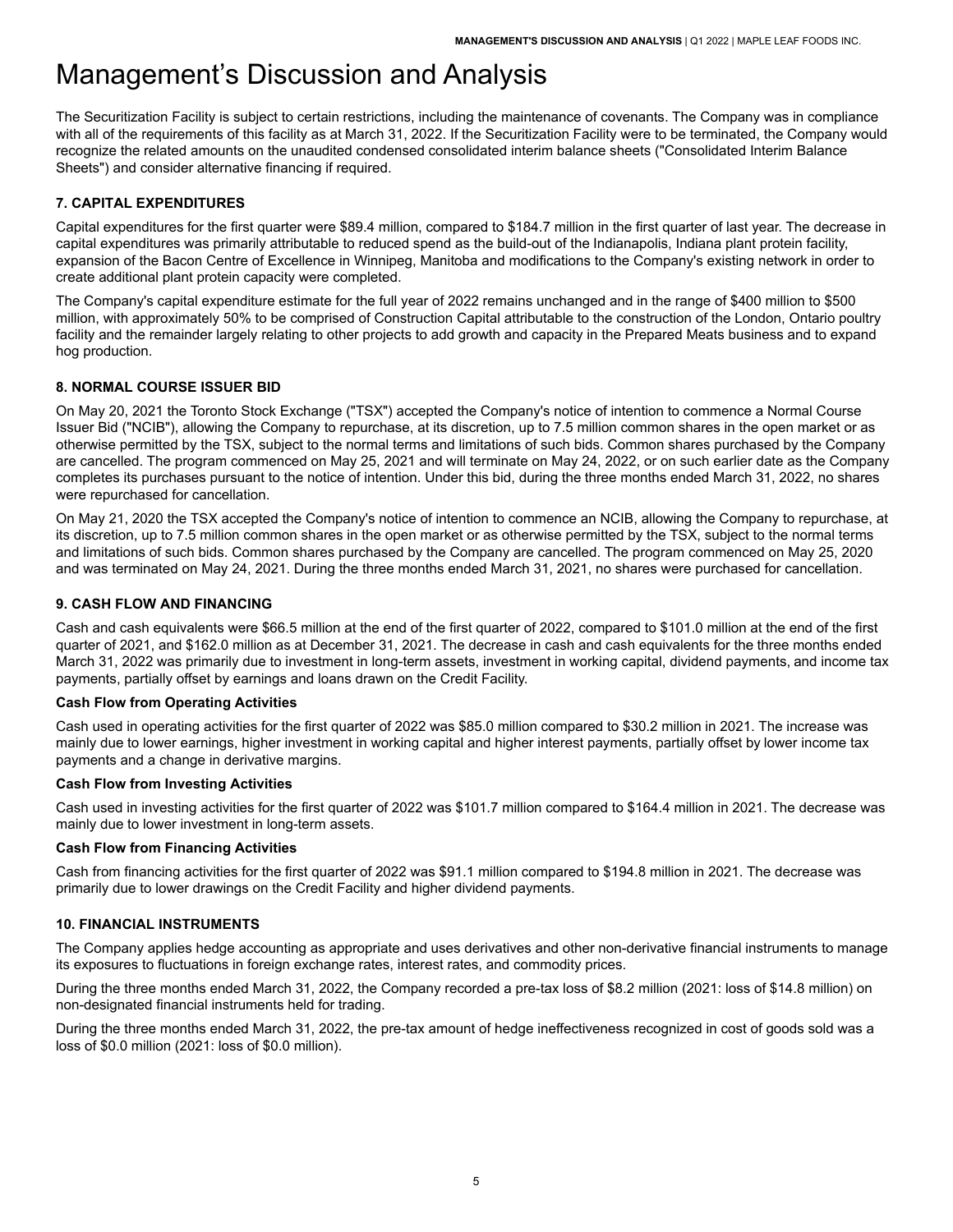The Securitization Facility is subject to certain restrictions, including the maintenance of covenants. The Company was in compliance with all of the requirements of this facility as at March 31, 2022. If the Securitization Facility were to be terminated, the Company would recognize the related amounts on the unaudited condensed consolidated interim balance sheets ("Consolidated Interim Balance Sheets") and consider alternative financing if required.

# <span id="page-6-0"></span>**7. CAPITAL EXPENDITURES**

 Capital expenditures for the first quarter were \$89.4 million, compared to \$184.7 million in the first quarter of last year. The decrease in capital expenditures was primarily attributable to reduced spend as the build-out of the Indianapolis, Indiana plant protein facility, expansion of the Bacon Centre of Excellence in Winnipeg, Manitoba and modifications to the Company's existing network in order to create additional plant protein capacity were completed.

 The Company's capital expenditure estimate for the full year of 2022 remains unchanged and in the range of \$400 million to \$500 million, with approximately 50% to be comprised of Construction Capital attributable to the construction of the London, Ontario poultry facility and the remainder largely relating to other projects to add growth and capacity in the Prepared Meats business and to expand hog production.

## <span id="page-6-1"></span>**8. NORMAL COURSE ISSUER BID**

 On May 20, 2021 the Toronto Stock Exchange ("TSX") accepted the Company's notice of intention to commence a Normal Course Issuer Bid ("NCIB"), allowing the Company to repurchase, at its discretion, up to 7.5 million common shares in the open market or as otherwise permitted by the TSX, subject to the normal terms and limitations of such bids. Common shares purchased by the Company are cancelled. The program commenced on May 25, 2021 and will terminate on May 24, 2022, or on such earlier date as the Company completes its purchases pursuant to the notice of intention. Under this bid, during the three months ended March 31, 2022, no shares were repurchased for cancellation.

 On May 21, 2020 the TSX accepted the Company's notice of intention to commence an NCIB, allowing the Company to repurchase, at its discretion, up to 7.5 million common shares in the open market or as otherwise permitted by the TSX, subject to the normal terms and limitations of such bids. Common shares purchased by the Company are cancelled. The program commenced on May 25, 2020 and was terminated on May 24, 2021. During the three months ended March 31, 2021, no shares were purchased for cancellation.

## <span id="page-6-2"></span>**9. CASH FLOW AND FINANCING**

 Cash and cash equivalents were \$66.5 million at the end of the first quarter of 2022, compared to \$101.0 million at the end of the first quarter of 2021, and \$162.0 million as at December 31, 2021. The decrease in cash and cash equivalents for the three months ended March 31, 2022 was primarily due to investment in long-term assets, investment in working capital, dividend payments, and income tax payments, partially offset by earnings and loans drawn on the Credit Facility.

### **Cash Flow from Operating Activities**

 Cash used in operating activities for the first quarter of 2022 was \$85.0 million compared to \$30.2 million in 2021. The increase was mainly due to lower earnings, higher investment in working capital and higher interest payments, partially offset by lower income tax payments and a change in derivative margins.

#### **Cash Flow from Investing Activities**

 mainly due to lower investment in long-term assets. Cash used in investing activities for the first quarter of 2022 was \$101.7 million compared to \$164.4 million in 2021. The decrease was

#### **Cash Flow from Financing Activities**

 Cash from financing activities for the first quarter of 2022 was \$91.1 million compared to \$194.8 million in 2021. The decrease was primarily due to lower drawings on the Credit Facility and higher dividend payments.

#### <span id="page-6-3"></span>**10. FINANCIAL INSTRUMENTS**

 The Company applies hedge accounting as appropriate and uses derivatives and other non-derivative financial instruments to manage its exposures to fluctuations in foreign exchange rates, interest rates, and commodity prices.

 During the three months ended March 31, 2022, the Company recorded a pre-tax loss of \$8.2 million (2021: loss of \$14.8 million) on non-designated financial instruments held for trading.

 During the three months ended March 31, 2022, the pre-tax amount of hedge ineffectiveness recognized in cost of goods sold was a loss of \$0.0 million (2021: loss of \$0.0 million).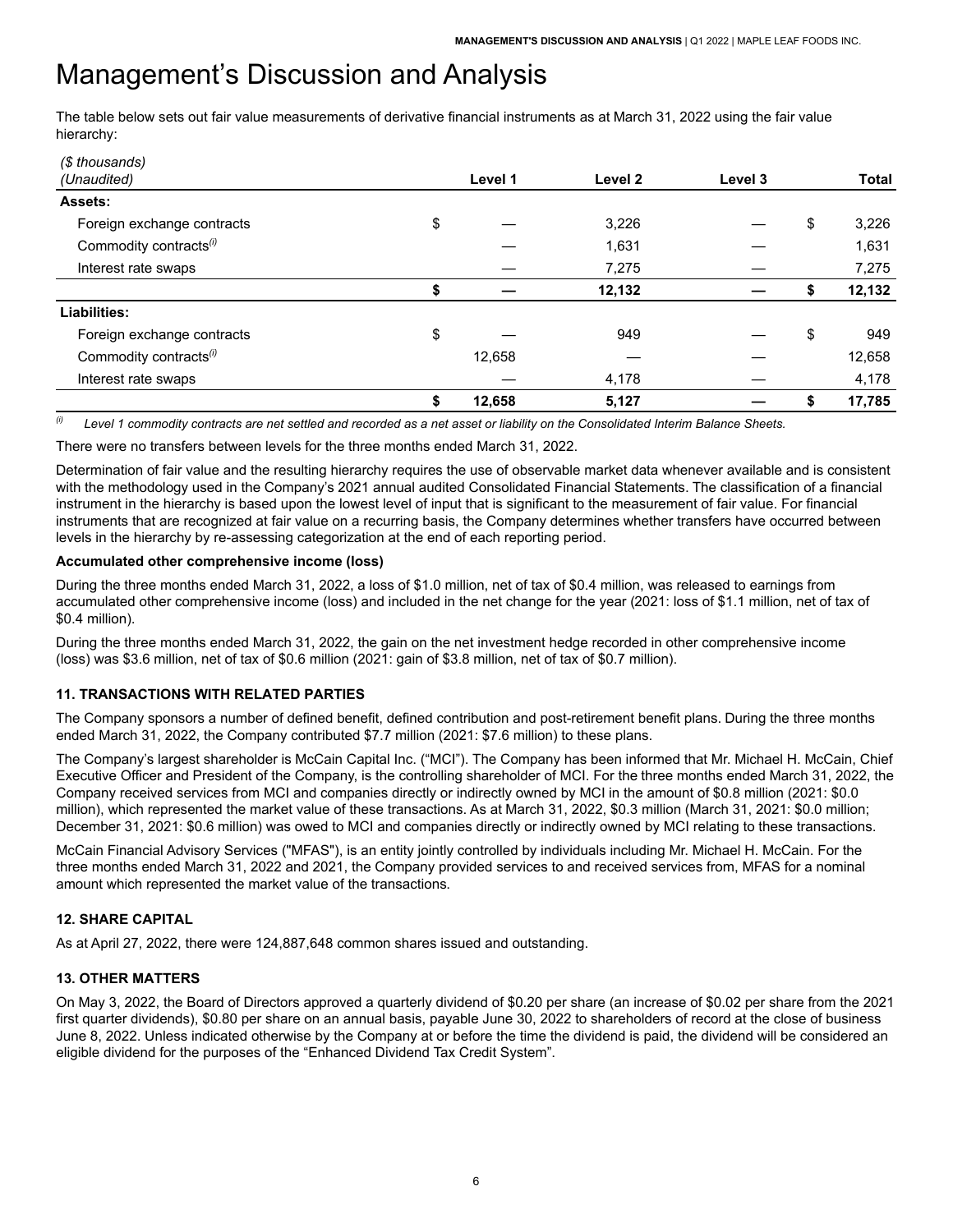The table below sets out fair value measurements of derivative financial instruments as at March 31, 2022 using the fair value hierarchy:

| (\$ thousands)                     |              |         |         |             |
|------------------------------------|--------------|---------|---------|-------------|
| (Unaudited)                        | Level 1      | Level 2 | Level 3 | Total       |
| <b>Assets:</b>                     |              |         |         |             |
| Foreign exchange contracts         | \$           | 3,226   |         | \$<br>3,226 |
| Commodity contracts <sup>(i)</sup> |              | 1,631   |         | 1,631       |
| Interest rate swaps                |              | 7,275   |         | 7,275       |
|                                    | \$           | 12,132  |         | 12,132      |
| Liabilities:                       |              |         |         |             |
| Foreign exchange contracts         | \$           | 949     |         | \$<br>949   |
| Commodity contracts <sup>(i)</sup> | 12,658       |         |         | 12,658      |
| Interest rate swaps                |              | 4,178   |         | 4,178       |
|                                    | \$<br>12,658 | 5,127   |         | 17,785      |

 $\theta$  Level 1 commodity contracts are net settled and recorded as a net asset or liability on the Consolidated Interim Balance Sheets.

There were no transfers between levels for the three months ended March 31, 2022.

 Determination of fair value and the resulting hierarchy requires the use of observable market data whenever available and is consistent with the methodology used in the Company's 2021 annual audited Consolidated Financial Statements. The classification of a financial instrument in the hierarchy is based upon the lowest level of input that is significant to the measurement of fair value. For financial instruments that are recognized at fair value on a recurring basis, the Company determines whether transfers have occurred between levels in the hierarchy by re-assessing categorization at the end of each reporting period.

## **Accumulated other comprehensive income (loss)**

 During the three months ended March 31, 2022, a loss of \$1.0 million, net of tax of \$0.4 million, was released to earnings from accumulated other comprehensive income (loss) and included in the net change for the year (2021: loss of \$1.1 million, net of tax of \$0.4 million).

 During the three months ended March 31, 2022, the gain on the net investment hedge recorded in other comprehensive income (loss) was \$3.6 million, net of tax of \$0.6 million (2021: gain of \$3.8 million, net of tax of \$0.7 million).

## <span id="page-7-0"></span>**11. TRANSACTIONS WITH RELATED PARTIES**

 The Company sponsors a number of defined benefit, defined contribution and post-retirement benefit plans. During the three months ended March 31, 2022, the Company contributed \$7.7 million (2021: \$7.6 million) to these plans.

 The Company's largest shareholder is McCain Capital Inc. ("MCI"). The Company has been informed that Mr. Michael H. McCain, Chief Executive Officer and President of the Company, is the controlling shareholder of MCI. For the three months ended March 31, 2022, the Company received services from MCI and companies directly or indirectly owned by MCI in the amount of \$0.8 million (2021: \$0.0 million), which represented the market value of these transactions. As at March 31, 2022, \$0.3 million (March 31, 2021: \$0.0 million; December 31, 2021: \$0.6 million) was owed to MCI and companies directly or indirectly owned by MCI relating to these transactions.

 McCain Financial Advisory Services ("MFAS"), is an entity jointly controlled by individuals including Mr. Michael H. McCain. For the three months ended March 31, 2022 and 2021, the Company provided services to and received services from, MFAS for a nominal amount which represented the market value of the transactions.

## <span id="page-7-1"></span>**12. SHARE CAPITAL**

As at April 27, 2022, there were 124,887,648 common shares issued and outstanding.

## <span id="page-7-2"></span>**13. OTHER MATTERS**

 On May 3, 2022, the Board of Directors approved a quarterly dividend of \$0.20 per share (an increase of \$0.02 per share from the 2021 first quarter dividends), \$0.80 per share on an annual basis, payable June 30, 2022 to shareholders of record at the close of business June 8, 2022. Unless indicated otherwise by the Company at or before the time the dividend is paid, the dividend will be considered an eligible dividend for the purposes of the "Enhanced Dividend Tax Credit System".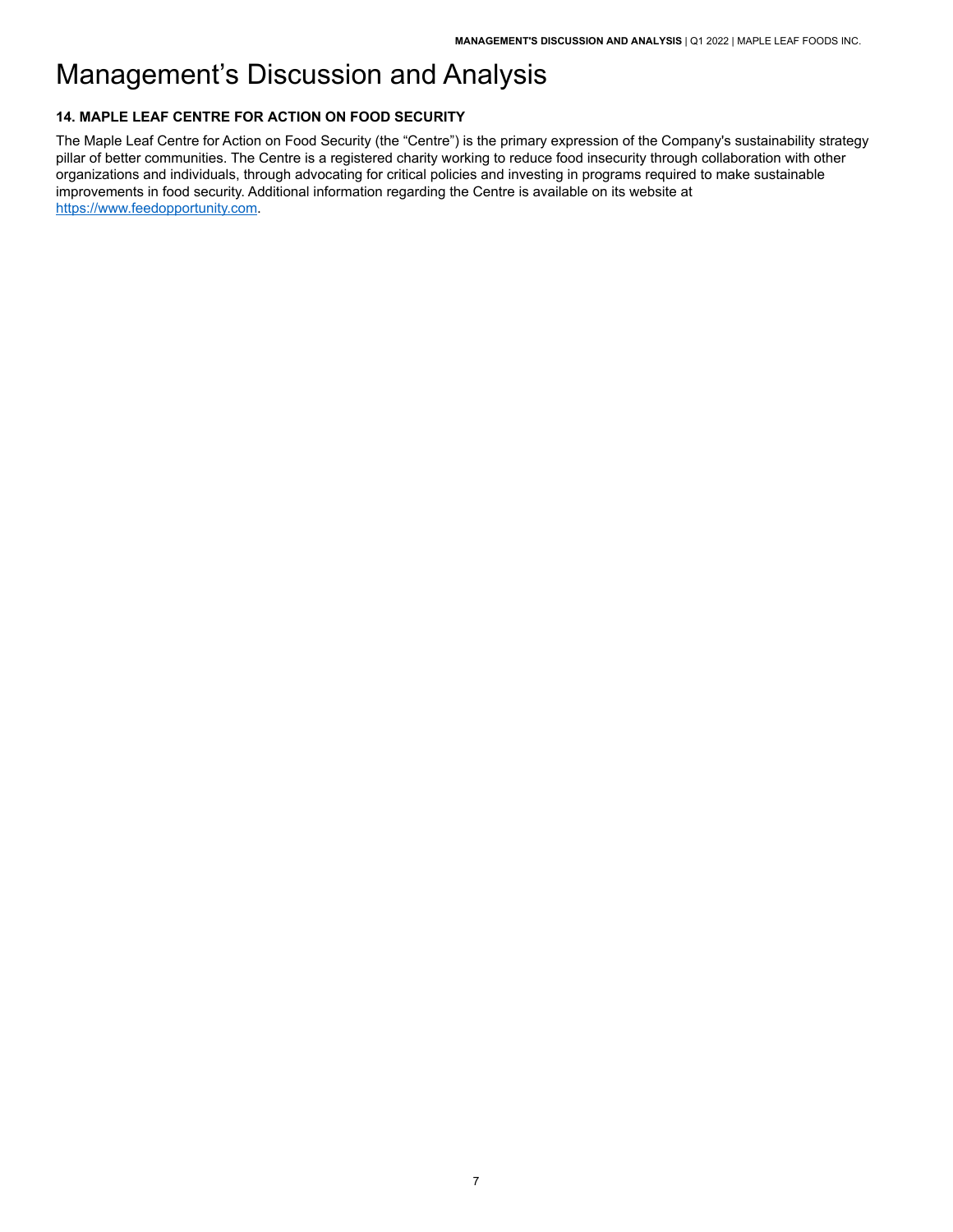# <span id="page-8-0"></span>**14. MAPLE LEAF CENTRE FOR ACTION ON FOOD SECURITY**

 The Maple Leaf Centre for Action on Food Security (the "Centre") is the primary expression of the Company's sustainability strategy pillar of better communities. The Centre is a registered charity working to reduce food insecurity through collaboration with other organizations and individuals, through advocating for critical policies and investing in programs required to make sustainable improvements in food security. Additional information regarding the Centre is available on its website at https://www.feedopportunity.com.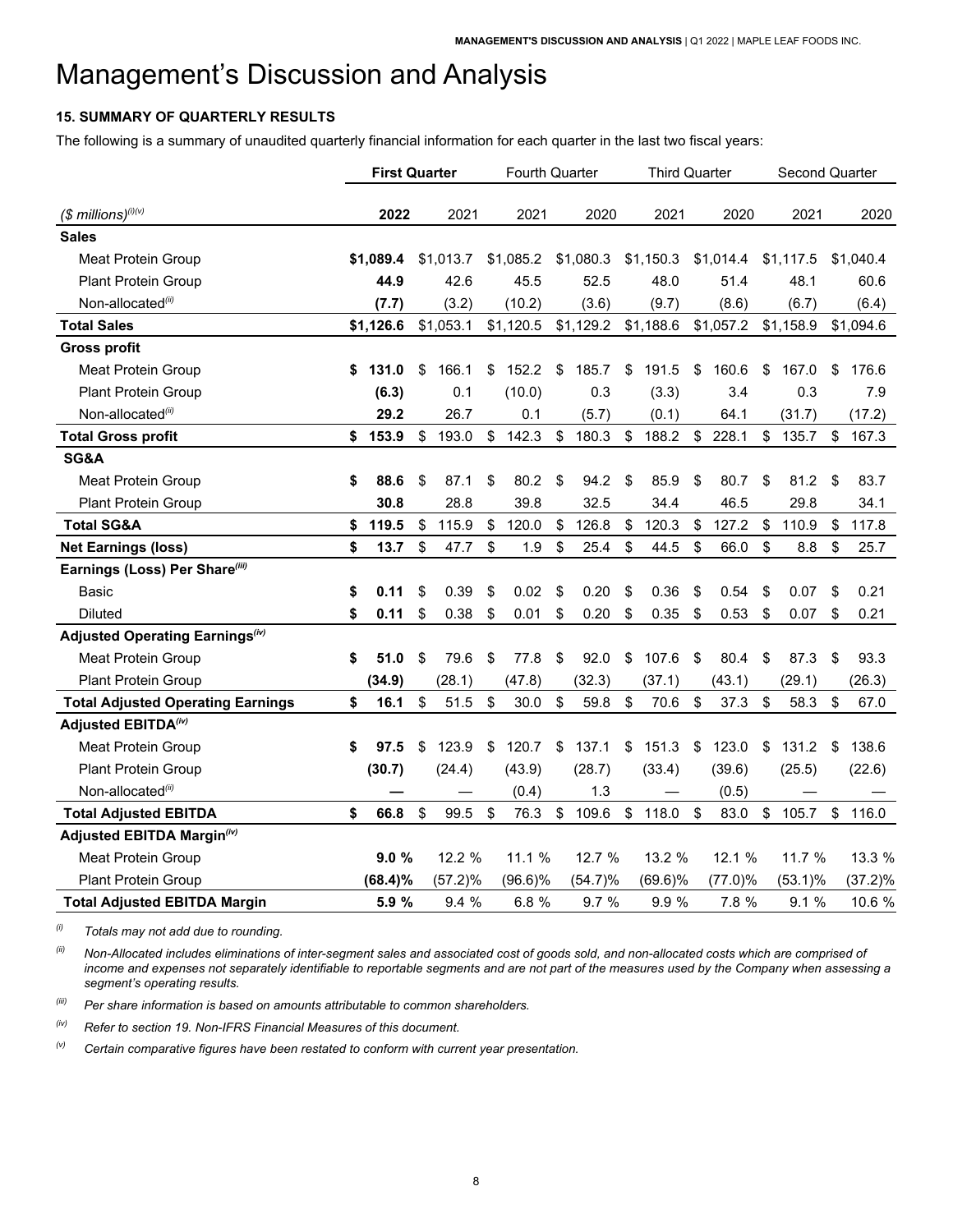# <span id="page-9-0"></span>**15. SUMMARY OF QUARTERLY RESULTS**

The following is a summary of unaudited quarterly financial information for each quarter in the last two fiscal years:

|                                             | <b>First Quarter</b> |             | <b>Fourth Quarter</b> |            |             | <b>Third Quarter</b> |            |    | Second Quarter |             |     |            |
|---------------------------------------------|----------------------|-------------|-----------------------|------------|-------------|----------------------|------------|----|----------------|-------------|-----|------------|
|                                             |                      |             |                       |            |             |                      |            |    |                |             |     |            |
| $($$ millions) $^{(i)(v)}$                  | 2022                 | 2021        |                       | 2021       | 2020        |                      | 2021       |    | 2020           | 2021        |     | 2020       |
| <b>Sales</b>                                |                      |             |                       |            |             |                      |            |    |                |             |     |            |
| Meat Protein Group                          | \$1,089.4            | \$1,013.7   |                       | \$1,085.2  | \$1,080.3   |                      | \$1,150.3  |    | \$1,014.4      | \$1,117.5   |     | \$1,040.4  |
| Plant Protein Group                         | 44.9                 | 42.6        |                       | 45.5       | 52.5        |                      | 48.0       |    | 51.4           | 48.1        |     | 60.6       |
| Non-allocated(ii)                           | (7.7)                | (3.2)       |                       | (10.2)     | (3.6)       |                      | (9.7)      |    | (8.6)          | (6.7)       |     | (6.4)      |
| <b>Total Sales</b>                          | \$1,126.6            | \$1,053.1   |                       | \$1,120.5  | \$1,129.2   |                      | \$1,188.6  |    | \$1,057.2      | \$1,158.9   |     | \$1,094.6  |
| <b>Gross profit</b>                         |                      |             |                       |            |             |                      |            |    |                |             |     |            |
| Meat Protein Group                          | \$<br>131.0          | \$<br>166.1 | \$                    | 152.2      | \$<br>185.7 | \$                   | 191.5      | \$ | 160.6          | \$<br>167.0 | \$  | 176.6      |
| Plant Protein Group                         | (6.3)                | 0.1         |                       | (10.0)     | 0.3         |                      | (3.3)      |    | 3.4            | 0.3         |     | 7.9        |
| Non-allocated <sup>(ii)</sup>               | 29.2                 | 26.7        |                       | 0.1        | (5.7)       |                      | (0.1)      |    | 64.1           | (31.7)      |     | (17.2)     |
| <b>Total Gross profit</b>                   | \$<br>153.9          | \$<br>193.0 | \$                    | 142.3      | \$<br>180.3 | $\mathbb{S}$         | 188.2      |    | \$228.1        | \$<br>135.7 | \$  | 167.3      |
| SG&A                                        |                      |             |                       |            |             |                      |            |    |                |             |     |            |
| <b>Meat Protein Group</b>                   | \$<br>88.6           | \$<br>87.1  | \$                    | 80.2       | \$<br>94.2  | \$                   | 85.9       | \$ | 80.7           | \$<br>81.2  | -\$ | 83.7       |
| <b>Plant Protein Group</b>                  | 30.8                 | 28.8        |                       | 39.8       | 32.5        |                      | 34.4       |    | 46.5           | 29.8        |     | 34.1       |
| <b>Total SG&amp;A</b>                       | \$<br>119.5          | \$<br>115.9 | \$                    | 120.0      | \$<br>126.8 | \$                   | 120.3      | \$ | 127.2          | \$<br>110.9 | \$  | 117.8      |
| <b>Net Earnings (loss)</b>                  | \$<br>13.7           | \$<br>47.7  | \$                    | 1.9        | \$<br>25.4  | \$                   | 44.5       | \$ | 66.0           | \$<br>8.8   | \$  | 25.7       |
| Earnings (Loss) Per Share(iii)              |                      |             |                       |            |             |                      |            |    |                |             |     |            |
| Basic                                       | \$<br>0.11           | \$<br>0.39  | \$                    | 0.02       | \$<br>0.20  | \$                   | 0.36       | \$ | 0.54           | \$<br>0.07  | \$  | 0.21       |
| <b>Diluted</b>                              | \$<br>0.11           | \$<br>0.38  | \$                    | 0.01       | \$<br>0.20  | \$                   | 0.35       | \$ | 0.53           | \$<br>0.07  | \$  | 0.21       |
| Adjusted Operating Earnings <sup>(iv)</sup> |                      |             |                       |            |             |                      |            |    |                |             |     |            |
| <b>Meat Protein Group</b>                   | \$<br>51.0           | \$<br>79.6  | \$                    | 77.8       | \$<br>92.0  | \$                   | 107.6      | \$ | 80.4           | \$<br>87.3  | -\$ | 93.3       |
| Plant Protein Group                         | (34.9)               | (28.1)      |                       | (47.8)     | (32.3)      |                      | (37.1)     |    | (43.1)         | (29.1)      |     | (26.3)     |
| <b>Total Adjusted Operating Earnings</b>    | \$<br>16.1           | \$<br>51.5  | \$                    | 30.0       | \$<br>59.8  | \$                   | 70.6       | \$ | 37.3           | \$<br>58.3  | \$  | 67.0       |
| Adjusted EBITDA <sup>(iv)</sup>             |                      |             |                       |            |             |                      |            |    |                |             |     |            |
| <b>Meat Protein Group</b>                   | \$<br>97.5           | \$<br>123.9 | \$                    | 120.7      | \$<br>137.1 | \$                   | 151.3      | \$ | 123.0          | \$<br>131.2 | \$  | 138.6      |
| <b>Plant Protein Group</b>                  | (30.7)               | (24.4)      |                       | (43.9)     | (28.7)      |                      | (33.4)     |    | (39.6)         | (25.5)      |     | (22.6)     |
| Non-allocated <sup>(ii)</sup>               |                      |             |                       | (0.4)      | 1.3         |                      |            |    | (0.5)          |             |     |            |
| <b>Total Adjusted EBITDA</b>                | \$<br>66.8           | \$<br>99.5  | \$                    | 76.3       | \$<br>109.6 | \$                   | 118.0      | \$ | 83.0           | \$<br>105.7 | \$  | 116.0      |
| Adjusted EBITDA Margin <sup>(iv)</sup>      |                      |             |                       |            |             |                      |            |    |                |             |     |            |
| <b>Meat Protein Group</b>                   | 9.0%                 | 12.2 %      |                       | 11.1%      | 12.7 %      |                      | 13.2 %     |    | 12.1 %         | 11.7 %      |     | 13.3 %     |
| Plant Protein Group                         | (68.4)%              | (57.2)%     |                       | $(96.6)\%$ | $(54.7)\%$  |                      | $(69.6)\%$ |    | $(77.0)\%$     | $(53.1)\%$  |     | $(37.2)\%$ |
| <b>Total Adjusted EBITDA Margin</b>         | 5.9%                 | 9.4%        |                       | 6.8%       | 9.7%        |                      | 9.9%       |    | 7.8 %          | 9.1 %       |     | 10.6 %     |

*(i) Totals may not add due to rounding.*

(ii) Non-Allocated includes eliminations of inter-segment sales and associated cost of goods sold, and non-allocated costs which are comprised of income and expenses not separately identifiable to reportable segments and are not part of the measures used by the Company when assessing a *segment's operating results.*

*(iii) Per share information is based on amounts attributable to common shareholders.*

*(iv) Refer to section 19. Non-IFRS Financial Measures of this document.*

*(v) Certain comparative figures have been restated to conform with current year presentation.*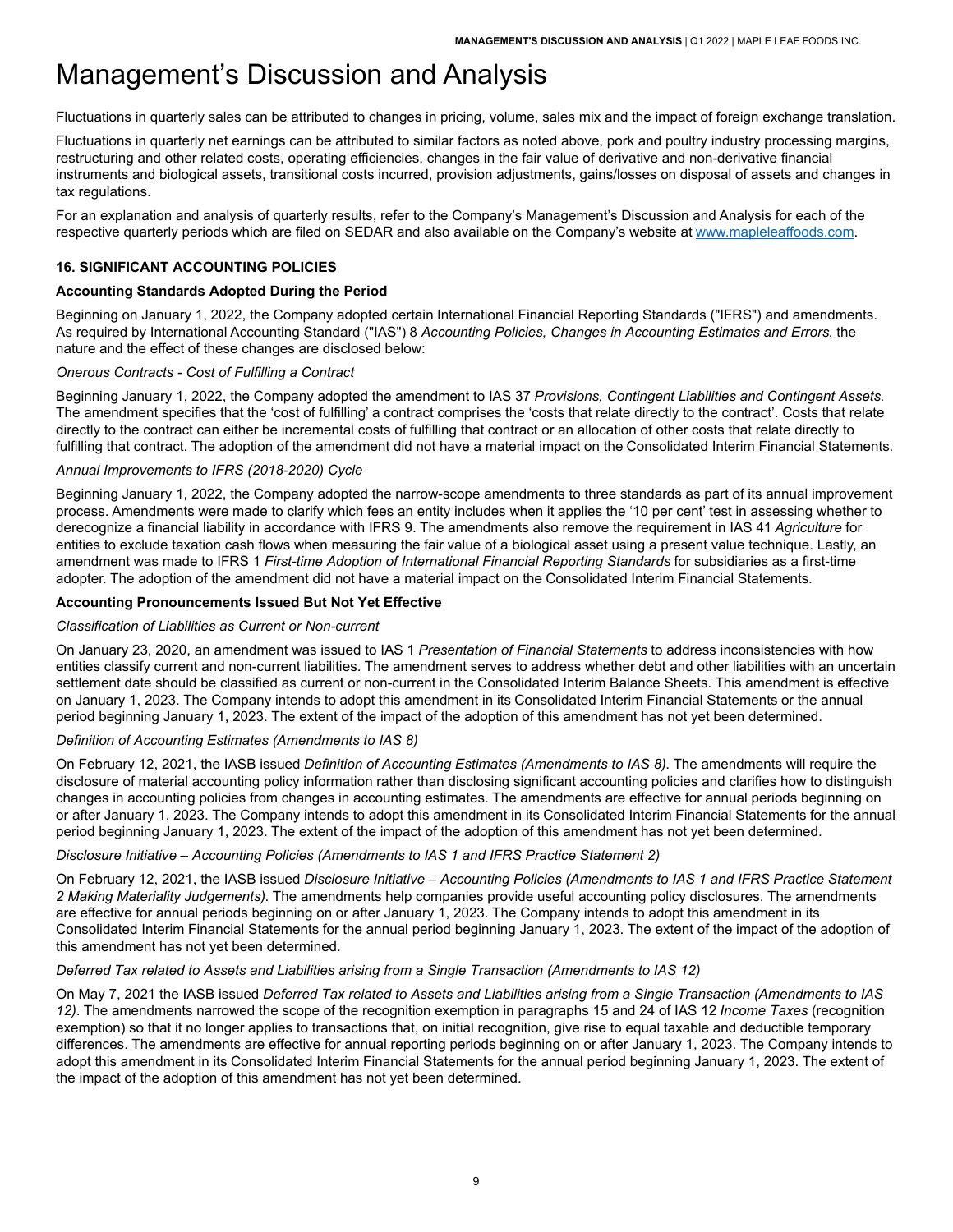Fluctuations in quarterly sales can be attributed to changes in pricing, volume, sales mix and the impact of foreign exchange translation.

Fluctuations in quarterly net earnings can be attributed to similar factors as noted above, pork and poultry industry processing margins, restructuring and other related costs, operating efficiencies, changes in the fair value of derivative and non-derivative financial instruments and biological assets, transitional costs incurred, provision adjustments, gains/losses on disposal of assets and changes in tax regulations.

For an explanation and analysis of quarterly results, refer to the Company's Management's Discussion and Analysis for each of the respective quarterly periods which are filed on SEDAR and also available on the Company's website at [www.mapleleaffoods.com.](www.mapleleaffoods.com)

### <span id="page-10-0"></span>**16. SIGNIFICANT ACCOUNTING POLICIES**

#### **Accounting Standards Adopted During the Period**

Beginning on January 1, 2022, the Company adopted certain International Financial Reporting Standards ("IFRS") and amendments. As required by International Accounting Standard ("IAS") 8 *Accounting Policies, Changes in Accounting Estimates and Errors*, the nature and the effect of these changes are disclosed below:

#### *Onerous Contracts - Cost of Fulfilling a Contract*

Beginning January 1, 2022, the Company adopted the amendment to IAS 37 *Provisions, Contingent Liabilities and Contingent Assets*. The amendment specifies that the 'cost of fulfilling' a contract comprises the 'costs that relate directly to the contract'. Costs that relate directly to the contract can either be incremental costs of fulfilling that contract or an allocation of other costs that relate directly to fulfilling that contract. The adoption of the amendment did not have a material impact on the Consolidated Interim Financial Statements.

#### *Annual Improvements to IFRS (2018-2020) Cycle*

Beginning January 1, 2022, the Company adopted the narrow-scope amendments to three standards as part of its annual improvement process. Amendments were made to clarify which fees an entity includes when it applies the '10 per cent' test in assessing whether to derecognize a financial liability in accordance with IFRS 9. The amendments also remove the requirement in IAS 41 *Agriculture* for entities to exclude taxation cash flows when measuring the fair value of a biological asset using a present value technique. Lastly, an amendment was made to IFRS 1 *First-time Adoption of International Financial Reporting Standards* for subsidiaries as a first-time adopter. The adoption of the amendment did not have a material impact on the Consolidated Interim Financial Statements.

#### **Accounting Pronouncements Issued But Not Yet Effective**

#### *Classification of Liabilities as Current or Non-current*

On January 23, 2020, an amendment was issued to IAS 1 *Presentation of Financial Statements* to address inconsistencies with how entities classify current and non-current liabilities. The amendment serves to address whether debt and other liabilities with an uncertain settlement date should be classified as current or non-current in the Consolidated Interim Balance Sheets. This amendment is effective on January 1, 2023. The Company intends to adopt this amendment in its Consolidated Interim Financial Statements or the annual period beginning January 1, 2023. The extent of the impact of the adoption of this amendment has not yet been determined.

#### *Definition of Accounting Estimates (Amendments to IAS 8)*

On February 12, 2021, the IASB issued *Definition of Accounting Estimates (Amendments to IAS 8)*. The amendments will require the disclosure of material accounting policy information rather than disclosing significant accounting policies and clarifies how to distinguish changes in accounting policies from changes in accounting estimates. The amendments are effective for annual periods beginning on or after January 1, 2023. The Company intends to adopt this amendment in its Consolidated Interim Financial Statements for the annual period beginning January 1, 2023. The extent of the impact of the adoption of this amendment has not yet been determined.

#### *Disclosure Initiative – Accounting Policies (Amendments to IAS 1 and IFRS Practice Statement 2)*

On February 12, 2021, the IASB issued *Disclosure Initiative – Accounting Policies (Amendments to IAS 1 and IFRS Practice Statement 2 Making Materiality Judgements)*. The amendments help companies provide useful accounting policy disclosures. The amendments are effective for annual periods beginning on or after January 1, 2023. The Company intends to adopt this amendment in its Consolidated Interim Financial Statements for the annual period beginning January 1, 2023. The extent of the impact of the adoption of this amendment has not yet been determined.

#### *Deferred Tax related to Assets and Liabilities arising from a Single Transaction (Amendments to IAS 12)*

On May 7, 2021 the IASB issued *Deferred Tax related to Assets and Liabilities arising from a Single Transaction (Amendments to IAS 12)*. The amendments narrowed the scope of the recognition exemption in paragraphs 15 and 24 of IAS 12 *Income Taxes* (recognition exemption) so that it no longer applies to transactions that, on initial recognition, give rise to equal taxable and deductible temporary differences. The amendments are effective for annual reporting periods beginning on or after January 1, 2023. The Company intends to adopt this amendment in its Consolidated Interim Financial Statements for the annual period beginning January 1, 2023. The extent of the impact of the adoption of this amendment has not yet been determined.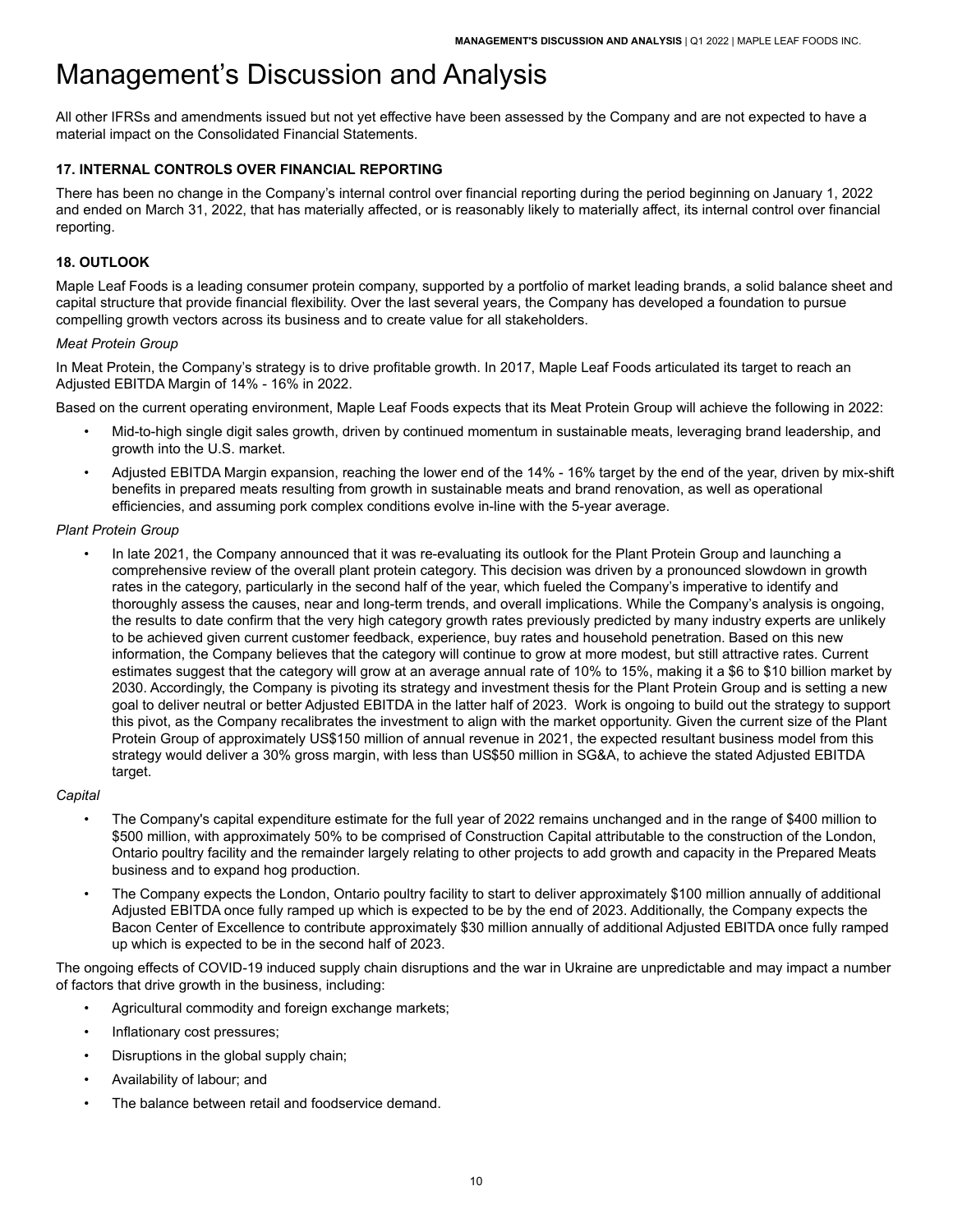All other IFRSs and amendments issued but not yet effective have been assessed by the Company and are not expected to have a material impact on the Consolidated Financial Statements.

### <span id="page-11-0"></span>**17. INTERNAL CONTROLS OVER FINANCIAL REPORTING**

There has been no change in the Company's internal control over financial reporting during the period beginning on January 1, 2022 and ended on March 31, 2022, that has materially affected, or is reasonably likely to materially affect, its internal control over financial reporting.

#### <span id="page-11-1"></span>**18. OUTLOOK**

Maple Leaf Foods is a leading consumer protein company, supported by a portfolio of market leading brands, a solid balance sheet and capital structure that provide financial flexibility. Over the last several years, the Company has developed a foundation to pursue compelling growth vectors across its business and to create value for all stakeholders.

#### *Meat Protein Group*

In Meat Protein, the Company's strategy is to drive profitable growth. In 2017, Maple Leaf Foods articulated its target to reach an Adjusted EBITDA Margin of 14% - 16% in 2022.

Based on the current operating environment, Maple Leaf Foods expects that its Meat Protein Group will achieve the following in 2022:

- Mid-to-high single digit sales growth, driven by continued momentum in sustainable meats, leveraging brand leadership, and growth into the U.S. market.
- Adjusted EBITDA Margin expansion, reaching the lower end of the 14% 16% target by the end of the year, driven by mix-shift benefits in prepared meats resulting from growth in sustainable meats and brand renovation, as well as operational efficiencies, and assuming pork complex conditions evolve in-line with the 5-year average.

#### *Plant Protein Group*

• In late 2021, the Company announced that it was re-evaluating its outlook for the Plant Protein Group and launching a comprehensive review of the overall plant protein category. This decision was driven by a pronounced slowdown in growth rates in the category, particularly in the second half of the year, which fueled the Company's imperative to identify and thoroughly assess the causes, near and long-term trends, and overall implications. While the Company's analysis is ongoing, the results to date confirm that the very high category growth rates previously predicted by many industry experts are unlikely to be achieved given current customer feedback, experience, buy rates and household penetration. Based on this new information, the Company believes that the category will continue to grow at more modest, but still attractive rates. Current estimates suggest that the category will grow at an average annual rate of 10% to 15%, making it a \$6 to \$10 billion market by 2030. Accordingly, the Company is pivoting its strategy and investment thesis for the Plant Protein Group and is setting a new goal to deliver neutral or better Adjusted EBITDA in the latter half of 2023. Work is ongoing to build out the strategy to support this pivot, as the Company recalibrates the investment to align with the market opportunity. Given the current size of the Plant Protein Group of approximately US\$150 million of annual revenue in 2021, the expected resultant business model from this strategy would deliver a 30% gross margin, with less than US\$50 million in SG&A, to achieve the stated Adjusted EBITDA target.

#### *Capital*

- The Company's capital expenditure estimate for the full year of 2022 remains unchanged and in the range of \$400 million to \$500 million, with approximately 50% to be comprised of Construction Capital attributable to the construction of the London, Ontario poultry facility and the remainder largely relating to other projects to add growth and capacity in the Prepared Meats business and to expand hog production.
- The Company expects the London, Ontario poultry facility to start to deliver approximately \$100 million annually of additional Adjusted EBITDA once fully ramped up which is expected to be by the end of 2023. Additionally, the Company expects the Bacon Center of Excellence to contribute approximately \$30 million annually of additional Adjusted EBITDA once fully ramped up which is expected to be in the second half of 2023.

The ongoing effects of COVID-19 induced supply chain disruptions and the war in Ukraine are unpredictable and may impact a number of factors that drive growth in the business, including:

- Agricultural commodity and foreign exchange markets;
- Inflationary cost pressures;
- Disruptions in the global supply chain;
- Availability of labour; and
- The balance between retail and foodservice demand.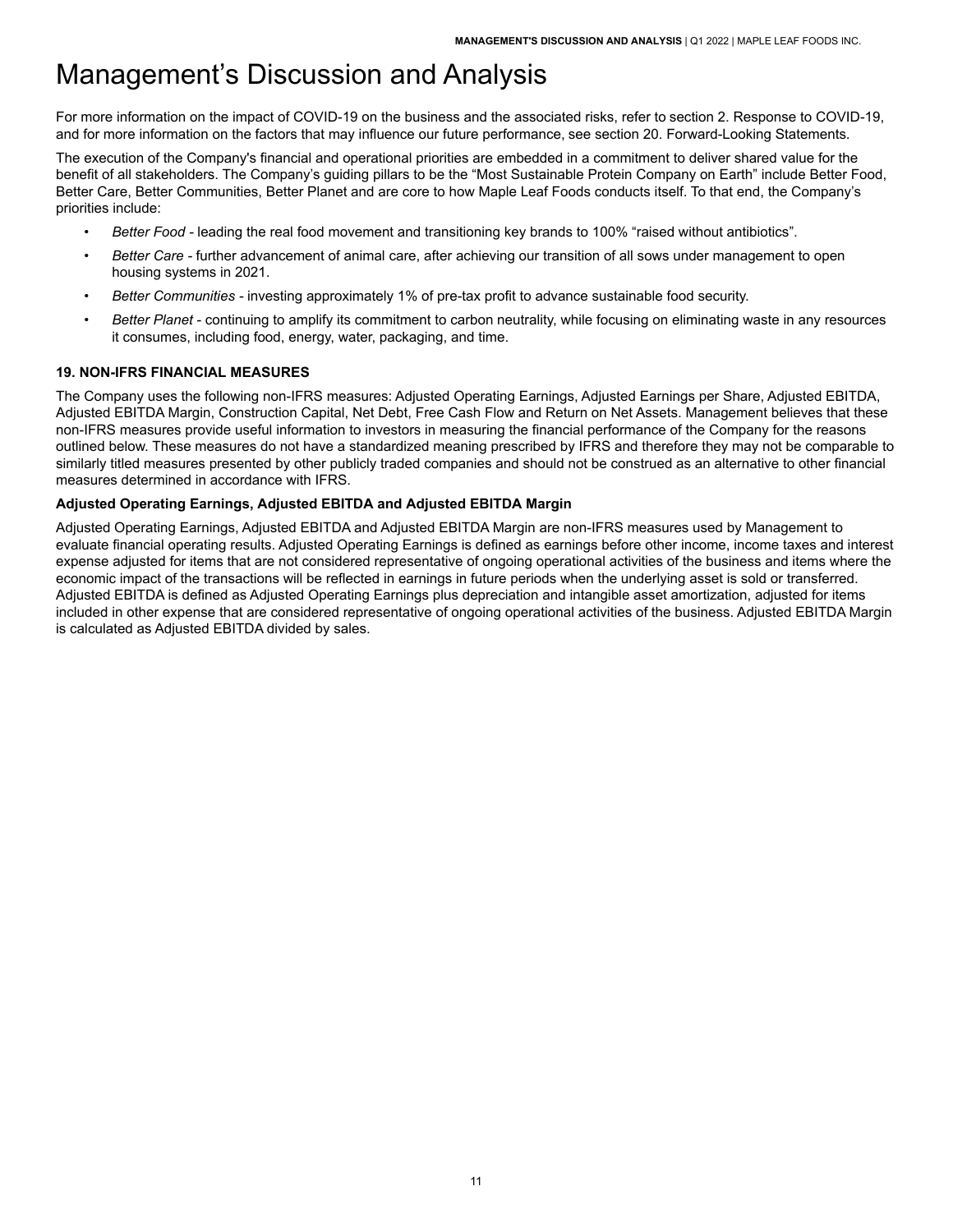For more information on the impact of COVID-19 on the business and the associated risks, refer to section 2. Response to COVID-19, and for more information on the factors that may influence our future performance, see section 20. Forward-Looking Statements.

The execution of the Company's financial and operational priorities are embedded in a commitment to deliver shared value for the benefit of all stakeholders. The Company's guiding pillars to be the "Most Sustainable Protein Company on Earth" include Better Food, Better Care, Better Communities, Better Planet and are core to how Maple Leaf Foods conducts itself. To that end, the Company's priorities include:

- *Better Food -* leading the real food movement and transitioning key brands to 100% "raised without antibiotics".
- *Better Care -* further advancement of animal care, after achieving our transition of all sows under management to open housing systems in 2021.
- *Better Communities -* investing approximately 1% of pre-tax profit to advance sustainable food security.
- *Better Planet* continuing to amplify its commitment to carbon neutrality, while focusing on eliminating waste in any resources it consumes, including food, energy, water, packaging, and time.

## <span id="page-12-0"></span>**19. NON-IFRS FINANCIAL MEASURES**

The Company uses the following non-IFRS measures: Adjusted Operating Earnings, Adjusted Earnings per Share, Adjusted EBITDA, Adjusted EBITDA Margin, Construction Capital, Net Debt, Free Cash Flow and Return on Net Assets. Management believes that these non-IFRS measures provide useful information to investors in measuring the financial performance of the Company for the reasons outlined below. These measures do not have a standardized meaning prescribed by IFRS and therefore they may not be comparable to similarly titled measures presented by other publicly traded companies and should not be construed as an alternative to other financial measures determined in accordance with IFRS.

## **Adjusted Operating Earnings, Adjusted EBITDA and Adjusted EBITDA Margin**

Adjusted Operating Earnings, Adjusted EBITDA and Adjusted EBITDA Margin are non-IFRS measures used by Management to evaluate financial operating results. Adjusted Operating Earnings is defined as earnings before other income, income taxes and interest expense adjusted for items that are not considered representative of ongoing operational activities of the business and items where the economic impact of the transactions will be reflected in earnings in future periods when the underlying asset is sold or transferred. Adjusted EBITDA is defined as Adjusted Operating Earnings plus depreciation and intangible asset amortization, adjusted for items included in other expense that are considered representative of ongoing operational activities of the business. Adjusted EBITDA Margin is calculated as Adjusted EBITDA divided by sales.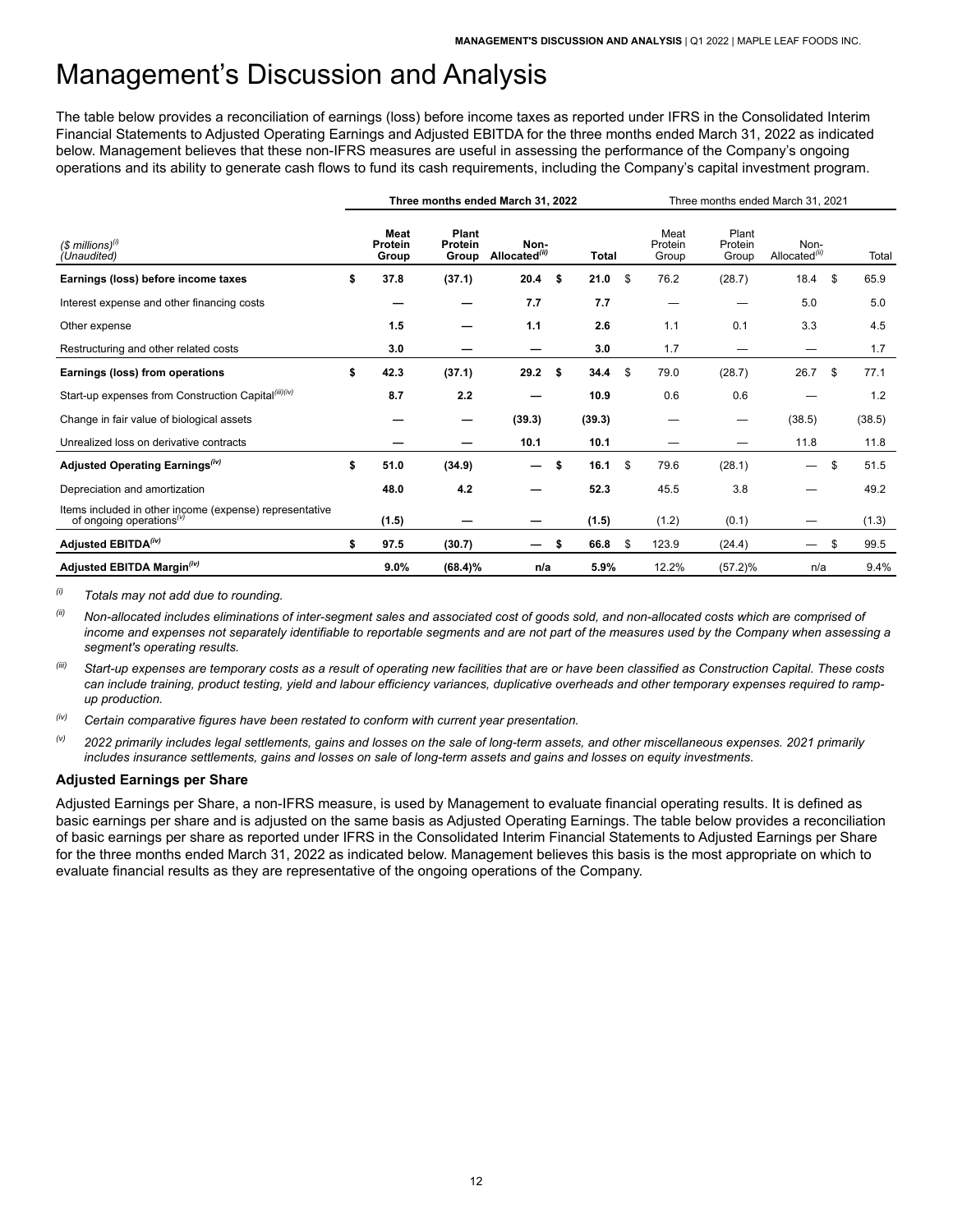The table below provides a reconciliation of earnings (loss) before income taxes as reported under IFRS in the Consolidated Interim Financial Statements to Adjusted Operating Earnings and Adjusted EBITDA for the three months ended March 31, 2022 as indicated below. Management believes that these non-IFRS measures are useful in assessing the performance of the Company's ongoing operations and its ability to generate cash flows to fund its cash requirements, including the Company's capital investment program.

|                                                                                                              | Three months ended March 31, 2022 |                           |                                   |      |              |    |                          | Three months ended March 31, 2021 |                                   |    |        |  |  |  |
|--------------------------------------------------------------------------------------------------------------|-----------------------------------|---------------------------|-----------------------------------|------|--------------|----|--------------------------|-----------------------------------|-----------------------------------|----|--------|--|--|--|
| $$$ millions) <sup>(i)</sup><br>(Unaudited)                                                                  | Meat<br>Protein<br>Group          | Plant<br>Protein<br>Group | Non-<br>Allocated <sup>(ii)</sup> |      | <b>Total</b> |    | Meat<br>Protein<br>Group | Plant<br>Protein<br>Group         | Non-<br>Allocated <sup>(ii)</sup> |    | Total  |  |  |  |
| Earnings (loss) before income taxes                                                                          | \$<br>37.8                        | (37.1)                    | 20.4                              | - \$ | 21.0         | \$ | 76.2                     | (28.7)                            | 18.4                              | \$ | 65.9   |  |  |  |
| Interest expense and other financing costs                                                                   |                                   |                           | 7.7                               |      | 7.7          |    |                          |                                   | 5.0                               |    | 5.0    |  |  |  |
| Other expense                                                                                                | 1.5                               |                           | $1.1$                             |      | 2.6          |    | 1.1                      | 0.1                               | 3.3                               |    | 4.5    |  |  |  |
| Restructuring and other related costs                                                                        | 3.0                               |                           | -                                 |      | 3.0          |    | 1.7                      |                                   | —                                 |    | 1.7    |  |  |  |
| Earnings (loss) from operations                                                                              | \$<br>42.3                        | (37.1)                    | 29.2                              | Ŝ.   | 34.4         | \$ | 79.0                     | (28.7)                            | 26.7                              | \$ | 77.1   |  |  |  |
| Start-up expenses from Construction Capital(iii)(iv)                                                         | 8.7                               | 2.2                       |                                   |      | 10.9         |    | 0.6                      | 0.6                               |                                   |    | 1.2    |  |  |  |
| Change in fair value of biological assets                                                                    |                                   | –                         | (39.3)                            |      | (39.3)       |    |                          |                                   | (38.5)                            |    | (38.5) |  |  |  |
| Unrealized loss on derivative contracts                                                                      |                                   |                           | 10.1                              |      | 10.1         |    |                          |                                   | 11.8                              |    | 11.8   |  |  |  |
| Adjusted Operating Earnings <sup>(iv)</sup>                                                                  | \$<br>51.0                        | (34.9)                    | —                                 | \$   | 16.1         | \$ | 79.6                     | (28.1)                            | $\qquad \qquad$                   | \$ | 51.5   |  |  |  |
| Depreciation and amortization                                                                                | 48.0                              | 4.2                       |                                   |      | 52.3         |    | 45.5                     | 3.8                               |                                   |    | 49.2   |  |  |  |
| Items included in other income (expense) representative<br>of ongoing operations <sup><math>(v)</math></sup> | (1.5)                             | –                         |                                   |      | (1.5)        |    | (1.2)                    | (0.1)                             | —                                 |    | (1.3)  |  |  |  |
| Adjusted EBITDA <sup>(iv)</sup>                                                                              | \$<br>97.5                        | (30.7)                    | –                                 | S    | 66.8         | \$ | 123.9                    | (24.4)                            | —                                 | \$ | 99.5   |  |  |  |
| Adjusted EBITDA Margin <sup>(iv)</sup>                                                                       | 9.0%                              | $(68.4)\%$                | n/a                               |      | 5.9%         |    | 12.2%                    | $(57.2)\%$                        | n/a                               |    | 9.4%   |  |  |  |

*(i) Totals may not add due to rounding.*

*(ii) Non-allocated includes eliminations of inter-segment sales and associated cost of goods sold, and non-allocated costs which are comprised of income and expenses not separately identifiable to reportable segments and are not part of the measures used by the Company when assessing a segment's operating results.*

Start-up expenses are temporary costs as a result of operating new facilities that are or have been classified as Construction Capital. These costs *can include training, product testing, yield and labour efficiency variances, duplicative overheads and other temporary expenses required to rampup production.*

*(iv) Certain comparative figures have been restated to conform with current year presentation.* 

*(v) 2022 primarily includes legal settlements, gains and losses on the sale of long-term assets, and other miscellaneous expenses. 2021 primarily includes insurance settlements, gains and losses on sale of long-term assets and gains and losses on equity investments.* 

#### **Adjusted Earnings per Share**

Adjusted Earnings per Share, a non-IFRS measure, is used by Management to evaluate financial operating results. It is defined as basic earnings per share and is adjusted on the same basis as Adjusted Operating Earnings. The table below provides a reconciliation of basic earnings per share as reported under IFRS in the Consolidated Interim Financial Statements to Adjusted Earnings per Share for the three months ended March 31, 2022 as indicated below. Management believes this basis is the most appropriate on which to evaluate financial results as they are representative of the ongoing operations of the Company.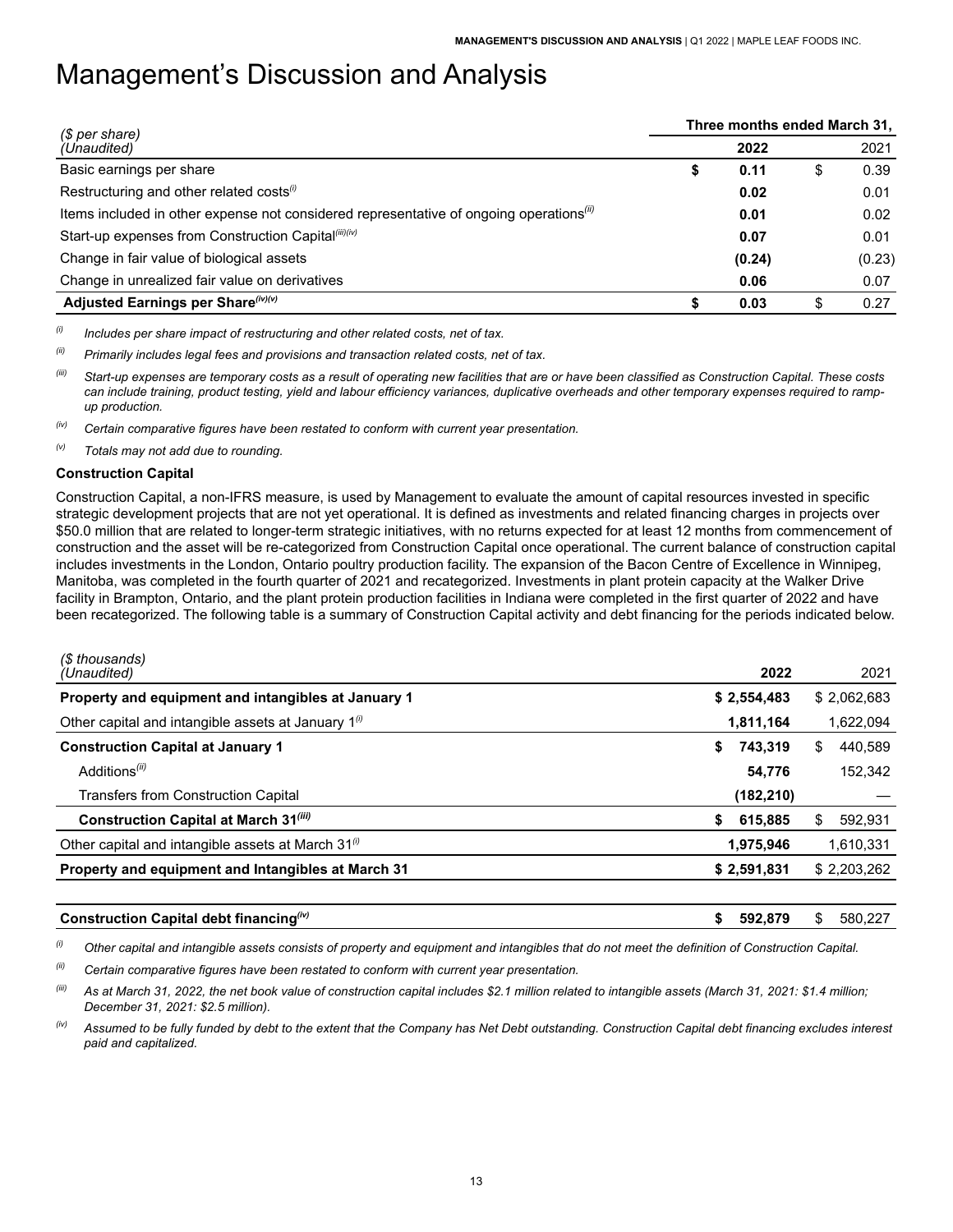| (\$ per share)                                                                                      | Three months ended March 31, |        |    |        |  |  |  |
|-----------------------------------------------------------------------------------------------------|------------------------------|--------|----|--------|--|--|--|
| (Unaudited)                                                                                         |                              | 2022   |    | 2021   |  |  |  |
| Basic earnings per share                                                                            | \$                           | 0.11   | \$ | 0.39   |  |  |  |
| Restructuring and other related costs(i)                                                            |                              | 0.02   |    | 0.01   |  |  |  |
| Items included in other expense not considered representative of ongoing operations <sup>(ii)</sup> |                              | 0.01   |    | 0.02   |  |  |  |
| Start-up expenses from Construction Capital <sup>(iii)(iv)</sup>                                    |                              | 0.07   |    | 0.01   |  |  |  |
| Change in fair value of biological assets                                                           |                              | (0.24) |    | (0.23) |  |  |  |
| Change in unrealized fair value on derivatives                                                      |                              | 0.06   |    | 0.07   |  |  |  |
| Adjusted Earnings per Share (iv)(v)                                                                 |                              | 0.03   | \$ | 0.27   |  |  |  |

*(i) Includes per share impact of restructuring and other related costs, net of tax.*

*(ii) Primarily includes legal fees and provisions and transaction related costs, net of tax.*

Start-up expenses are temporary costs as a result of operating new facilities that are or have been classified as Construction Capital. These costs *can include training, product testing, yield and labour efficiency variances, duplicative overheads and other temporary expenses required to rampup production.*

*(iv) Certain comparative figures have been restated to conform with current year presentation.*

*(v) Totals may not add due to rounding.*

#### **Construction Capital**

Construction Capital, a non-IFRS measure, is used by Management to evaluate the amount of capital resources invested in specific strategic development projects that are not yet operational. It is defined as investments and related financing charges in projects over \$50.0 million that are related to longer-term strategic initiatives, with no returns expected for at least 12 months from commencement of construction and the asset will be re-categorized from Construction Capital once operational. The current balance of construction capital includes investments in the London, Ontario poultry production facility. The expansion of the Bacon Centre of Excellence in Winnipeg, Manitoba, was completed in the fourth quarter of 2021 and recategorized. Investments in plant protein capacity at the Walker Drive facility in Brampton, Ontario, and the plant protein production facilities in Indiana were completed in the first quarter of 2022 and have been recategorized. The following table is a summary of Construction Capital activity and debt financing for the periods indicated below.

| (\$ thousands)<br>(Unaudited)                                   | 2022          | 2021          |
|-----------------------------------------------------------------|---------------|---------------|
| Property and equipment and intangibles at January 1             | \$2,554,483   | \$2,062,683   |
| Other capital and intangible assets at January 1 <sup>(i)</sup> | 1,811,164     | 1,622,094     |
| <b>Construction Capital at January 1</b>                        | 743,319<br>\$ | 440,589<br>\$ |
| Additions <sup>(ii)</sup>                                       | 54,776        | 152,342       |
| <b>Transfers from Construction Capital</b>                      | (182, 210)    |               |
| <b>Construction Capital at March 31(iii)</b>                    | 615.885<br>\$ | 592,931<br>\$ |
| Other capital and intangible assets at March 31 <sup>(i)</sup>  | 1,975,946     | 1,610,331     |
| Property and equipment and Intangibles at March 31              | \$2,591,831   | \$2,203,262   |

| <b>Capital debt financing</b> $\binom{iv}{i}$<br><b>Construction</b> | 592.87<br>'7L | -11 | ــ∠.580 |
|----------------------------------------------------------------------|---------------|-----|---------|
|                                                                      |               |     |         |

*(i) Other capital and intangible assets consists of property and equipment and intangibles that do not meet the definition of Construction Capital.*

*(ii) Certain comparative figures have been restated to conform with current year presentation.* 

*(iii) As at March 31, 2022, the net book value of construction capital includes \$2.1 million related to intangible assets (March 31, 2021: \$1.4 million; December 31, 2021: \$2.5 million).*

*(iv) Assumed to be fully funded by debt to the extent that the Company has Net Debt outstanding. Construction Capital debt financing excludes interest paid and capitalized.*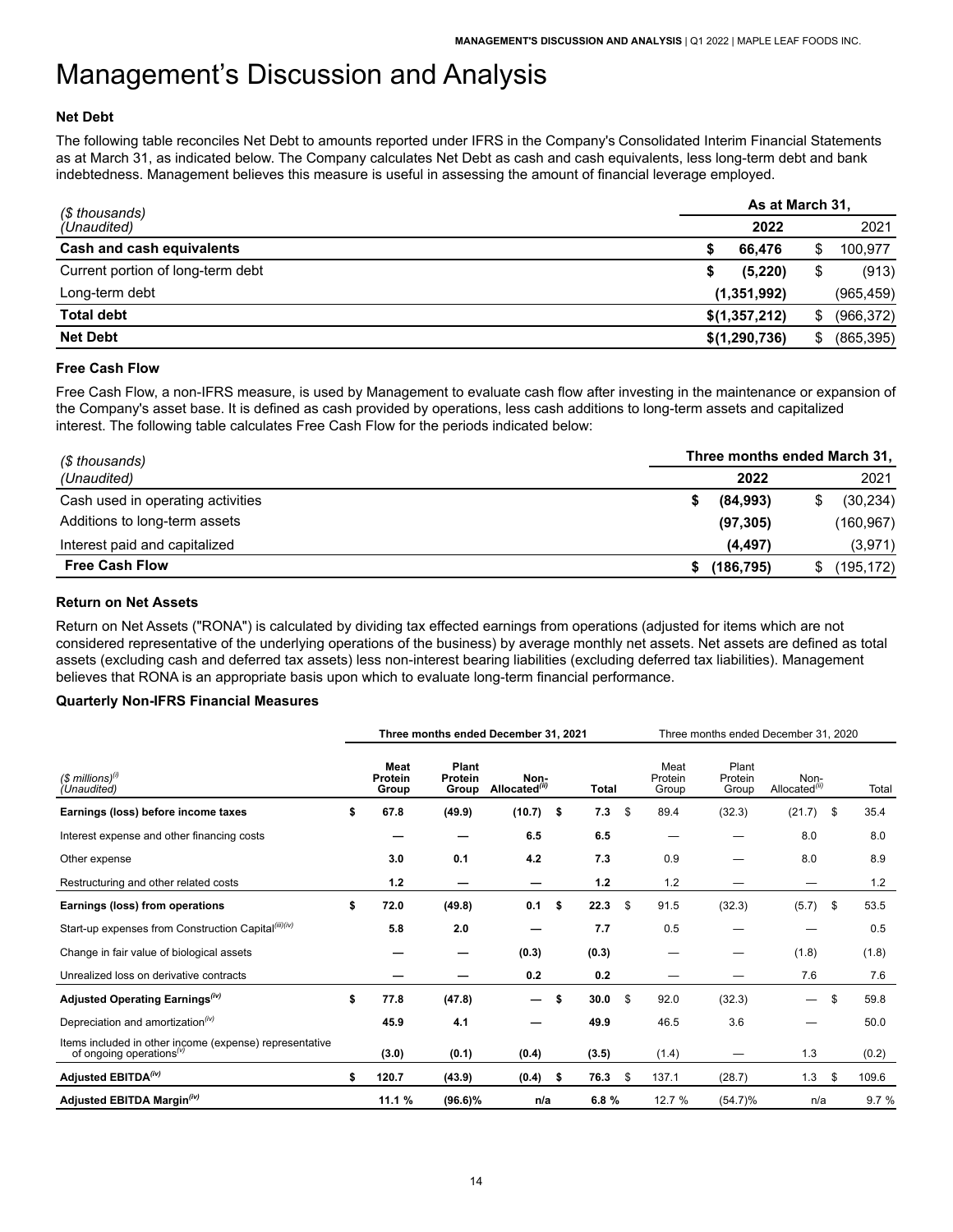### **Net Debt**

The following table reconciles Net Debt to amounts reported under IFRS in the Company's Consolidated Interim Financial Statements as at March 31, as indicated below. The Company calculates Net Debt as cash and cash equivalents, less long-term debt and bank indebtedness. Management believes this measure is useful in assessing the amount of financial leverage employed.

| (\$ thousands)                    | As at March 31, |               |     |            |  |  |  |  |  |
|-----------------------------------|-----------------|---------------|-----|------------|--|--|--|--|--|
| (Unaudited)                       |                 | 2022          |     | 2021       |  |  |  |  |  |
| Cash and cash equivalents         |                 | 66,476        |     | 100,977    |  |  |  |  |  |
| Current portion of long-term debt |                 | (5,220)       | \$  | (913)      |  |  |  |  |  |
| Long-term debt                    |                 | (1,351,992)   |     | (965, 459) |  |  |  |  |  |
| <b>Total debt</b>                 |                 | \$(1,357,212) | \$. | (966, 372) |  |  |  |  |  |
| <b>Net Debt</b>                   |                 | \$(1,290,736) | \$  | (865, 395) |  |  |  |  |  |

#### **Free Cash Flow**

Free Cash Flow, a non-IFRS measure, is used by Management to evaluate cash flow after investing in the maintenance or expansion of the Company's asset base. It is defined as cash provided by operations, less cash additions to long-term assets and capitalized interest. The following table calculates Free Cash Flow for the periods indicated below:

| (\$ thousands)                    | Three months ended March 31, |           |  |  |  |  |  |  |
|-----------------------------------|------------------------------|-----------|--|--|--|--|--|--|
| (Unaudited)                       | 2022                         | 2021      |  |  |  |  |  |  |
| Cash used in operating activities | (84,993)                     | (30, 234) |  |  |  |  |  |  |
| Additions to long-term assets     | (97, 305)                    | (160,967) |  |  |  |  |  |  |
| Interest paid and capitalized     | (4, 497)                     | (3,971)   |  |  |  |  |  |  |
| <b>Free Cash Flow</b>             | (186, 795)                   | (195,172) |  |  |  |  |  |  |

#### **Return on Net Assets**

Return on Net Assets ("RONA") is calculated by dividing tax effected earnings from operations (adjusted for items which are not considered representative of the underlying operations of the business) by average monthly net assets. Net assets are defined as total assets (excluding cash and deferred tax assets) less non-interest bearing liabilities (excluding deferred tax liabilities). Management believes that RONA is an appropriate basis upon which to evaluate long-term financial performance.

#### **Quarterly Non-IFRS Financial Measures**

|                                                                                                 | Three months ended December 31, 2021 |                           |                                   |      |       |    | Three months ended December 31, 2020 |                           |                                   |    |       |
|-------------------------------------------------------------------------------------------------|--------------------------------------|---------------------------|-----------------------------------|------|-------|----|--------------------------------------|---------------------------|-----------------------------------|----|-------|
| $($$ millions) $^{(i)}$<br>(Unaudited)                                                          | Meat<br>Protein<br>Group             | Plant<br>Protein<br>Group | Non-<br>Allocated <sup>(ii)</sup> |      | Total |    | Meat<br>Protein<br>Group             | Plant<br>Protein<br>Group | Non-<br>Allocated <sup>(ii)</sup> |    | Total |
| Earnings (loss) before income taxes                                                             | \$<br>67.8                           | (49.9)                    | (10.7)                            | - \$ | 7.3   | \$ | 89.4                                 | (32.3)                    | (21.7)                            | \$ | 35.4  |
| Interest expense and other financing costs                                                      |                                      |                           | 6.5                               |      | 6.5   |    |                                      |                           | 8.0                               |    | 8.0   |
| Other expense                                                                                   | 3.0                                  | 0.1                       | 4.2                               |      | 7.3   |    | 0.9                                  |                           | 8.0                               |    | 8.9   |
| Restructuring and other related costs                                                           | 1.2                                  |                           |                                   |      | 1.2   |    | 1.2                                  |                           |                                   |    | 1.2   |
| Earnings (loss) from operations                                                                 | \$<br>72.0                           | (49.8)                    | 0.1                               | \$   | 22.3  | \$ | 91.5                                 | (32.3)                    | (5.7)                             | \$ | 53.5  |
| Start-up expenses from Construction Capital(iii)(iv)                                            | 5.8                                  | 2.0                       |                                   |      | 7.7   |    | 0.5                                  |                           |                                   |    | 0.5   |
| Change in fair value of biological assets                                                       |                                      |                           | (0.3)                             |      | (0.3) |    |                                      |                           | (1.8)                             |    | (1.8) |
| Unrealized loss on derivative contracts                                                         |                                      |                           | 0.2                               |      | 0.2   |    |                                      |                           | 7.6                               |    | 7.6   |
| Adjusted Operating Earnings <sup>(iv)</sup>                                                     | \$<br>77.8                           | (47.8)                    | $\hspace{0.05cm}$                 | \$   | 30.0  | \$ | 92.0                                 | (32.3)                    | $\qquad \qquad$                   | \$ | 59.8  |
| Depreciation and amortization <sup>(iv)</sup>                                                   | 45.9                                 | 4.1                       |                                   |      | 49.9  |    | 46.5                                 | 3.6                       |                                   |    | 50.0  |
| Items included in other income (expense) representative<br>of ongoing operations <sup>(v)</sup> | (3.0)                                | (0.1)                     | (0.4)                             |      | (3.5) |    | (1.4)                                | –                         | 1.3                               |    | (0.2) |
| Adjusted EBITDA <sup>(iv)</sup>                                                                 | \$<br>120.7                          | (43.9)                    | (0.4)                             | - \$ | 76.3  | \$ | 137.1                                | (28.7)                    | 1.3                               | \$ | 109.6 |
| Adjusted EBITDA Margin <sup>(iv)</sup>                                                          | 11.1 %                               | $(96.6)\%$                | n/a                               |      | 6.8%  |    | 12.7 %                               | $(54.7)\%$                | n/a                               |    | 9.7%  |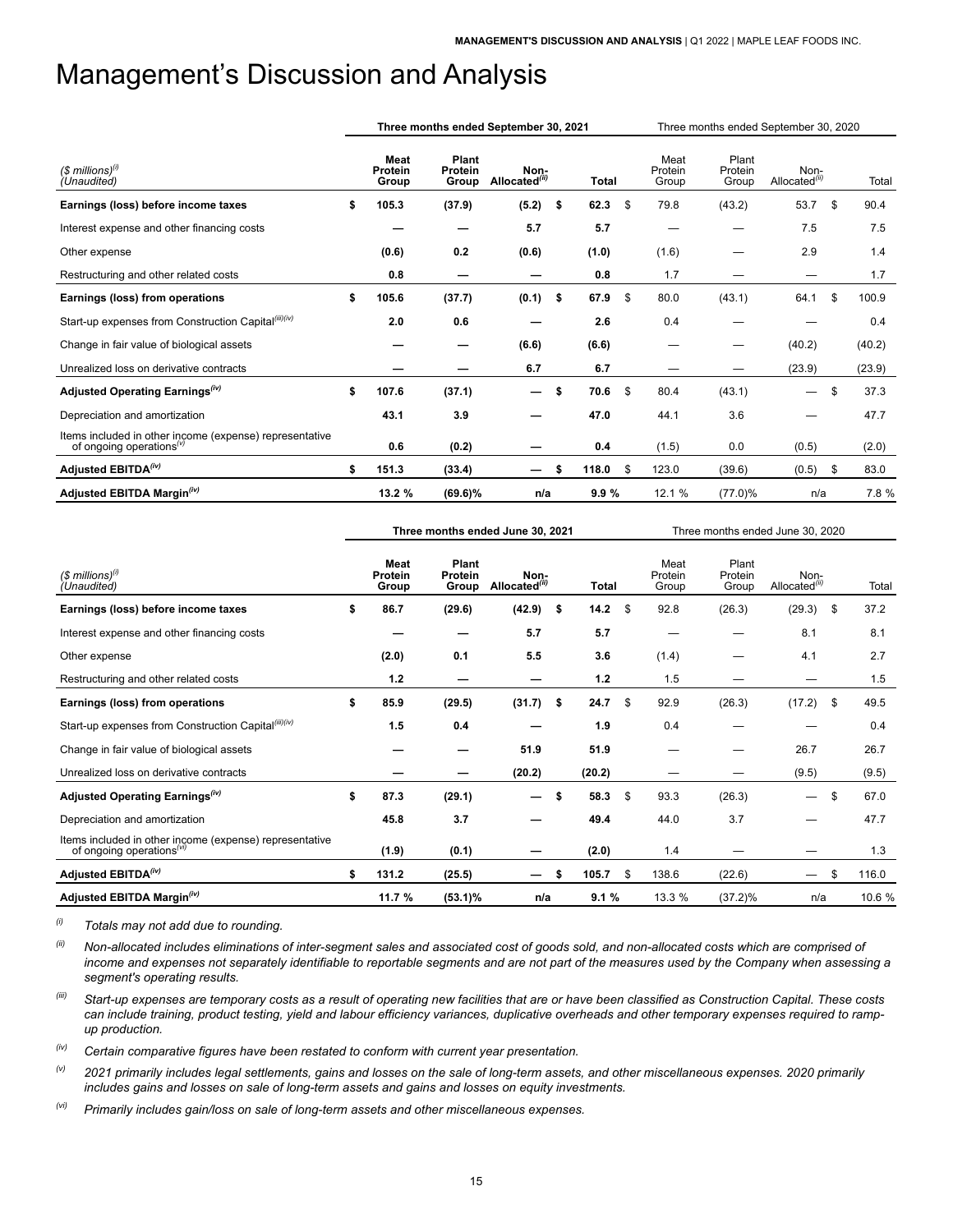|                                                                                                 | Three months ended September 30, 2021<br>Three months ended September 30, 2020 |                          |                           |                                   |      |       |     |                          |                           |                                   |    |        |
|-------------------------------------------------------------------------------------------------|--------------------------------------------------------------------------------|--------------------------|---------------------------|-----------------------------------|------|-------|-----|--------------------------|---------------------------|-----------------------------------|----|--------|
| $($$ millions) $^{(i)}$<br>(Unaudited)                                                          |                                                                                | Meat<br>Protein<br>Group | Plant<br>Protein<br>Group | Non-<br>Allocated <sup>(ii)</sup> |      | Total |     | Meat<br>Protein<br>Group | Plant<br>Protein<br>Group | Non-<br>Allocated <sup>(ii)</sup> |    | Total  |
| Earnings (loss) before income taxes                                                             | \$                                                                             | 105.3                    | (37.9)                    | (5.2)                             | \$   | 62.3  | \$  | 79.8                     | (43.2)                    | 53.7                              | \$ | 90.4   |
| Interest expense and other financing costs                                                      |                                                                                |                          |                           | 5.7                               |      | 5.7   |     |                          |                           | 7.5                               |    | 7.5    |
| Other expense                                                                                   |                                                                                | (0.6)                    | 0.2                       | (0.6)                             |      | (1.0) |     | (1.6)                    |                           | 2.9                               |    | 1.4    |
| Restructuring and other related costs                                                           |                                                                                | 0.8                      |                           |                                   |      | 0.8   |     | 1.7                      |                           |                                   |    | 1.7    |
| Earnings (loss) from operations                                                                 | \$                                                                             | 105.6                    | (37.7)                    | (0.1)                             | - \$ | 67.9  | \$  | 80.0                     | (43.1)                    | 64.1                              | \$ | 100.9  |
| Start-up expenses from Construction Capital(iii)(iv)                                            |                                                                                | 2.0                      | 0.6                       |                                   |      | 2.6   |     | 0.4                      |                           |                                   |    | 0.4    |
| Change in fair value of biological assets                                                       |                                                                                |                          |                           | (6.6)                             |      | (6.6) |     |                          |                           | (40.2)                            |    | (40.2) |
| Unrealized loss on derivative contracts                                                         |                                                                                |                          |                           | 6.7                               |      | 6.7   |     |                          |                           | (23.9)                            |    | (23.9) |
| Adjusted Operating Earnings <sup>(iv)</sup>                                                     | \$                                                                             | 107.6                    | (37.1)                    | —                                 | \$   | 70.6  | -\$ | 80.4                     | (43.1)                    | —                                 | \$ | 37.3   |
| Depreciation and amortization                                                                   |                                                                                | 43.1                     | 3.9                       |                                   |      | 47.0  |     | 44.1                     | 3.6                       |                                   |    | 47.7   |
| Items included in other income (expense) representative<br>of ongoing operations <sup>(v)</sup> |                                                                                | 0.6                      | (0.2)                     |                                   |      | 0.4   |     | (1.5)                    | 0.0                       | (0.5)                             |    | (2.0)  |
| Adjusted EBITDA <sup>(iv)</sup>                                                                 | \$                                                                             | 151.3                    | (33.4)                    |                                   | \$   | 118.0 | \$  | 123.0                    | (39.6)                    | (0.5)                             | \$ | 83.0   |
| Adjusted EBITDA Margin <sup>(iv)</sup>                                                          |                                                                                | 13.2 %                   | $(69.6)\%$                | n/a                               |      | 9.9%  |     | 12.1 %                   | $(77.0)\%$                | n/a                               |    | 7.8 %  |

|                                                                                                  | Three months ended June 30, 2021 |                           |                                   |      |              | Three months ended June 30, 2020 |                          |                           |                                   |     |        |  |  |
|--------------------------------------------------------------------------------------------------|----------------------------------|---------------------------|-----------------------------------|------|--------------|----------------------------------|--------------------------|---------------------------|-----------------------------------|-----|--------|--|--|
| $($$ millions) $^{(i)}$<br>(Unaudited)                                                           | Meat<br>Protein<br>Group         | Plant<br>Protein<br>Group | Non-<br>Allocated <sup>(ii)</sup> |      | <b>Total</b> |                                  | Meat<br>Protein<br>Group | Plant<br>Protein<br>Group | Non-<br>Allocated <sup>(ii)</sup> |     | Total  |  |  |
| Earnings (loss) before income taxes                                                              | \$<br>86.7                       | (29.6)                    | (42.9)                            | - \$ | 14.2         | \$                               | 92.8                     | (26.3)                    | (29.3)                            | -\$ | 37.2   |  |  |
| Interest expense and other financing costs                                                       |                                  |                           | 5.7                               |      | 5.7          |                                  |                          |                           | 8.1                               |     | 8.1    |  |  |
| Other expense                                                                                    | (2.0)                            | 0.1                       | 5.5                               |      | 3.6          |                                  | (1.4)                    |                           | 4.1                               |     | 2.7    |  |  |
| Restructuring and other related costs                                                            | 1.2                              |                           | –                                 |      | $1.2$        |                                  | 1.5                      |                           |                                   |     | 1.5    |  |  |
| Earnings (loss) from operations                                                                  | \$<br>85.9                       | (29.5)                    | (31.7)                            | \$   | 24.7         | \$                               | 92.9                     | (26.3)                    | (17.2)                            | \$  | 49.5   |  |  |
| Start-up expenses from Construction Capital(iii)(iv)                                             | 1.5                              | 0.4                       |                                   |      | 1.9          |                                  | 0.4                      |                           |                                   |     | 0.4    |  |  |
| Change in fair value of biological assets                                                        |                                  |                           | 51.9                              |      | 51.9         |                                  |                          |                           | 26.7                              |     | 26.7   |  |  |
| Unrealized loss on derivative contracts                                                          |                                  |                           | (20.2)                            |      | (20.2)       |                                  |                          |                           | (9.5)                             |     | (9.5)  |  |  |
| Adjusted Operating Earnings <sup>(iv)</sup>                                                      | \$<br>87.3                       | (29.1)                    | —                                 | \$   | 58.3         | \$                               | 93.3                     | (26.3)                    | —                                 | \$  | 67.0   |  |  |
| Depreciation and amortization                                                                    | 45.8                             | 3.7                       |                                   |      | 49.4         |                                  | 44.0                     | 3.7                       |                                   |     | 47.7   |  |  |
| Items included in other income (expense) representative<br>of ongoing operations <sup>(vi)</sup> | (1.9)                            | (0.1)                     |                                   |      | (2.0)        |                                  | 1.4                      |                           |                                   |     | 1.3    |  |  |
| Adjusted EBITDA <sup>(iv)</sup>                                                                  | \$<br>131.2                      | (25.5)                    |                                   | S    | 105.7        | \$                               | 138.6                    | (22.6)                    |                                   | \$  | 116.0  |  |  |
| Adjusted EBITDA Margin <sup>(iv)</sup>                                                           | 11.7 %                           | $(53.1)\%$                | n/a                               |      | 9.1%         |                                  | 13.3 %                   | $(37.2)\%$                | n/a                               |     | 10.6 % |  |  |

*(i) Totals may not add due to rounding.*

- *(ii) Non-allocated includes eliminations of inter-segment sales and associated cost of goods sold, and non-allocated costs which are comprised of income and expenses not separately identifiable to reportable segments and are not part of the measures used by the Company when assessing a segment's operating results.*
- *(iii) Start-up expenses are temporary costs as a result of operating new facilities that are or have been classified as Construction Capital. These costs can include training, product testing, yield and labour efficiency variances, duplicative overheads and other temporary expenses required to rampup production.*

*(iv) Certain comparative figures have been restated to conform with current year presentation.* 

*(v) 2021 primarily includes legal settlements, gains and losses on the sale of long-term assets, and other miscellaneous expenses. 2020 primarily includes gains and losses on sale of long-term assets and gains and losses on equity investments.* 

*(vi) Primarily includes gain/loss on sale of long-term assets and other miscellaneous expenses.*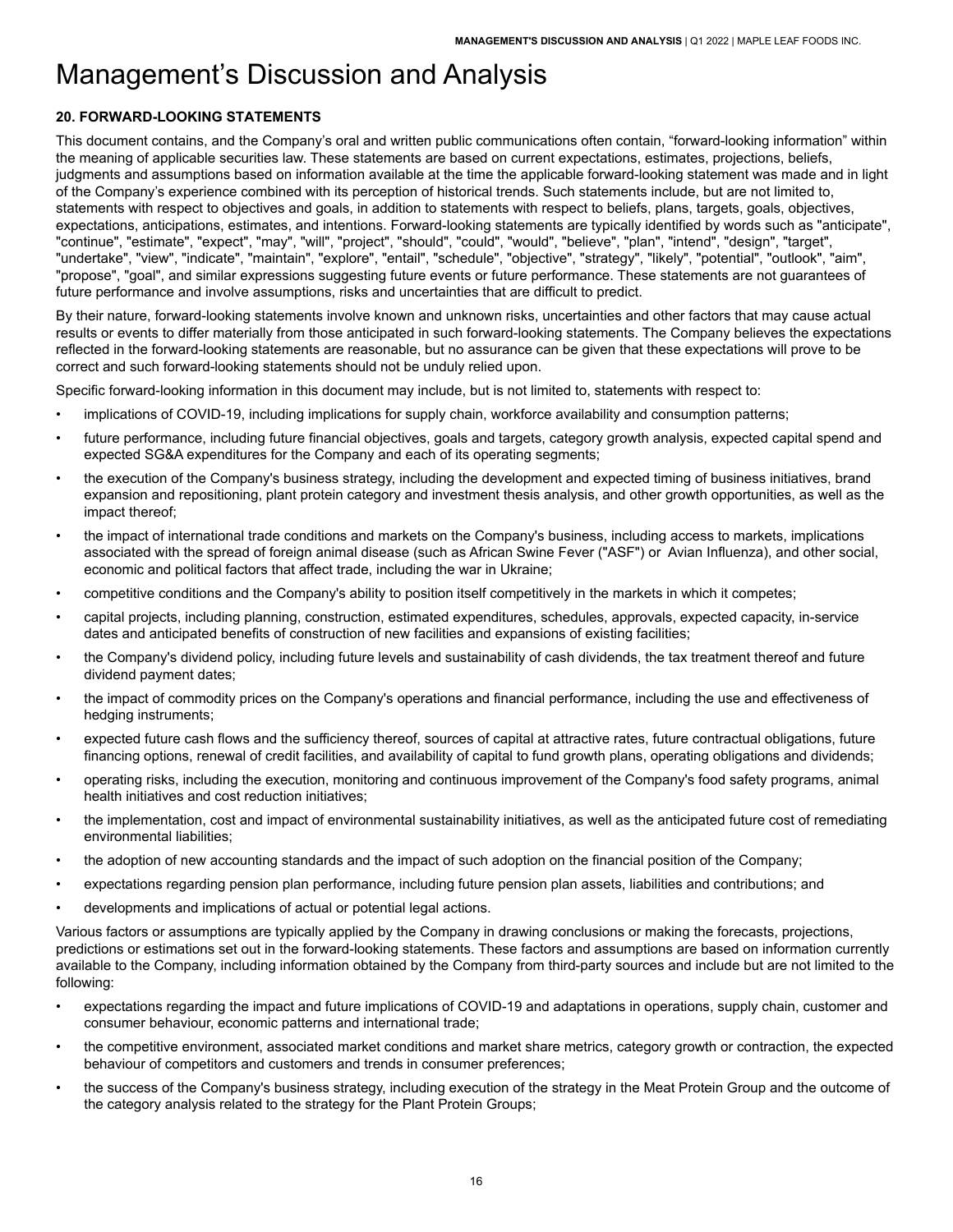# <span id="page-17-0"></span>**20. FORWARD-LOOKING STATEMENTS**

This document contains, and the Company's oral and written public communications often contain, "forward-looking information" within the meaning of applicable securities law. These statements are based on current expectations, estimates, projections, beliefs, judgments and assumptions based on information available at the time the applicable forward-looking statement was made and in light of the Company's experience combined with its perception of historical trends. Such statements include, but are not limited to, statements with respect to objectives and goals, in addition to statements with respect to beliefs, plans, targets, goals, objectives, expectations, anticipations, estimates, and intentions. Forward-looking statements are typically identified by words such as "anticipate", "continue", "estimate", "expect", "may", "will", "project", "should", "could", "would", "believe", "plan", "intend", "design", "target", "undertake", "view", "indicate", "maintain", "explore", "entail", "schedule", "objective", "strategy", "likely", "potential", "outlook", "aim", "propose", "goal", and similar expressions suggesting future events or future performance. These statements are not guarantees of future performance and involve assumptions, risks and uncertainties that are difficult to predict.

By their nature, forward-looking statements involve known and unknown risks, uncertainties and other factors that may cause actual results or events to differ materially from those anticipated in such forward-looking statements. The Company believes the expectations reflected in the forward-looking statements are reasonable, but no assurance can be given that these expectations will prove to be correct and such forward-looking statements should not be unduly relied upon.

Specific forward-looking information in this document may include, but is not limited to, statements with respect to:

- implications of COVID-19, including implications for supply chain, workforce availability and consumption patterns;
- future performance, including future financial objectives, goals and targets, category growth analysis, expected capital spend and expected SG&A expenditures for the Company and each of its operating segments;
- the execution of the Company's business strategy, including the development and expected timing of business initiatives, brand expansion and repositioning, plant protein category and investment thesis analysis, and other growth opportunities, as well as the impact thereof;
- the impact of international trade conditions and markets on the Company's business, including access to markets, implications associated with the spread of foreign animal disease (such as African Swine Fever ("ASF") or Avian Influenza), and other social, economic and political factors that affect trade, including the war in Ukraine;
- competitive conditions and the Company's ability to position itself competitively in the markets in which it competes;
- capital projects, including planning, construction, estimated expenditures, schedules, approvals, expected capacity, in-service dates and anticipated benefits of construction of new facilities and expansions of existing facilities;
- the Company's dividend policy, including future levels and sustainability of cash dividends, the tax treatment thereof and future dividend payment dates;
- the impact of commodity prices on the Company's operations and financial performance, including the use and effectiveness of hedging instruments;
- expected future cash flows and the sufficiency thereof, sources of capital at attractive rates, future contractual obligations, future financing options, renewal of credit facilities, and availability of capital to fund growth plans, operating obligations and dividends;
- operating risks, including the execution, monitoring and continuous improvement of the Company's food safety programs, animal health initiatives and cost reduction initiatives;
- the implementation, cost and impact of environmental sustainability initiatives, as well as the anticipated future cost of remediating environmental liabilities;
- the adoption of new accounting standards and the impact of such adoption on the financial position of the Company;
- expectations regarding pension plan performance, including future pension plan assets, liabilities and contributions; and
- developments and implications of actual or potential legal actions.

Various factors or assumptions are typically applied by the Company in drawing conclusions or making the forecasts, projections, predictions or estimations set out in the forward-looking statements. These factors and assumptions are based on information currently available to the Company, including information obtained by the Company from third-party sources and include but are not limited to the following:

- expectations regarding the impact and future implications of COVID-19 and adaptations in operations, supply chain, customer and consumer behaviour, economic patterns and international trade;
- the competitive environment, associated market conditions and market share metrics, category growth or contraction, the expected behaviour of competitors and customers and trends in consumer preferences;
- the success of the Company's business strategy, including execution of the strategy in the Meat Protein Group and the outcome of the category analysis related to the strategy for the Plant Protein Groups;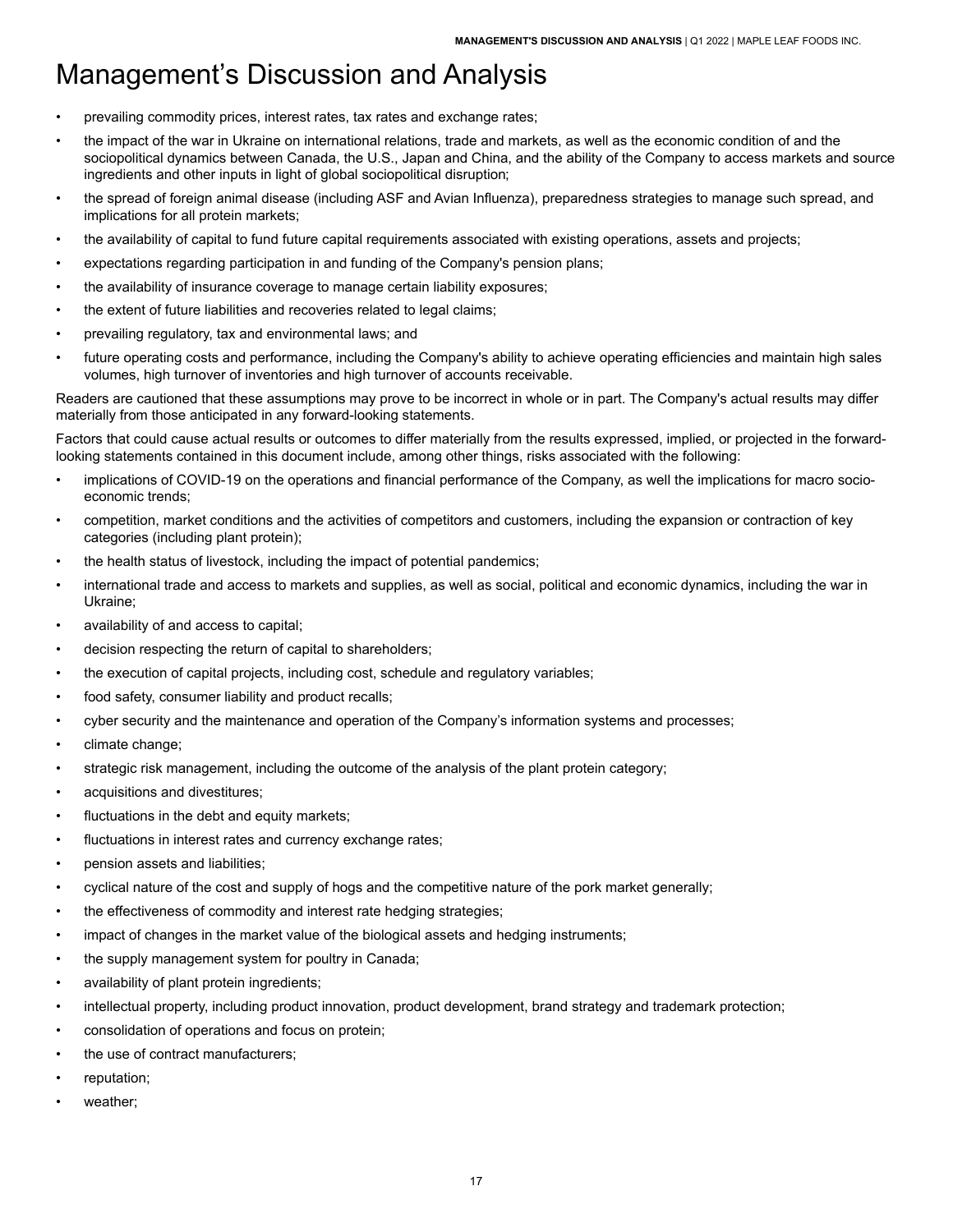- prevailing commodity prices, interest rates, tax rates and exchange rates;
- the impact of the war in Ukraine on international relations, trade and markets, as well as the economic condition of and the sociopolitical dynamics between Canada, the U.S., Japan and China, and the ability of the Company to access markets and source ingredients and other inputs in light of global sociopolitical disruption;
- the spread of foreign animal disease (including ASF and Avian Influenza), preparedness strategies to manage such spread, and implications for all protein markets;
- the availability of capital to fund future capital requirements associated with existing operations, assets and projects;
- expectations regarding participation in and funding of the Company's pension plans;
- the availability of insurance coverage to manage certain liability exposures;
- the extent of future liabilities and recoveries related to legal claims;
- prevailing regulatory, tax and environmental laws; and
- future operating costs and performance, including the Company's ability to achieve operating efficiencies and maintain high sales volumes, high turnover of inventories and high turnover of accounts receivable.

Readers are cautioned that these assumptions may prove to be incorrect in whole or in part. The Company's actual results may differ materially from those anticipated in any forward-looking statements.

Factors that could cause actual results or outcomes to differ materially from the results expressed, implied, or projected in the forwardlooking statements contained in this document include, among other things, risks associated with the following:

- implications of COVID-19 on the operations and financial performance of the Company, as well the implications for macro socioeconomic trends;
- competition, market conditions and the activities of competitors and customers, including the expansion or contraction of key categories (including plant protein);
- the health status of livestock, including the impact of potential pandemics;
- international trade and access to markets and supplies, as well as social, political and economic dynamics, including the war in Ukraine;
- availability of and access to capital;
- decision respecting the return of capital to shareholders;
- the execution of capital projects, including cost, schedule and regulatory variables;
- food safety, consumer liability and product recalls;
- cyber security and the maintenance and operation of the Company's information systems and processes;
- climate change;
- strategic risk management, including the outcome of the analysis of the plant protein category;
- acquisitions and divestitures;
- fluctuations in the debt and equity markets;
- fluctuations in interest rates and currency exchange rates;
- pension assets and liabilities;
- cyclical nature of the cost and supply of hogs and the competitive nature of the pork market generally;
- the effectiveness of commodity and interest rate hedging strategies;
- impact of changes in the market value of the biological assets and hedging instruments;
- the supply management system for poultry in Canada;
- availability of plant protein ingredients;
- intellectual property, including product innovation, product development, brand strategy and trademark protection;
- consolidation of operations and focus on protein;
- the use of contract manufacturers;
- reputation;
- weather: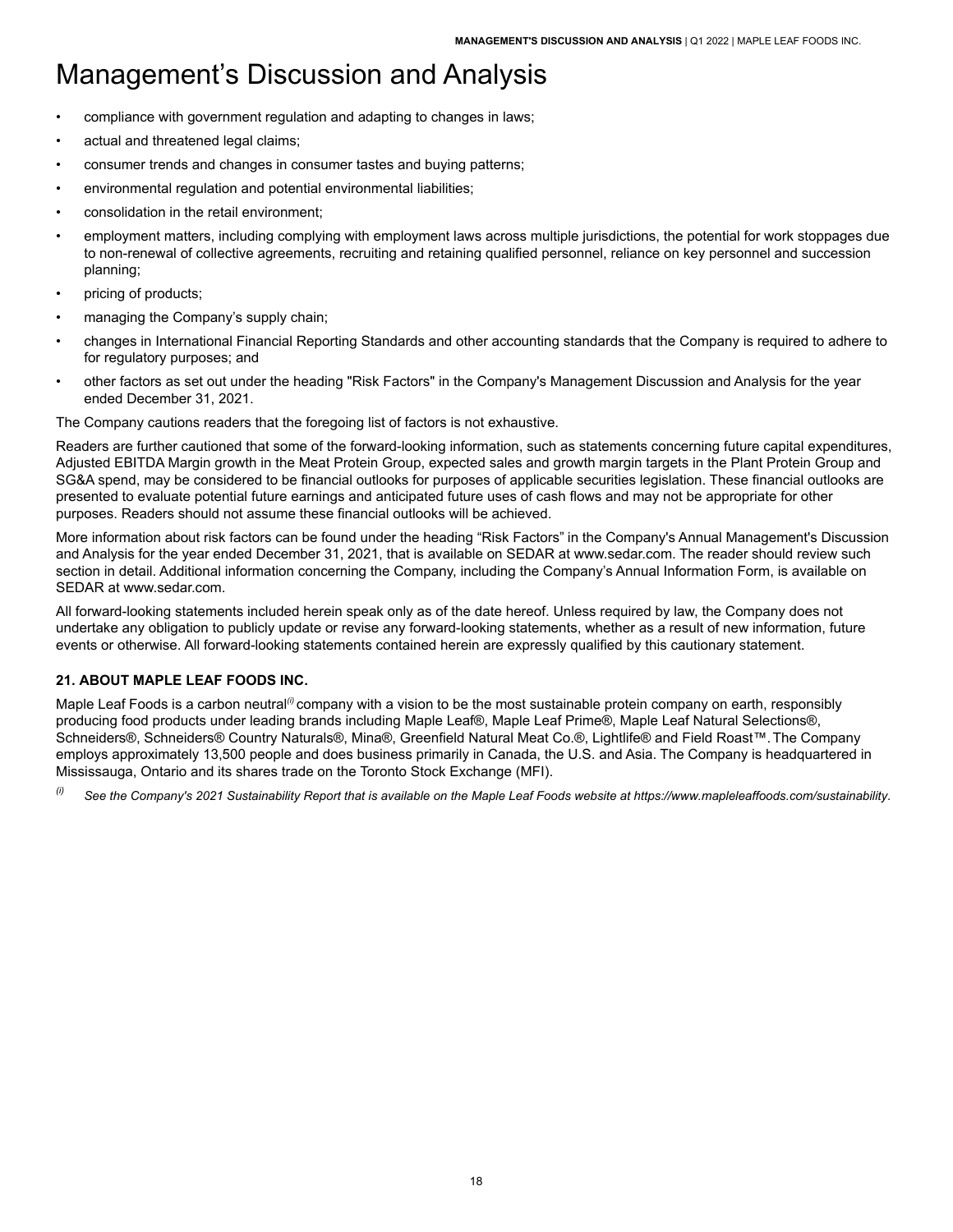- compliance with government regulation and adapting to changes in laws;
- actual and threatened legal claims;
- consumer trends and changes in consumer tastes and buying patterns;
- environmental regulation and potential environmental liabilities;
- consolidation in the retail environment;
- employment matters, including complying with employment laws across multiple jurisdictions, the potential for work stoppages due to non-renewal of collective agreements, recruiting and retaining qualified personnel, reliance on key personnel and succession planning;
- pricing of products;
- managing the Company's supply chain;
- changes in International Financial Reporting Standards and other accounting standards that the Company is required to adhere to for regulatory purposes; and
- other factors as set out under the heading "Risk Factors" in the Company's Management Discussion and Analysis for the year ended December 31, 2021.

The Company cautions readers that the foregoing list of factors is not exhaustive.

Readers are further cautioned that some of the forward-looking information, such as statements concerning future capital expenditures, Adjusted EBITDA Margin growth in the Meat Protein Group, expected sales and growth margin targets in the Plant Protein Group and SG&A spend, may be considered to be financial outlooks for purposes of applicable securities legislation. These financial outlooks are presented to evaluate potential future earnings and anticipated future uses of cash flows and may not be appropriate for other purposes. Readers should not assume these financial outlooks will be achieved.

More information about risk factors can be found under the heading "Risk Factors" in the Company's Annual Management's Discussion and Analysis for the year ended December 31, 2021, that is available on SEDAR at<www.sedar.com>. The reader should review such section in detail. Additional information concerning the Company, including the Company's Annual Information Form, is available on SEDAR at [www.sedar.com.](www.sedar.com)

All forward-looking statements included herein speak only as of the date hereof. Unless required by law, the Company does not undertake any obligation to publicly update or revise any forward-looking statements, whether as a result of new information, future events or otherwise. All forward-looking statements contained herein are expressly qualified by this cautionary statement.

## <span id="page-19-0"></span>**21. ABOUT MAPLE LEAF FOODS INC.**

Maple Leaf Foods is a carbon neutral<sup>(*i*)</sup> company with a vision to be the most sustainable protein company on earth, responsibly producing food products under leading brands including Maple Leaf®, Maple Leaf Prime®, Maple Leaf Natural Selections®, Schneiders®, Schneiders® Country Naturals®, Mina®, Greenfield Natural Meat Co.®, Lightlife® and Field Roast™.The Company employs approximately 13,500 people and does business primarily in Canada, the U.S. and Asia. The Company is headquartered in Mississauga, Ontario and its shares trade on the Toronto Stock Exchange (MFI).

*(i) See the Company's 2021 Sustainability Report that is available on the Maple Leaf Foods website at<https://www.mapleleaffoods.com/sustainability>.*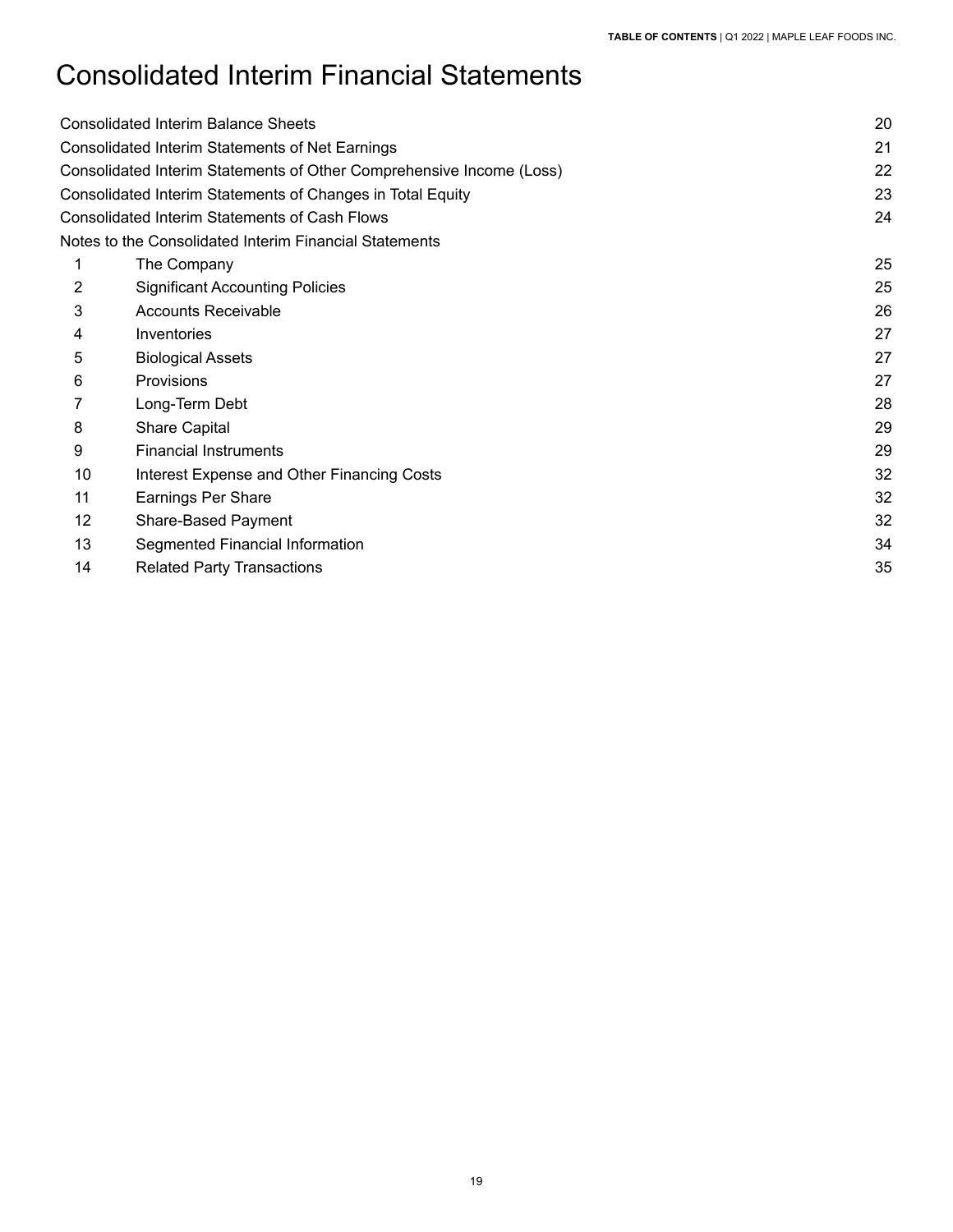# Consolidated Interim Financial Statements

|    | <b>Consolidated Interim Balance Sheets</b>                           | 20 |
|----|----------------------------------------------------------------------|----|
|    | Consolidated Interim Statements of Net Earnings                      | 21 |
|    | Consolidated Interim Statements of Other Comprehensive Income (Loss) | 22 |
|    | Consolidated Interim Statements of Changes in Total Equity           | 23 |
|    | <b>Consolidated Interim Statements of Cash Flows</b>                 | 24 |
|    | Notes to the Consolidated Interim Financial Statements               |    |
|    | The Company                                                          | 25 |
| 2  | <b>Significant Accounting Policies</b>                               | 25 |
| 3  | <b>Accounts Receivable</b>                                           | 26 |
| 4  | Inventories                                                          | 27 |
| 5  | <b>Biological Assets</b>                                             | 27 |
| 6  | Provisions                                                           | 27 |
|    | Long-Term Debt                                                       | 28 |
| 8  | Share Capital                                                        | 29 |
| 9  | <b>Financial Instruments</b>                                         | 29 |
| 10 | Interest Expense and Other Financing Costs                           | 32 |
| 11 | Earnings Per Share                                                   | 32 |
| 12 | <b>Share-Based Payment</b>                                           | 32 |
| 13 | Segmented Financial Information                                      | 34 |
| 14 | <b>Related Party Transactions</b>                                    | 35 |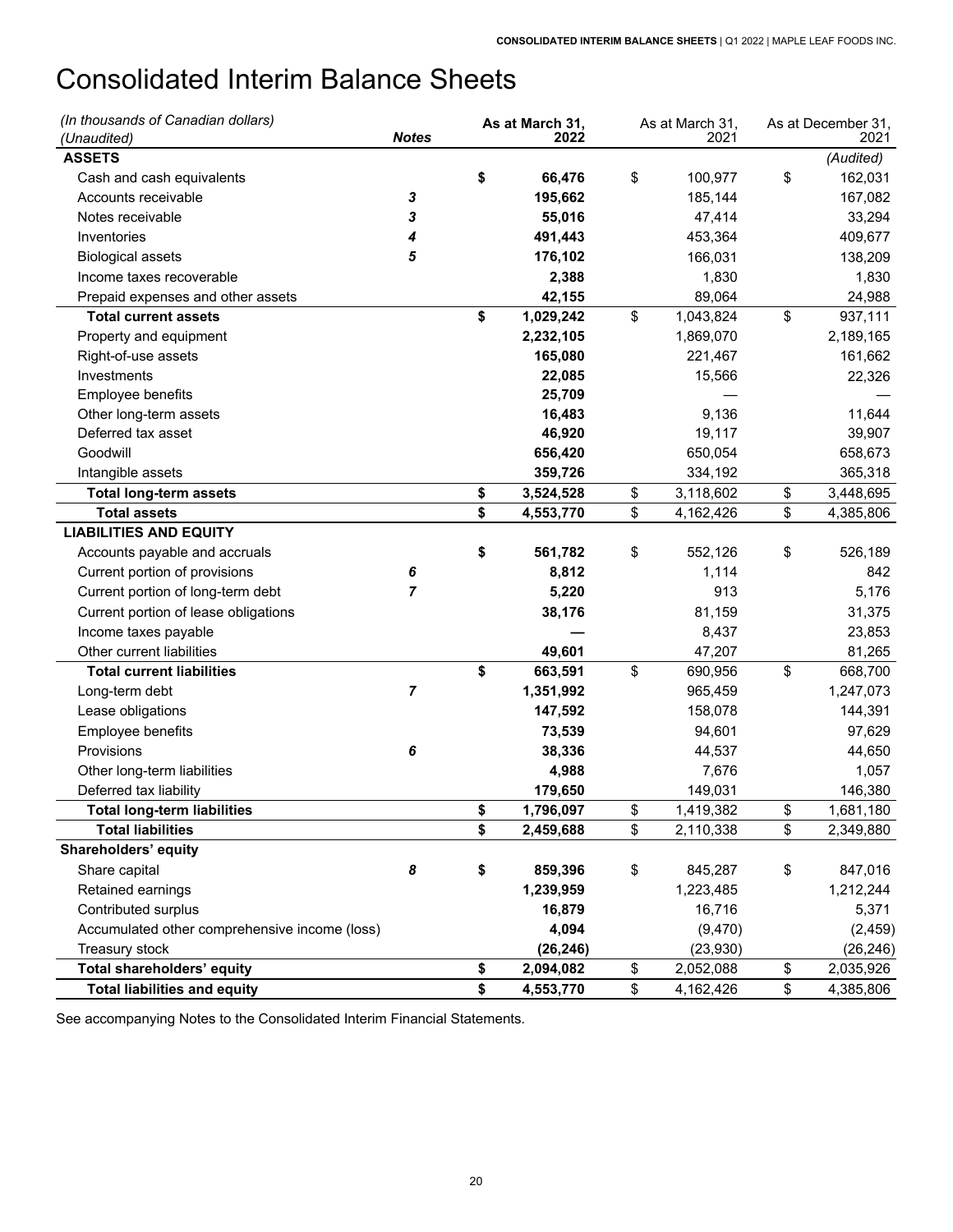# <span id="page-21-0"></span>Consolidated Interim Balance Sheets

| (In thousands of Canadian dollars)            |              | As at March 31, | As at March 31, | As at December 31, |
|-----------------------------------------------|--------------|-----------------|-----------------|--------------------|
| (Unaudited)                                   | <b>Notes</b> | 2022            | 2021            | 2021               |
| <b>ASSETS</b>                                 |              |                 |                 | (Audited)          |
| Cash and cash equivalents                     |              | \$<br>66,476    | \$<br>100,977   | \$<br>162,031      |
| Accounts receivable                           | 3            | 195,662         | 185,144         | 167,082            |
| Notes receivable                              | 3            | 55,016          | 47,414          | 33,294             |
| Inventories                                   | 4            | 491,443         | 453,364         | 409,677            |
| <b>Biological assets</b>                      | 5            | 176,102         | 166,031         | 138,209            |
| Income taxes recoverable                      |              | 2,388           | 1,830           | 1,830              |
| Prepaid expenses and other assets             |              | 42,155          | 89,064          | 24,988             |
| <b>Total current assets</b>                   |              | \$<br>1,029,242 | \$<br>1,043,824 | \$<br>937,111      |
| Property and equipment                        |              | 2,232,105       | 1,869,070       | 2,189,165          |
| Right-of-use assets                           |              | 165,080         | 221,467         | 161,662            |
| Investments                                   |              | 22,085          | 15,566          | 22,326             |
| Employee benefits                             |              | 25,709          |                 |                    |
| Other long-term assets                        |              | 16,483          | 9,136           | 11,644             |
| Deferred tax asset                            |              | 46,920          | 19,117          | 39,907             |
| Goodwill                                      |              | 656,420         | 650,054         | 658,673            |
| Intangible assets                             |              | 359,726         | 334,192         | 365,318            |
| <b>Total long-term assets</b>                 |              | \$<br>3,524,528 | \$<br>3,118,602 | \$<br>3,448,695    |
| <b>Total assets</b>                           |              | \$<br>4,553,770 | \$<br>4,162,426 | \$<br>4,385,806    |
| <b>LIABILITIES AND EQUITY</b>                 |              |                 |                 |                    |
| Accounts payable and accruals                 |              | \$<br>561,782   | \$<br>552,126   | \$<br>526,189      |
| Current portion of provisions                 | 6            | 8,812           | 1,114           | 842                |
| Current portion of long-term debt             | 7            | 5,220           | 913             | 5,176              |
| Current portion of lease obligations          |              | 38,176          | 81,159          | 31,375             |
| Income taxes payable                          |              |                 | 8,437           | 23,853             |
| Other current liabilities                     |              | 49,601          | 47,207          | 81,265             |
| <b>Total current liabilities</b>              |              | \$<br>663,591   | \$<br>690,956   | \$<br>668,700      |
| Long-term debt                                | 7            | 1,351,992       | 965,459         | 1,247,073          |
| Lease obligations                             |              | 147,592         | 158,078         | 144,391            |
| Employee benefits                             |              | 73,539          | 94,601          | 97,629             |
| Provisions                                    | 6            | 38,336          | 44,537          | 44,650             |
| Other long-term liabilities                   |              | 4,988           | 7,676           | 1,057              |
| Deferred tax liability                        |              | 179,650         | 149,031         | 146,380            |
| <b>Total long-term liabilities</b>            |              | \$<br>1,796,097 | \$<br>1,419,382 | \$<br>1,681,180    |
| <b>Total liabilities</b>                      |              | \$<br>2,459,688 | \$<br>2,110,338 | \$<br>2,349,880    |
| Shareholders' equity                          |              |                 |                 |                    |
| Share capital                                 | 8            | \$<br>859,396   | \$<br>845,287   | \$<br>847,016      |
| Retained earnings                             |              | 1,239,959       | 1,223,485       | 1,212,244          |
| Contributed surplus                           |              | 16,879          | 16,716          | 5,371              |
| Accumulated other comprehensive income (loss) |              | 4,094           | (9, 470)        | (2, 459)           |
| Treasury stock                                |              | (26, 246)       | (23,930)        | (26, 246)          |
| Total shareholders' equity                    |              | \$<br>2,094,082 | \$<br>2,052,088 | \$<br>2,035,926    |
| <b>Total liabilities and equity</b>           |              | \$<br>4,553,770 | \$<br>4,162,426 | \$<br>4,385,806    |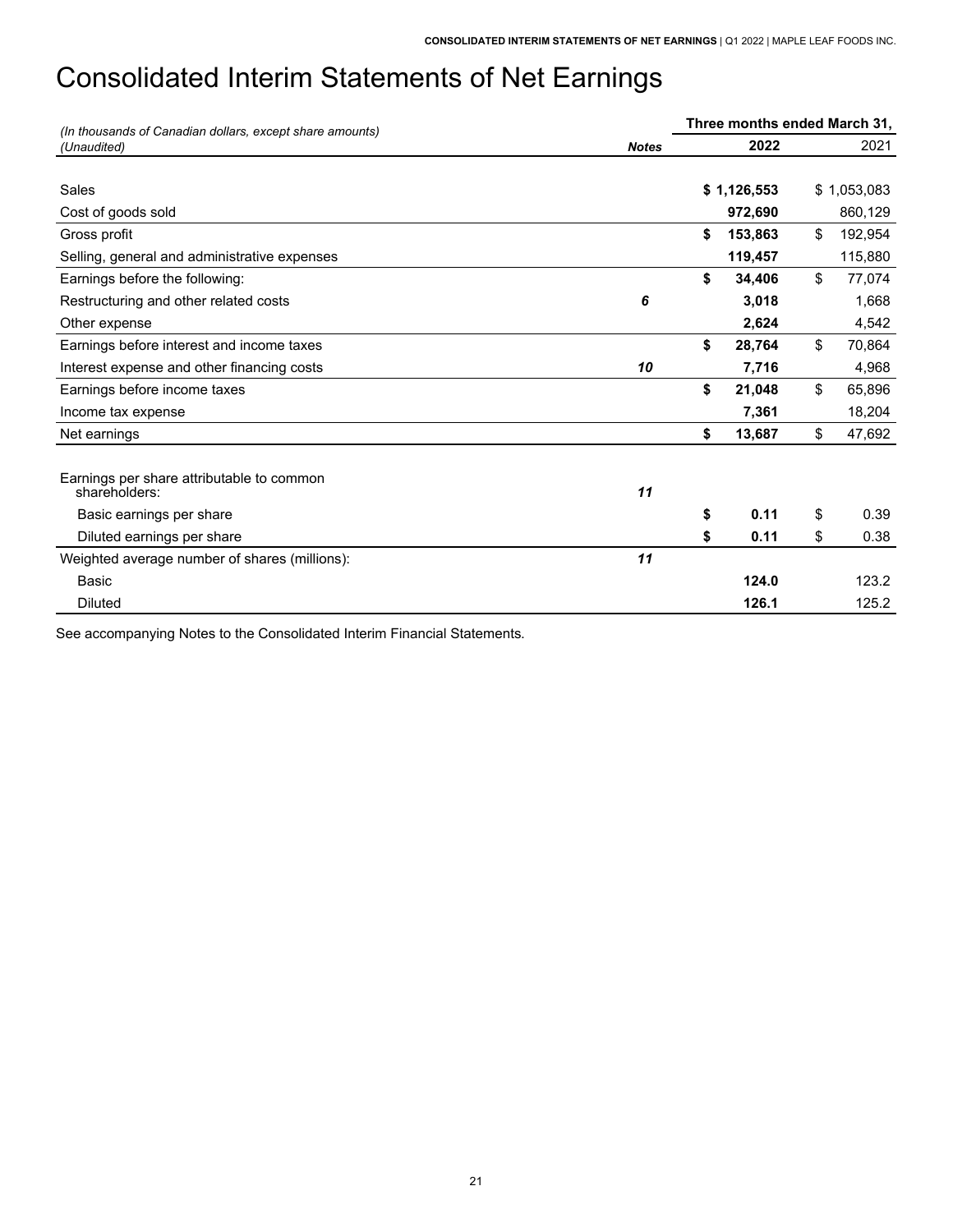# <span id="page-22-0"></span>Consolidated Interim Statements of Net Earnings

| (In thousands of Canadian dollars, except share amounts)   |              | Three months ended March 31, |               |
|------------------------------------------------------------|--------------|------------------------------|---------------|
| (Unaudited)                                                | <b>Notes</b> | 2022                         | 2021          |
|                                                            |              |                              |               |
| Sales                                                      |              | \$1,126,553                  | \$1,053,083   |
| Cost of goods sold                                         |              | 972,690                      | 860,129       |
| Gross profit                                               |              | \$<br>153,863                | \$<br>192,954 |
| Selling, general and administrative expenses               |              | 119,457                      | 115,880       |
| Earnings before the following:                             |              | \$<br>34,406                 | \$<br>77,074  |
| Restructuring and other related costs                      | 6            | 3,018                        | 1,668         |
| Other expense                                              |              | 2,624                        | 4,542         |
| Earnings before interest and income taxes                  |              | \$<br>28,764                 | \$<br>70,864  |
| Interest expense and other financing costs                 | 10           | 7,716                        | 4,968         |
| Earnings before income taxes                               |              | \$<br>21,048                 | \$<br>65,896  |
| Income tax expense                                         |              | 7,361                        | 18,204        |
| Net earnings                                               |              | \$<br>13,687                 | \$<br>47,692  |
|                                                            |              |                              |               |
| Earnings per share attributable to common<br>shareholders: | 11           |                              |               |
| Basic earnings per share                                   |              | \$<br>0.11                   | \$<br>0.39    |
| Diluted earnings per share                                 |              | \$<br>0.11                   | \$<br>0.38    |
| Weighted average number of shares (millions):              | 11           |                              |               |
| Basic                                                      |              | 124.0                        | 123.2         |
| <b>Diluted</b>                                             |              | 126.1                        | 125.2         |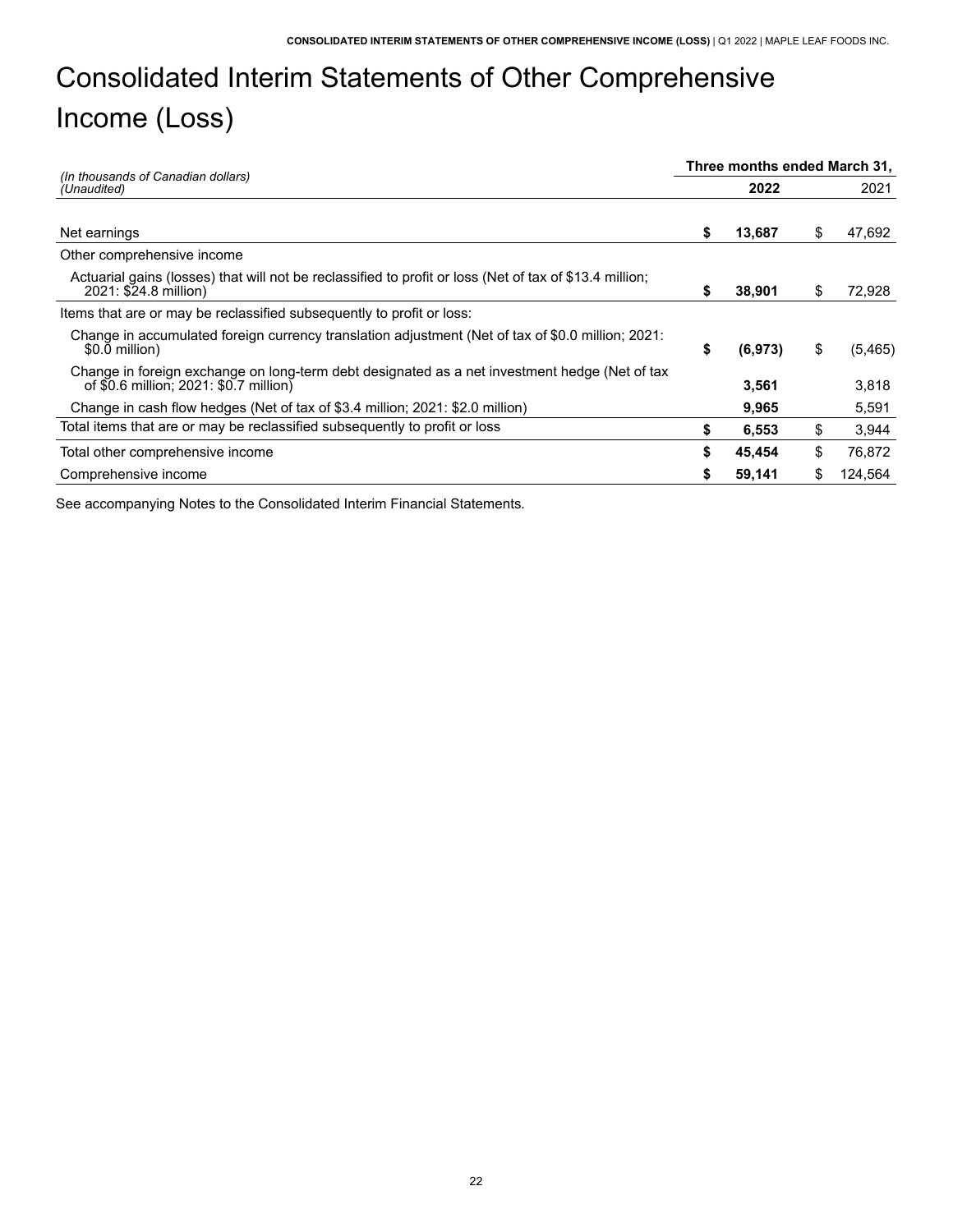# <span id="page-23-0"></span> Consolidated Interim Statements of Other Comprehensive Income (Loss)

|                                                                                                                                         |    | Three months ended March 31, |     |          |
|-----------------------------------------------------------------------------------------------------------------------------------------|----|------------------------------|-----|----------|
| (In thousands of Canadian dollars)<br>(Unaudited)                                                                                       |    | 2022                         |     | 2021     |
|                                                                                                                                         |    |                              |     |          |
| Net earnings                                                                                                                            | S  | 13,687                       | \$  | 47,692   |
| Other comprehensive income                                                                                                              |    |                              |     |          |
| Actuarial gains (losses) that will not be reclassified to profit or loss (Net of tax of \$13.4 million;<br>2021: \$24.8 million)        | S  | 38,901                       | \$  | 72,928   |
| Items that are or may be reclassified subsequently to profit or loss:                                                                   |    |                              |     |          |
| Change in accumulated foreign currency translation adjustment (Net of tax of \$0.0 million; 2021:<br>\$0.0 million)                     | \$ | (6,973)                      | \$  | (5, 465) |
| Change in foreign exchange on long-term debt designated as a net investment hedge (Net of tax<br>of \$0.6 million; 2021: \$0.7 million) |    | 3,561                        |     | 3,818    |
| Change in cash flow hedges (Net of tax of \$3.4 million; 2021: \$2.0 million)                                                           |    | 9,965                        |     | 5,591    |
| Total items that are or may be reclassified subsequently to profit or loss                                                              | S  | 6,553                        | \$  | 3,944    |
| Total other comprehensive income                                                                                                        | \$ | 45,454                       | \$  | 76,872   |
| Comprehensive income                                                                                                                    |    | 59,141                       | \$. | 124.564  |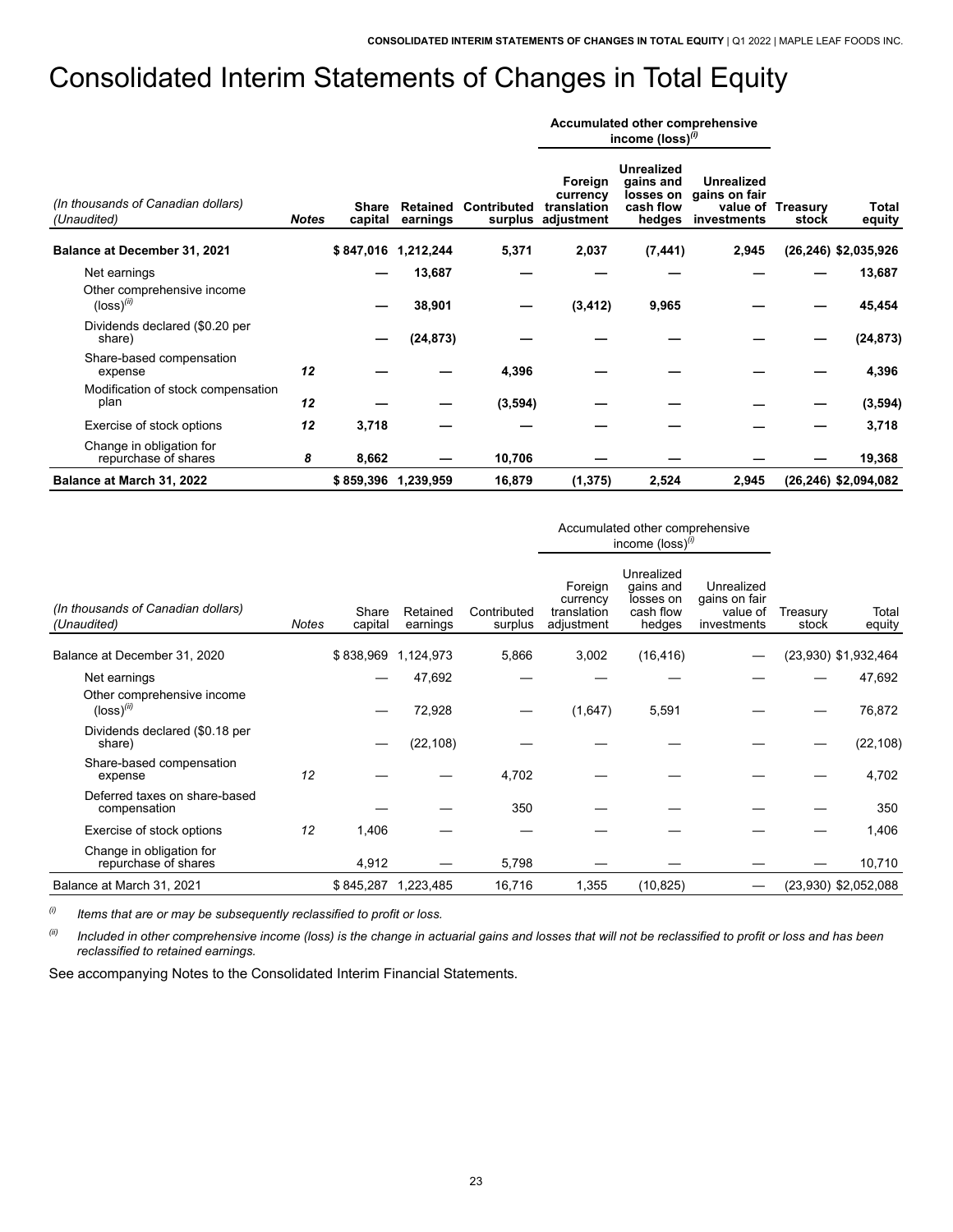# <span id="page-24-0"></span>Consolidated Interim Statements of Changes in Total Equity

|                                                        |              |                  |                      |             |                                                          | Accumulated other comprehensive<br>income (loss) $(0)$ |                                                             |                            |                         |
|--------------------------------------------------------|--------------|------------------|----------------------|-------------|----------------------------------------------------------|--------------------------------------------------------|-------------------------------------------------------------|----------------------------|-------------------------|
| (In thousands of Canadian dollars)<br>(Unaudited)      | <b>Notes</b> | Share<br>capital | Retained<br>earnings | Contributed | Foreign<br>currency<br>translation<br>surplus adjustment | <b>Unrealized</b><br>gains and<br>cash flow<br>hedges  | <b>Unrealized</b><br>losses on gains on fair<br>investments | value of Treasury<br>stock | Total<br>equity         |
| <b>Balance at December 31, 2021</b>                    |              | \$847,016        | 1,212,244            | 5,371       | 2,037                                                    | (7, 441)                                               | 2,945                                                       |                            | (26,246) \$2,035,926    |
| Net earnings                                           |              |                  | 13,687               |             |                                                          |                                                        |                                                             |                            | 13,687                  |
| Other comprehensive income<br>$(logs)$ <sup>(ii)</sup> |              |                  | 38,901               |             | (3, 412)                                                 | 9,965                                                  |                                                             |                            | 45,454                  |
| Dividends declared (\$0.20 per<br>share)               |              |                  | (24, 873)            |             |                                                          |                                                        |                                                             |                            | (24, 873)               |
| Share-based compensation<br>expense                    | 12           |                  |                      | 4,396       |                                                          |                                                        |                                                             |                            | 4,396                   |
| Modification of stock compensation<br>plan             | 12           |                  |                      | (3,594)     |                                                          |                                                        |                                                             |                            | (3,594)                 |
| Exercise of stock options                              | 12           | 3,718            |                      |             |                                                          |                                                        |                                                             |                            | 3,718                   |
| Change in obligation for<br>repurchase of shares       | 8            | 8,662            |                      | 10,706      |                                                          |                                                        |                                                             |                            | 19,368                  |
| Balance at March 31, 2022                              |              |                  | \$859,396 1,239,959  | 16,879      | (1, 375)                                                 | 2,524                                                  | 2,945                                                       |                            | $(26, 246)$ \$2,094,082 |

|                                                        |              |                  |                      |                        |                                                  | Accumulated other comprehensive<br>income $(logs)$ <sup>(i)</sup> |                                                        |                   |                      |
|--------------------------------------------------------|--------------|------------------|----------------------|------------------------|--------------------------------------------------|-------------------------------------------------------------------|--------------------------------------------------------|-------------------|----------------------|
| (In thousands of Canadian dollars)<br>(Unaudited)      | <b>Notes</b> | Share<br>capital | Retained<br>earnings | Contributed<br>surplus | Foreign<br>currency<br>translation<br>adjustment | Unrealized<br>gains and<br>losses on<br>cash flow<br>hedges       | Unrealized<br>gains on fair<br>value of<br>investments | Treasury<br>stock | Total<br>equity      |
| Balance at December 31, 2020                           |              | \$838,969        | 1,124,973            | 5,866                  | 3,002                                            | (16, 416)                                                         |                                                        |                   | (23,930) \$1,932,464 |
| Net earnings                                           |              |                  | 47,692               |                        |                                                  |                                                                   |                                                        |                   | 47,692               |
| Other comprehensive income<br>$(logs)$ <sup>(ii)</sup> |              |                  | 72,928               |                        | (1,647)                                          | 5,591                                                             |                                                        |                   | 76,872               |
| Dividends declared (\$0.18 per<br>share)               |              |                  | (22, 108)            |                        |                                                  |                                                                   |                                                        |                   | (22, 108)            |
| Share-based compensation<br>expense                    | 12           |                  |                      | 4,702                  |                                                  |                                                                   |                                                        |                   | 4,702                |
| Deferred taxes on share-based<br>compensation          |              |                  |                      | 350                    |                                                  |                                                                   |                                                        |                   | 350                  |
| Exercise of stock options                              | 12           | 1,406            |                      |                        |                                                  |                                                                   |                                                        |                   | 1,406                |
| Change in obligation for<br>repurchase of shares       |              | 4,912            |                      | 5,798                  |                                                  |                                                                   |                                                        |                   | 10,710               |
| Balance at March 31, 2021                              |              | \$845,287        | 1,223,485            | 16,716                 | 1,355                                            | (10, 825)                                                         |                                                        |                   | (23,930) \$2,052,088 |

*(i) Items that are or may be subsequently reclassified to profit or loss.*

(ii) Included in other comprehensive income (loss) is the change in actuarial gains and losses that will not be reclassified to profit or loss and has been *reclassified to retained earnings.*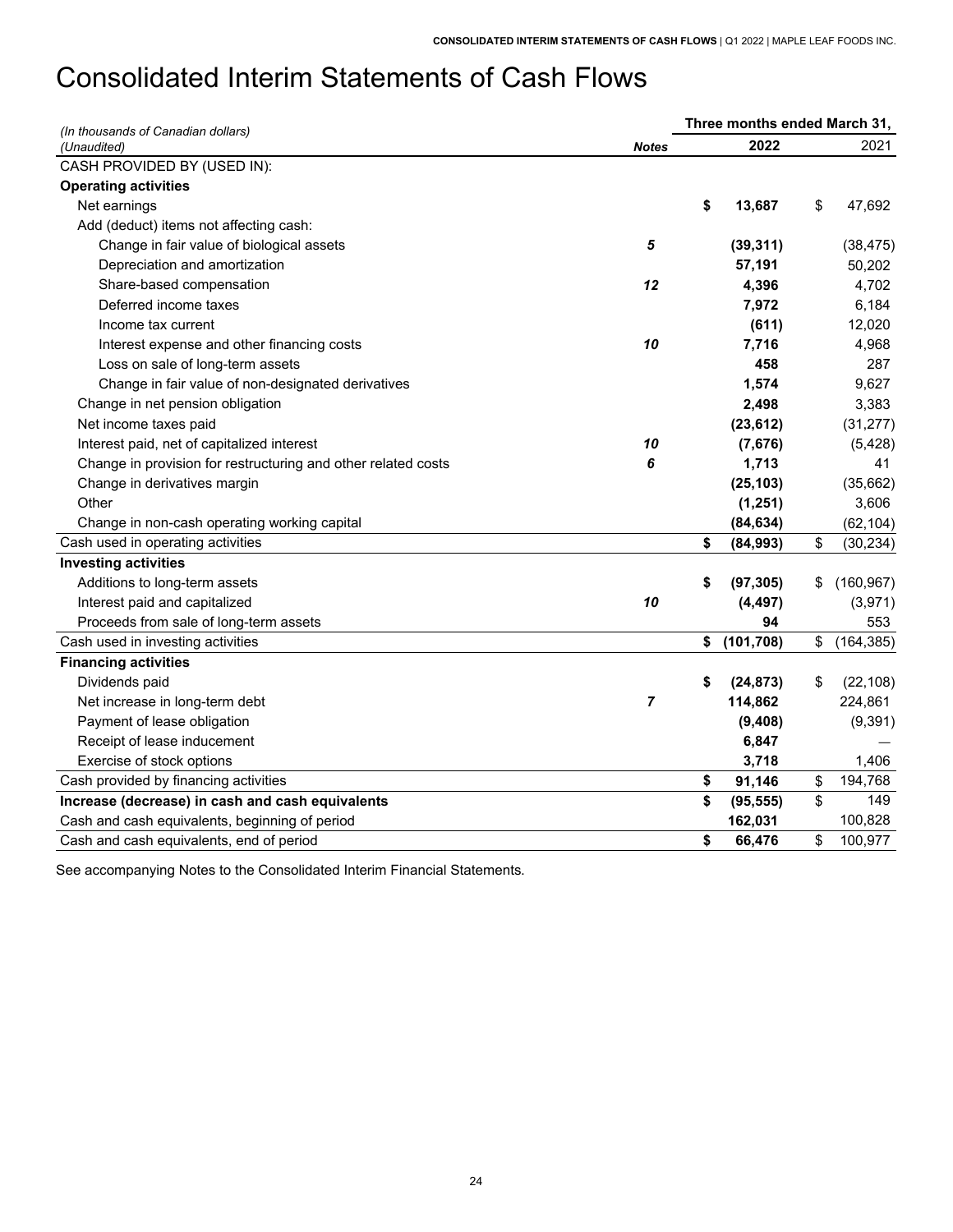# <span id="page-25-0"></span>Consolidated Interim Statements of Cash Flows

| (In thousands of Canadian dollars)                            |              | Three months ended March 31, |                  |
|---------------------------------------------------------------|--------------|------------------------------|------------------|
| (Unaudited)                                                   | <b>Notes</b> | 2022                         | 2021             |
| CASH PROVIDED BY (USED IN):                                   |              |                              |                  |
| <b>Operating activities</b>                                   |              |                              |                  |
| Net earnings                                                  |              | \$<br>13,687                 | \$<br>47,692     |
| Add (deduct) items not affecting cash:                        |              |                              |                  |
| Change in fair value of biological assets                     | 5            | (39, 311)                    | (38, 475)        |
| Depreciation and amortization                                 |              | 57,191                       | 50,202           |
| Share-based compensation                                      | 12           | 4,396                        | 4,702            |
| Deferred income taxes                                         |              | 7,972                        | 6,184            |
| Income tax current                                            |              | (611)                        | 12,020           |
| Interest expense and other financing costs                    | 10           | 7,716                        | 4,968            |
| Loss on sale of long-term assets                              |              | 458                          | 287              |
| Change in fair value of non-designated derivatives            |              | 1,574                        | 9,627            |
| Change in net pension obligation                              |              | 2,498                        | 3,383            |
| Net income taxes paid                                         |              | (23, 612)                    | (31, 277)        |
| Interest paid, net of capitalized interest                    | 10           | (7,676)                      | (5, 428)         |
| Change in provision for restructuring and other related costs | 6            | 1,713                        | 41               |
| Change in derivatives margin                                  |              | (25, 103)                    | (35,662)         |
| Other                                                         |              | (1, 251)                     | 3,606            |
| Change in non-cash operating working capital                  |              | (84, 634)                    | (62, 104)        |
| Cash used in operating activities                             |              | \$<br>(84,993)               | \$<br>(30, 234)  |
| <b>Investing activities</b>                                   |              |                              |                  |
| Additions to long-term assets                                 |              | \$<br>(97, 305)              | \$<br>(160, 967) |
| Interest paid and capitalized                                 | 10           | (4, 497)                     | (3,971)          |
| Proceeds from sale of long-term assets                        |              | 94                           | 553              |
| Cash used in investing activities                             |              | \$<br>(101, 708)             | \$<br>(164, 385) |
| <b>Financing activities</b>                                   |              |                              |                  |
| Dividends paid                                                |              | \$<br>(24, 873)              | \$<br>(22, 108)  |
| Net increase in long-term debt                                | 7            | 114,862                      | 224,861          |
| Payment of lease obligation                                   |              | (9,408)                      | (9, 391)         |
| Receipt of lease inducement                                   |              | 6,847                        |                  |
| Exercise of stock options                                     |              | 3,718                        | 1,406            |
| Cash provided by financing activities                         |              | \$<br>91,146                 | \$<br>194,768    |
| Increase (decrease) in cash and cash equivalents              |              | \$<br>(95, 555)              | \$<br>149        |
| Cash and cash equivalents, beginning of period                |              | 162,031                      | 100,828          |
| Cash and cash equivalents, end of period                      |              | \$<br>66,476                 | \$<br>100,977    |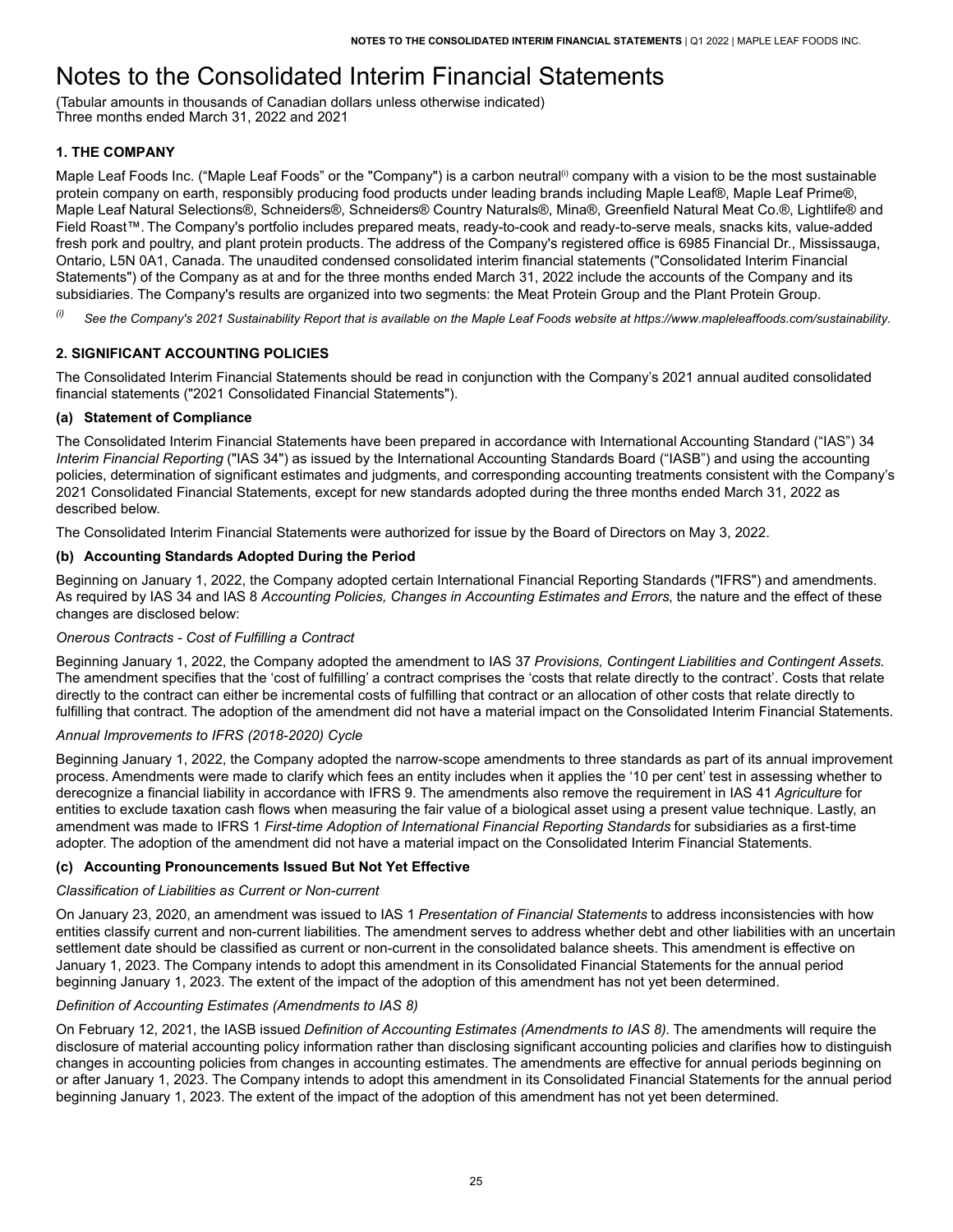# <span id="page-26-0"></span>Notes to the Consolidated Interim Financial Statements

(Tabular amounts in thousands of Canadian dollars unless otherwise indicated) Three months ended March 31, 2022 and 2021

# <span id="page-26-1"></span>**1. THE COMPANY**

Maple Leaf Foods Inc. ("Maple Leaf Foods" or the "Company") is a carbon neutral<sup>(i)</sup> company with a vision to be the most sustainable protein company on earth, responsibly producing food products under leading brands including Maple Leaf®, Maple Leaf Prime®, Maple Leaf Natural Selections®, Schneiders®, Schneiders® Country Naturals®, Mina®, Greenfield Natural Meat Co.®, Lightlife® and Field Roast™. The Company's portfolio includes prepared meats, ready-to-cook and ready-to-serve meals, snacks kits, value-added fresh pork and poultry, and plant protein products. The address of the Company's registered office is 6985 Financial Dr., Mississauga, Ontario, L5N 0A1, Canada. The unaudited condensed consolidated interim financial statements ("Consolidated Interim Financial Statements") of the Company as at and for the three months ended March 31, 2022 include the accounts of the Company and its subsidiaries. The Company's results are organized into two segments: the Meat Protein Group and the Plant Protein Group.

 $\frac{1}{10}$  See the Company's 2021 Sustainability Report that is available on the Maple Leaf Foods website at https://www.mapleleaffoods.com/sustainability.

# <span id="page-26-2"></span>**2. SIGNIFICANT ACCOUNTING POLICIES**

 The Consolidated Interim Financial Statements should be read in conjunction with the Company's 2021 annual audited consolidated financial statements ("2021 Consolidated Financial Statements").

## **(a) Statement of Compliance**

 The Consolidated Interim Financial Statements have been prepared in accordance with International Accounting Standard ("IAS") 34  *Interim Financial Reporting* ("IAS 34") as issued by the International Accounting Standards Board ("IASB") and using the accounting policies, determination of significant estimates and judgments, and corresponding accounting treatments consistent with the Company's 2021 Consolidated Financial Statements, except for new standards adopted during the three months ended March 31, 2022 as described below.

The Consolidated Interim Financial Statements were authorized for issue by the Board of Directors on May 3, 2022.

## **(b) Accounting Standards Adopted During the Period**

 Beginning on January 1, 2022, the Company adopted certain International Financial Reporting Standards ("IFRS") and amendments. As required by IAS 34 and IAS 8 *Accounting Policies, Changes in Accounting Estimates and Errors*, the nature and the effect of these changes are disclosed below:

## *Onerous Contracts - Cost of Fulfilling a Contract*

 Beginning January 1, 2022, the Company adopted the amendment to IAS 37 *Provisions, Contingent Liabilities and Contingent Assets*. The amendment specifies that the 'cost of fulfilling' a contract comprises the 'costs that relate directly to the contract'. Costs that relate directly to the contract can either be incremental costs of fulfilling that contract or an allocation of other costs that relate directly to fulfilling that contract. The adoption of the amendment did not have a material impact on the Consolidated Interim Financial Statements.

## *Annual Improvements to IFRS (2018-2020) Cycle*

 Beginning January 1, 2022, the Company adopted the narrow-scope amendments to three standards as part of its annual improvement process. Amendments were made to clarify which fees an entity includes when it applies the '10 per cent' test in assessing whether to derecognize a financial liability in accordance with IFRS 9. The amendments also remove the requirement in IAS 41 *Agriculture* for entities to exclude taxation cash flows when measuring the fair value of a biological asset using a present value technique. Lastly, an amendment was made to IFRS 1 *First-time Adoption of International Financial Reporting Standards* for subsidiaries as a first-time adopter. The adoption of the amendment did not have a material impact on the Consolidated Interim Financial Statements.

## **(c) Accounting Pronouncements Issued But Not Yet Effective**

## *Classification of Liabilities as Current or Non-current*

 On January 23, 2020, an amendment was issued to IAS 1 *Presentation of Financial Statements* to address inconsistencies with how entities classify current and non-current liabilities. The amendment serves to address whether debt and other liabilities with an uncertain settlement date should be classified as current or non-current in the consolidated balance sheets. This amendment is effective on January 1, 2023. The Company intends to adopt this amendment in its Consolidated Financial Statements for the annual period beginning January 1, 2023. The extent of the impact of the adoption of this amendment has not yet been determined.

## *Definition of Accounting Estimates (Amendments to IAS 8)*

 On February 12, 2021, the IASB issued *Definition of Accounting Estimates (Amendments to IAS 8)*. The amendments will require the disclosure of material accounting policy information rather than disclosing significant accounting policies and clarifies how to distinguish changes in accounting policies from changes in accounting estimates. The amendments are effective for annual periods beginning on or after January 1, 2023. The Company intends to adopt this amendment in its Consolidated Financial Statements for the annual period beginning January 1, 2023. The extent of the impact of the adoption of this amendment has not yet been determined.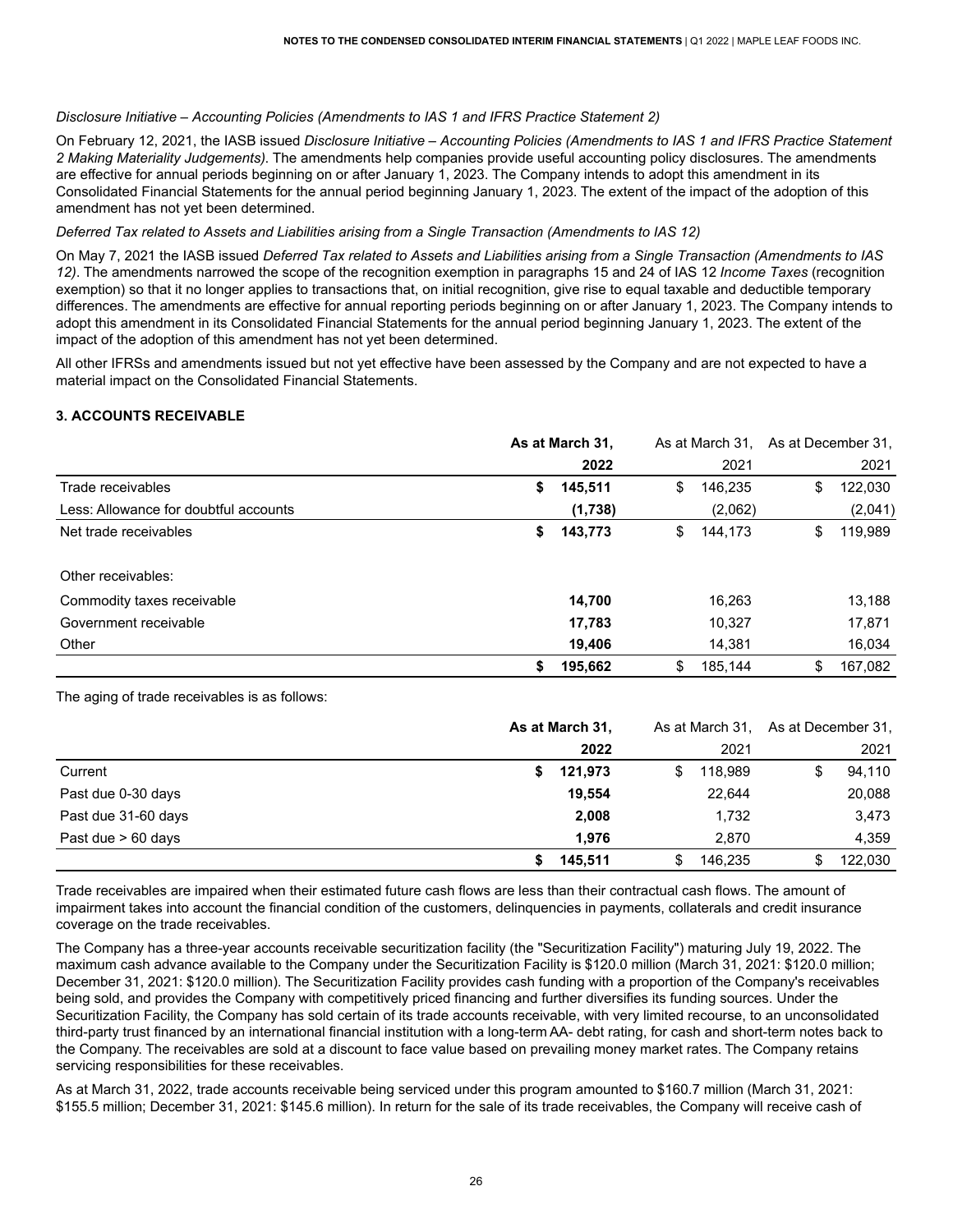#### *Disclosure Initiative – Accounting Policies (Amendments to IAS 1 and IFRS Practice Statement 2)*

 On February 12, 2021, the IASB issued *Disclosure Initiative – Accounting Policies (Amendments to IAS 1 and IFRS Practice Statement 2 Making Materiality Judgements)*. The amendments help companies provide useful accounting policy disclosures. The amendments are effective for annual periods beginning on or after January 1, 2023. The Company intends to adopt this amendment in its Consolidated Financial Statements for the annual period beginning January 1, 2023. The extent of the impact of the adoption of this amendment has not yet been determined.

#### *Deferred Tax related to Assets and Liabilities arising from a Single Transaction (Amendments to IAS 12)*

On May 7, 2021 the IASB issued Deferred Tax related to Assets and Liabilities arising from a Single Transaction (Amendments to IAS *12)*. The amendments narrowed the scope of the recognition exemption in paragraphs 15 and 24 of IAS 12 *Income Taxes* (recognition exemption) so that it no longer applies to transactions that, on initial recognition, give rise to equal taxable and deductible temporary differences. The amendments are effective for annual reporting periods beginning on or after January 1, 2023. The Company intends to adopt this amendment in its Consolidated Financial Statements for the annual period beginning January 1, 2023. The extent of the impact of the adoption of this amendment has not yet been determined.

 All other IFRSs and amendments issued but not yet effective have been assessed by the Company and are not expected to have a material impact on the Consolidated Financial Statements.

## <span id="page-27-0"></span>**3. ACCOUNTS RECEIVABLE**

|                                       | As at March 31, |         | As at March 31, As at December 31, |    |         |
|---------------------------------------|-----------------|---------|------------------------------------|----|---------|
|                                       |                 | 2022    | 2021                               |    | 2021    |
| Trade receivables                     | S.              | 145,511 | \$<br>146,235                      | \$ | 122,030 |
| Less: Allowance for doubtful accounts |                 | (1,738) | (2,062)                            |    | (2,041) |
| Net trade receivables                 | S.              | 143,773 | \$<br>144.173                      | S  | 119,989 |
| Other receivables:                    |                 |         |                                    |    |         |
| Commodity taxes receivable            |                 | 14,700  | 16,263                             |    | 13,188  |
| Government receivable                 |                 | 17,783  | 10,327                             |    | 17,871  |
| Other                                 |                 | 19,406  | 14,381                             |    | 16,034  |
|                                       | \$              | 195,662 | \$<br>185.144                      | \$ | 167,082 |

The aging of trade receivables is as follows:

|                      |    | As at March 31, |    |         | As at March 31, As at December 31, |         |
|----------------------|----|-----------------|----|---------|------------------------------------|---------|
|                      |    | 2022            |    | 2021    |                                    | 2021    |
| Current              | S. | 121,973         | \$ | 118.989 |                                    | 94,110  |
| Past due 0-30 days   |    | 19.554          |    | 22,644  |                                    | 20,088  |
| Past due 31-60 days  |    | 2,008           |    | 1,732   |                                    | 3,473   |
| Past due $> 60$ days |    | 1.976           |    | 2.870   |                                    | 4,359   |
|                      |    | 145,511         | S. | 146.235 |                                    | 122,030 |

 Trade receivables are impaired when their estimated future cash flows are less than their contractual cash flows. The amount of impairment takes into account the financial condition of the customers, delinquencies in payments, collaterals and credit insurance coverage on the trade receivables.

 The Company has a three-year accounts receivable securitization facility (the "Securitization Facility") maturing July 19, 2022. The maximum cash advance available to the Company under the Securitization Facility is \$120.0 million (March 31, 2021: \$120.0 million; December 31, 2021: \$120.0 million). The Securitization Facility provides cash funding with a proportion of the Company's receivables being sold, and provides the Company with competitively priced financing and further diversifies its funding sources. Under the Securitization Facility, the Company has sold certain of its trade accounts receivable, with very limited recourse, to an unconsolidated third-party trust financed by an international financial institution with a long-term AA- debt rating, for cash and short-term notes back to the Company. The receivables are sold at a discount to face value based on prevailing money market rates. The Company retains servicing responsibilities for these receivables.

 As at March 31, 2022, trade accounts receivable being serviced under this program amounted to \$160.7 million (March 31, 2021: \$155.5 million; December 31, 2021: \$145.6 million). In return for the sale of its trade receivables, the Company will receive cash of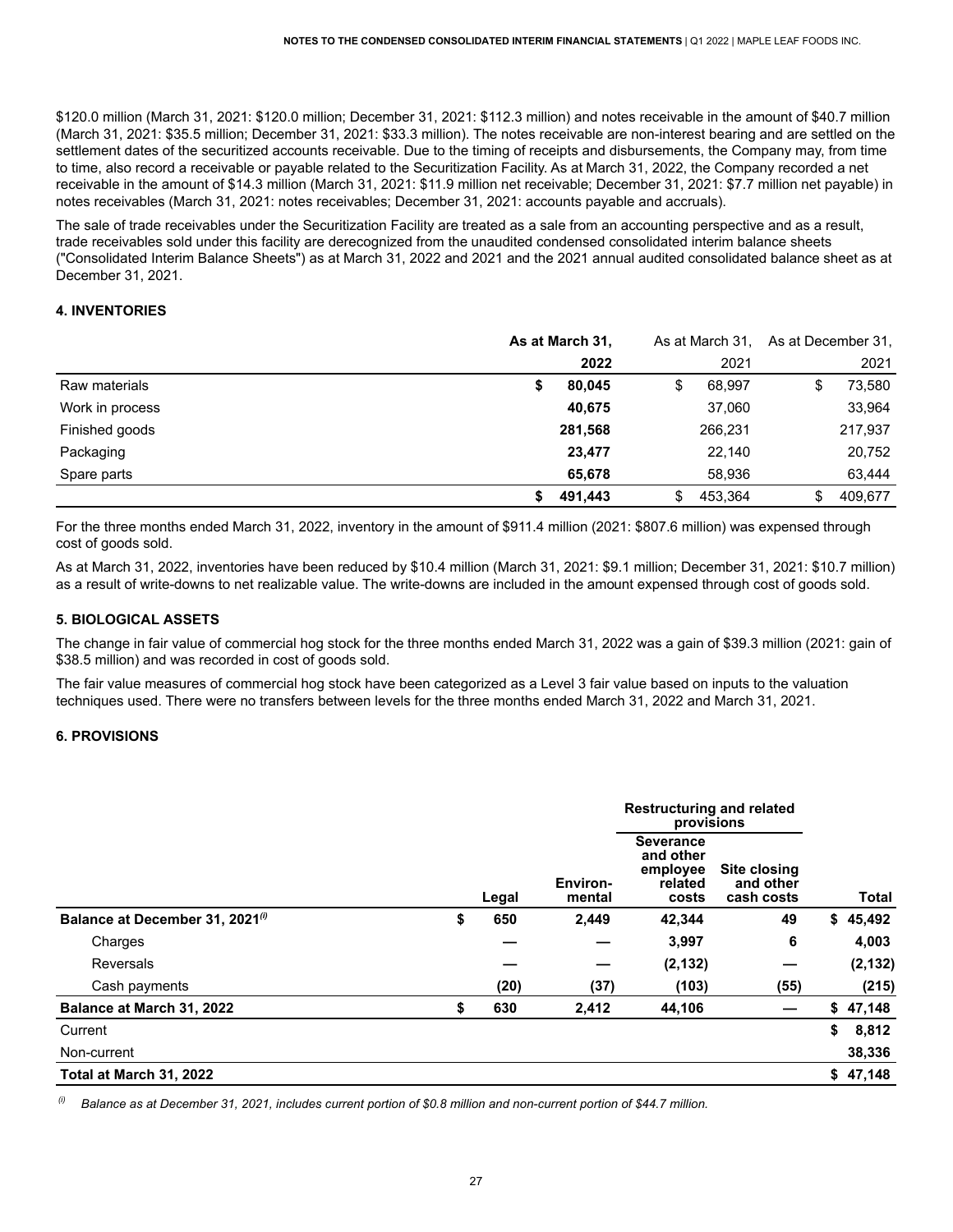\$120.0 million (March 31, 2021: \$120.0 million; December 31, 2021: \$112.3 million) and notes receivable in the amount of \$40.7 million (March 31, 2021: \$35.5 million; December 31, 2021: \$33.3 million). The notes receivable are non-interest bearing and are settled on the settlement dates of the securitized accounts receivable. Due to the timing of receipts and disbursements, the Company may, from time to time, also record a receivable or payable related to the Securitization Facility. As at March 31, 2022, the Company recorded a net receivable in the amount of \$14.3 million (March 31, 2021: \$11.9 million net receivable; December 31, 2021: \$7.7 million net payable) in notes receivables (March 31, 2021: notes receivables; December 31, 2021: accounts payable and accruals).

 The sale of trade receivables under the Securitization Facility are treated as a sale from an accounting perspective and as a result, trade receivables sold under this facility are derecognized from the unaudited condensed consolidated interim balance sheets ("Consolidated Interim Balance Sheets") as at March 31, 2022 and 2021 and the 2021 annual audited consolidated balance sheet as at December 31, 2021.

## <span id="page-28-0"></span>**4. INVENTORIES**

|                 | As at March 31, |         | As at March 31, As at December 31, |         |    |         |  |
|-----------------|-----------------|---------|------------------------------------|---------|----|---------|--|
|                 |                 | 2022    |                                    | 2021    |    | 2021    |  |
| Raw materials   | S               | 80,045  | \$                                 | 68.997  | \$ | 73,580  |  |
| Work in process |                 | 40,675  |                                    | 37,060  |    | 33,964  |  |
| Finished goods  |                 | 281,568 |                                    | 266,231 |    | 217,937 |  |
| Packaging       |                 | 23,477  |                                    | 22,140  |    | 20,752  |  |
| Spare parts     |                 | 65,678  |                                    | 58,936  |    | 63,444  |  |
|                 |                 | 491,443 | \$                                 | 453.364 | S  | 409.677 |  |

 For the three months ended March 31, 2022, inventory in the amount of \$911.4 million (2021: \$807.6 million) was expensed through cost of goods sold.

 As at March 31, 2022, inventories have been reduced by \$10.4 million (March 31, 2021: \$9.1 million; December 31, 2021: \$10.7 million) as a result of write-downs to net realizable value. The write-downs are included in the amount expensed through cost of goods sold.

## <span id="page-28-1"></span> **5. BIOLOGICAL ASSETS**

 The change in fair value of commercial hog stock for the three months ended March 31, 2022 was a gain of \$39.3 million (2021: gain of \$38.5 million) and was recorded in cost of goods sold.

 The fair value measures of commercial hog stock have been categorized as a Level 3 fair value based on inputs to the valuation techniques used. There were no transfers between levels for the three months ended March 31, 2022 and March 31, 2021.

#### <span id="page-28-2"></span>**6. PROVISIONS**

|                                             |           |                    | <b>Restructuring and related</b><br>provisions                |                                         |              |
|---------------------------------------------|-----------|--------------------|---------------------------------------------------------------|-----------------------------------------|--------------|
|                                             | Legal     | Environ-<br>mental | <b>Severance</b><br>and other<br>employee<br>related<br>costs | Site closing<br>and other<br>cash costs | <b>Total</b> |
| Balance at December 31, 2021 <sup>(i)</sup> | \$<br>650 | 2,449              | 42.344                                                        | 49                                      | \$45,492     |
| Charges                                     |           |                    | 3,997                                                         | 6                                       | 4,003        |
| Reversals                                   |           |                    | (2, 132)                                                      |                                         | (2, 132)     |
| Cash payments                               | (20)      | (37)               | (103)                                                         | (55)                                    | (215)        |
| Balance at March 31, 2022                   | \$<br>630 | 2,412              | 44,106                                                        |                                         | \$47,148     |
| Current                                     |           |                    |                                                               |                                         | \$<br>8,812  |
| Non-current                                 |           |                    |                                                               |                                         | 38,336       |
| Total at March 31, 2022                     |           |                    |                                                               |                                         | \$47,148     |

 $(i)$ Balance as at December 31, 2021, includes current portion of \$0.8 million and non-current portion of \$44.7 million.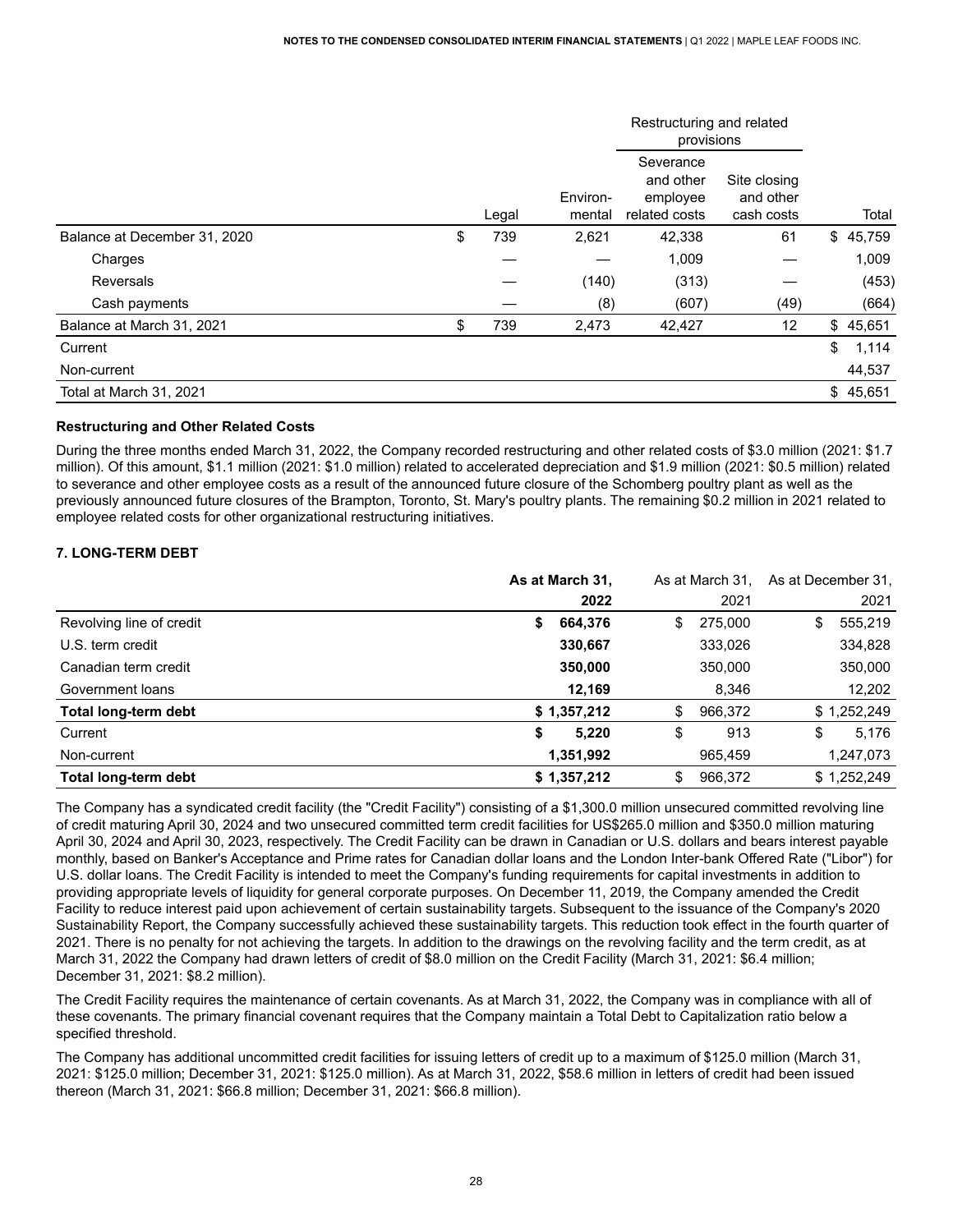|                              |           |                    | Restructuring and related<br>provisions             |                                         |             |
|------------------------------|-----------|--------------------|-----------------------------------------------------|-----------------------------------------|-------------|
|                              | Legal     | Environ-<br>mental | Severance<br>and other<br>employee<br>related costs | Site closing<br>and other<br>cash costs | Total       |
| Balance at December 31, 2020 | \$<br>739 | 2,621              | 42,338                                              | 61                                      | \$45,759    |
| Charges                      |           |                    | 1,009                                               |                                         | 1,009       |
| Reversals                    |           | (140)              | (313)                                               |                                         | (453)       |
| Cash payments                |           | (8)                | (607)                                               | (49)                                    | (664)       |
| Balance at March 31, 2021    | \$<br>739 | 2,473              | 42,427                                              | 12                                      | \$45,651    |
| Current                      |           |                    |                                                     |                                         | \$<br>1,114 |
| Non-current                  |           |                    |                                                     |                                         | 44,537      |
| Total at March 31, 2021      |           |                    |                                                     |                                         | \$45,651    |

#### **Restructuring and Other Related Costs**

 During the three months ended March 31, 2022, the Company recorded restructuring and other related costs of \$3.0 million (2021: \$1.7 million). Of this amount, \$1.1 million (2021: \$1.0 million) related to accelerated depreciation and \$1.9 million (2021: \$0.5 million) related to severance and other employee costs as a result of the announced future closure of the Schomberg poultry plant as well as the previously announced future closures of the Brampton, Toronto, St. Mary's poultry plants. The remaining \$0.2 million in 2021 related to employee related costs for other organizational restructuring initiatives.

## <span id="page-29-0"></span> **7. LONG-TERM DEBT**

|                          | As at March 31, | As at March 31. | As at December 31. |             |
|--------------------------|-----------------|-----------------|--------------------|-------------|
|                          | 2022            | 2021            |                    | 2021        |
| Revolving line of credit | 664,376<br>\$   | \$<br>275,000   | \$                 | 555,219     |
| U.S. term credit         | 330,667         | 333,026         |                    | 334,828     |
| Canadian term credit     | 350,000         | 350,000         |                    | 350,000     |
| Government loans         | 12,169          | 8,346           |                    | 12,202      |
| Total long-term debt     | \$1,357,212     | \$<br>966,372   |                    | \$1,252,249 |
| Current                  | 5.220<br>\$     | \$<br>913       | \$                 | 5.176       |
| Non-current              | 1,351,992       | 965,459         |                    | 1,247,073   |
| Total long-term debt     | \$1,357,212     | \$<br>966,372   |                    | \$1,252,249 |

 The Company has a syndicated credit facility (the "Credit Facility") consisting of a \$1,300.0 million unsecured committed revolving line of credit maturing April 30, 2024 and two unsecured committed term credit facilities for US\$265.0 million and \$350.0 million maturing April 30, 2024 and April 30, 2023, respectively. The Credit Facility can be drawn in Canadian or U.S. dollars and bears interest payable monthly, based on Banker's Acceptance and Prime rates for Canadian dollar loans and the London Inter-bank Offered Rate ("Libor") for U.S. dollar loans. The Credit Facility is intended to meet the Company's funding requirements for capital investments in addition to providing appropriate levels of liquidity for general corporate purposes. On December 11, 2019, the Company amended the Credit Facility to reduce interest paid upon achievement of certain sustainability targets. Subsequent to the issuance of the Company's 2020 Sustainability Report, the Company successfully achieved these sustainability targets. This reduction took effect in the fourth quarter of 2021. There is no penalty for not achieving the targets. In addition to the drawings on the revolving facility and the term credit, as at March 31, 2022 the Company had drawn letters of credit of \$8.0 million on the Credit Facility (March 31, 2021: \$6.4 million; December 31, 2021: \$8.2 million).

 The Credit Facility requires the maintenance of certain covenants. As at March 31, 2022, the Company was in compliance with all of these covenants. The primary financial covenant requires that the Company maintain a Total Debt to Capitalization ratio below a specified threshold.

 The Company has additional uncommitted credit facilities for issuing letters of credit up to a maximum of \$125.0 million (March 31, 2021: \$125.0 million; December 31, 2021: \$125.0 million). As at March 31, 2022, \$58.6 million in letters of credit had been issued thereon (March 31, 2021: \$66.8 million; December 31, 2021: \$66.8 million).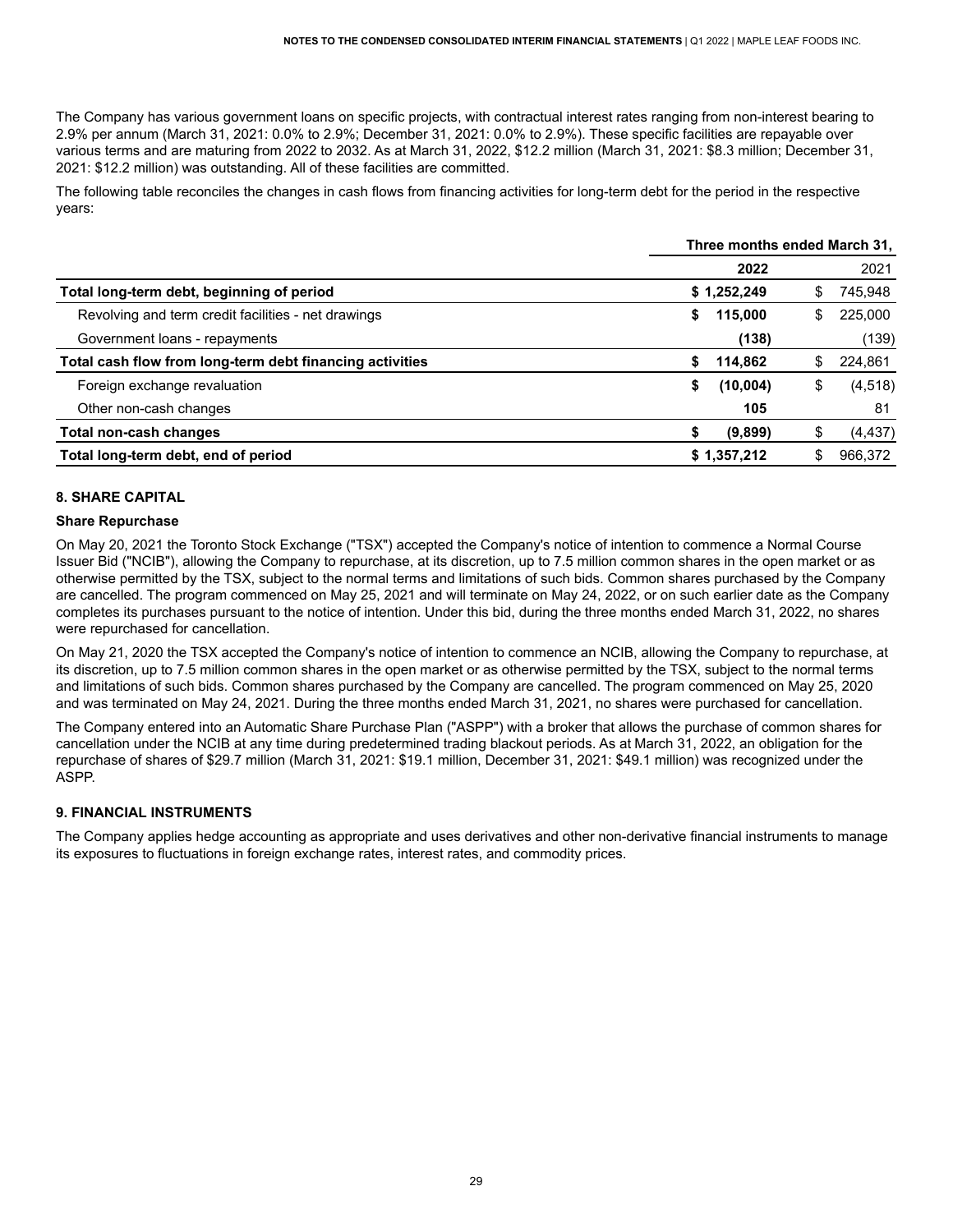The Company has various government loans on specific projects, with contractual interest rates ranging from non-interest bearing to 2.9% per annum (March 31, 2021: 0.0% to 2.9%; December 31, 2021: 0.0% to 2.9%). These specific facilities are repayable over various terms and are maturing from 2022 to 2032. As at March 31, 2022, \$12.2 million (March 31, 2021: \$8.3 million; December 31, 2021: \$12.2 million) was outstanding. All of these facilities are committed.

 The following table reconciles the changes in cash flows from financing activities for long-term debt for the period in the respective years:

|                                                          | Three months ended March 31, |             |     |          |  |
|----------------------------------------------------------|------------------------------|-------------|-----|----------|--|
|                                                          |                              | 2022        |     | 2021     |  |
| Total long-term debt, beginning of period                |                              | \$1,252,249 | S   | 745,948  |  |
| Revolving and term credit facilities - net drawings      | \$                           | 115,000     | S.  | 225,000  |  |
| Government loans - repayments                            |                              | (138)       |     | (139)    |  |
| Total cash flow from long-term debt financing activities | S.                           | 114,862     | S   | 224,861  |  |
| Foreign exchange revaluation                             | S                            | (10,004)    | \$  | (4, 518) |  |
| Other non-cash changes                                   |                              | 105         |     | 81       |  |
| Total non-cash changes                                   | S                            | (9,899)     | \$  | (4, 437) |  |
| Total long-term debt, end of period                      |                              | \$1,357,212 | \$. | 966,372  |  |

# <span id="page-30-0"></span> **8. SHARE CAPITAL**

#### **Share Repurchase**

 On May 20, 2021 the Toronto Stock Exchange ("TSX") accepted the Company's notice of intention to commence a Normal Course Issuer Bid ("NCIB"), allowing the Company to repurchase, at its discretion, up to 7.5 million common shares in the open market or as otherwise permitted by the TSX, subject to the normal terms and limitations of such bids. Common shares purchased by the Company are cancelled. The program commenced on May 25, 2021 and will terminate on May 24, 2022, or on such earlier date as the Company completes its purchases pursuant to the notice of intention. Under this bid, during the three months ended March 31, 2022, no shares were repurchased for cancellation.

 On May 21, 2020 the TSX accepted the Company's notice of intention to commence an NCIB, allowing the Company to repurchase, at its discretion, up to 7.5 million common shares in the open market or as otherwise permitted by the TSX, subject to the normal terms and limitations of such bids. Common shares purchased by the Company are cancelled. The program commenced on May 25, 2020 and was terminated on May 24, 2021. During the three months ended March 31, 2021, no shares were purchased for cancellation.

 The Company entered into an Automatic Share Purchase Plan ("ASPP") with a broker that allows the purchase of common shares for cancellation under the NCIB at any time during predetermined trading blackout periods. As at March 31, 2022, an obligation for the repurchase of shares of \$29.7 million (March 31, 2021: \$19.1 million, December 31, 2021: \$49.1 million) was recognized under the ASPP.

### <span id="page-30-1"></span>**9. FINANCIAL INSTRUMENTS**

 The Company applies hedge accounting as appropriate and uses derivatives and other non-derivative financial instruments to manage its exposures to fluctuations in foreign exchange rates, interest rates, and commodity prices.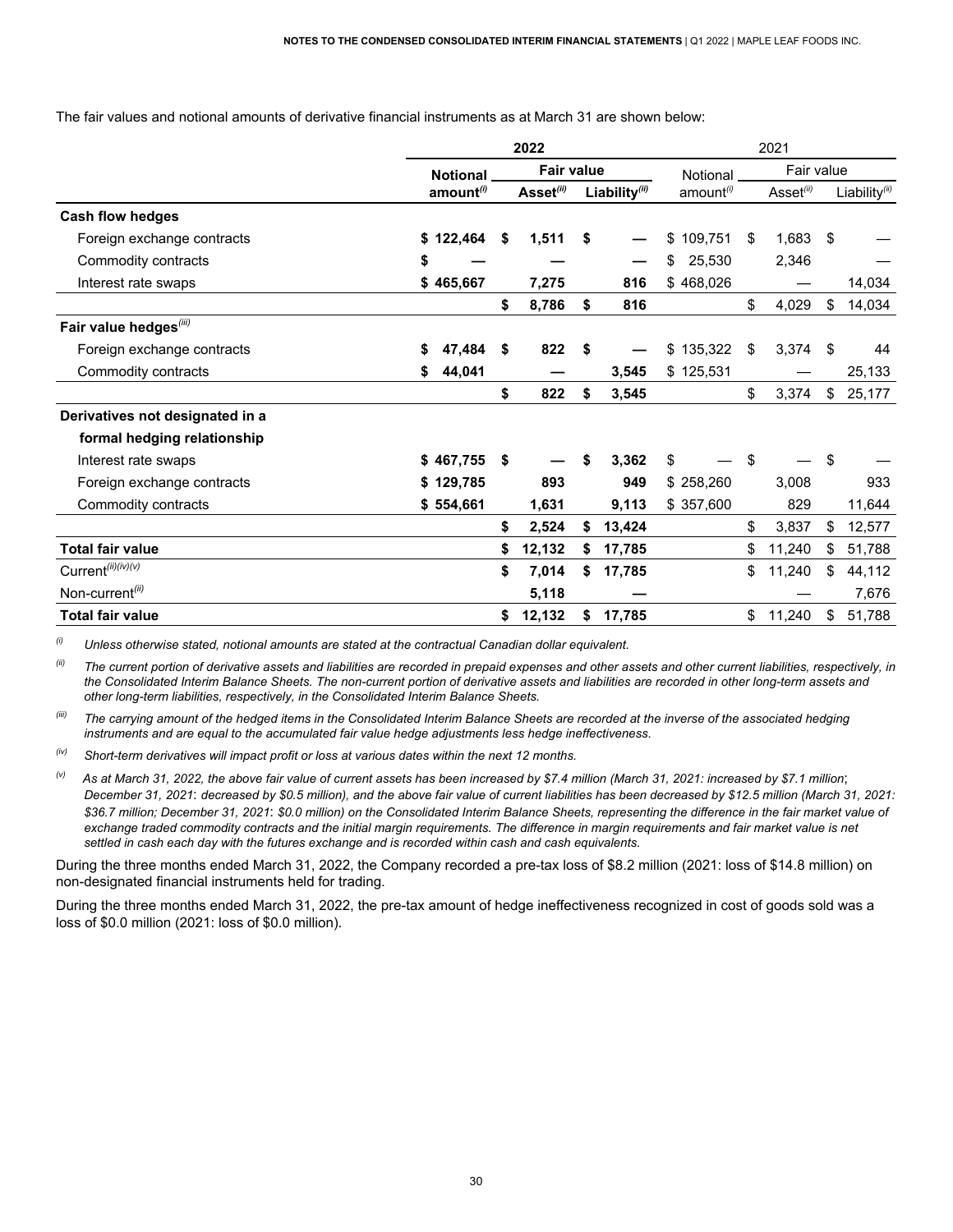The fair values and notional amounts of derivative financial instruments as at March 31 are shown below:

|                                    | 2022 |                       |    |                       | 2021 |               |                       |            |                       |      |                            |
|------------------------------------|------|-----------------------|----|-----------------------|------|---------------|-----------------------|------------|-----------------------|------|----------------------------|
|                                    |      | <b>Notional</b>       |    | <b>Fair value</b>     |      | Notional      |                       | Fair value |                       |      |                            |
|                                    |      | amount <sup>(i)</sup> |    | Asset <sup>(ii)</sup> |      | Liability(ii) | amount <sup>(i)</sup> |            | Asset <sup>(ii)</sup> |      | Liability $\binom{iii}{i}$ |
| <b>Cash flow hedges</b>            |      |                       |    |                       |      |               |                       |            |                       |      |                            |
| Foreign exchange contracts         |      | \$122,464             | S. | 1,511                 | S    |               | \$<br>109,751         | \$         | 1,683                 | - \$ |                            |
| Commodity contracts                | \$   |                       |    |                       |      |               | 25,530<br>\$          |            | 2,346                 |      |                            |
| Interest rate swaps                |      | \$465,667             |    | 7,275                 |      | 816           | \$468,026             |            |                       |      | 14,034                     |
|                                    |      |                       | \$ | 8,786                 | \$   | 816           |                       | \$         | 4,029                 | \$   | 14,034                     |
| Fair value hedges <sup>(iii)</sup> |      |                       |    |                       |      |               |                       |            |                       |      |                            |
| Foreign exchange contracts         | S    | 47,484                | \$ | 822                   | \$   |               | \$135,322             | -\$        | 3,374                 | -\$  | 44                         |
| Commodity contracts                | \$   | 44,041                |    |                       |      | 3,545         | \$125,531             |            |                       |      | 25,133                     |
|                                    |      |                       | \$ | 822                   | \$   | 3,545         |                       | \$         | 3,374                 | \$   | 25,177                     |
| Derivatives not designated in a    |      |                       |    |                       |      |               |                       |            |                       |      |                            |
| formal hedging relationship        |      |                       |    |                       |      |               |                       |            |                       |      |                            |
| Interest rate swaps                |      | \$467,755             | \$ |                       | \$   | 3,362         | \$                    | -\$        |                       | \$   |                            |
| Foreign exchange contracts         |      | \$129,785             |    | 893                   |      | 949           | \$258,260             |            | 3,008                 |      | 933                        |
| Commodity contracts                |      | \$554,661             |    | 1,631                 |      | 9,113         | \$357,600             |            | 829                   |      | 11,644                     |
|                                    |      |                       | \$ | 2,524                 | \$   | 13,424        |                       | \$         | 3,837                 | \$   | 12,577                     |
| <b>Total fair value</b>            |      |                       |    | 12,132                |      | 17,785        |                       | \$         | 11,240                | \$   | 51,788                     |
| Current <sup>(ii)(iv)(v)</sup>     |      |                       | \$ | 7,014                 | \$   | 17,785        |                       | \$         | 11,240                | \$   | 44,112                     |
| Non-current <sup>(ii)</sup>        |      |                       |    | 5,118                 |      |               |                       |            |                       |      | 7,676                      |
| <b>Total fair value</b>            |      |                       | \$ | 12,132                | \$   | 17,785        |                       | \$         | 11,240                | \$   | 51,788                     |

(i) *(i) Unless otherwise stated, notional amounts are stated at the contractual Canadian dollar equivalent.*

<sup>(ii)</sup> The current portion of derivative assets and liabilities are recorded in prepaid expenses and other assets and other current liabilities, respectively, in the Consolidated Interim Balance Sheets. The non-current portion of derivative assets and liabilities are recorded in other long-term assets and  *other long-term liabilities, respectively, in the Consolidated Interim Balance Sheets.*

<sup>(ii)</sup> The carrying amount of the hedged items in the Consolidated Interim Balance Sheets are recorded at the inverse of the associated hedging  *instruments and are equal to the accumulated fair value hedge adjustments less hedge ineffectiveness.*

 *(iv) Short-term derivatives will impact profit or loss at various dates within the next 12 months.*

December 31, 2021: decreased by \$0.5 million), and the above fair value of current liabilities has been decreased by \$12.5 million (March 31, 2021: \$36.7 million; December 31, 2021: \$0.0 million) on the Consolidated Interim Balance Sheets, representing the difference in the fair market value of exchange traded commodity contracts and the initial margin requirements. The difference in margin requirements and fair market value is net settled in cash each day with the futures exchange and is recorded within cash and cash equivalents.  $^{(v)}$  As at March 31, 2022, the above fair value of current assets has been increased by \$7.4 million (March 31, 2021: increased by \$7.1 million;

 During the three months ended March 31, 2022, the Company recorded a pre-tax loss of \$8.2 million (2021: loss of \$14.8 million) on non-designated financial instruments held for trading.

 During the three months ended March 31, 2022, the pre-tax amount of hedge ineffectiveness recognized in cost of goods sold was a loss of \$0.0 million (2021: loss of \$0.0 million).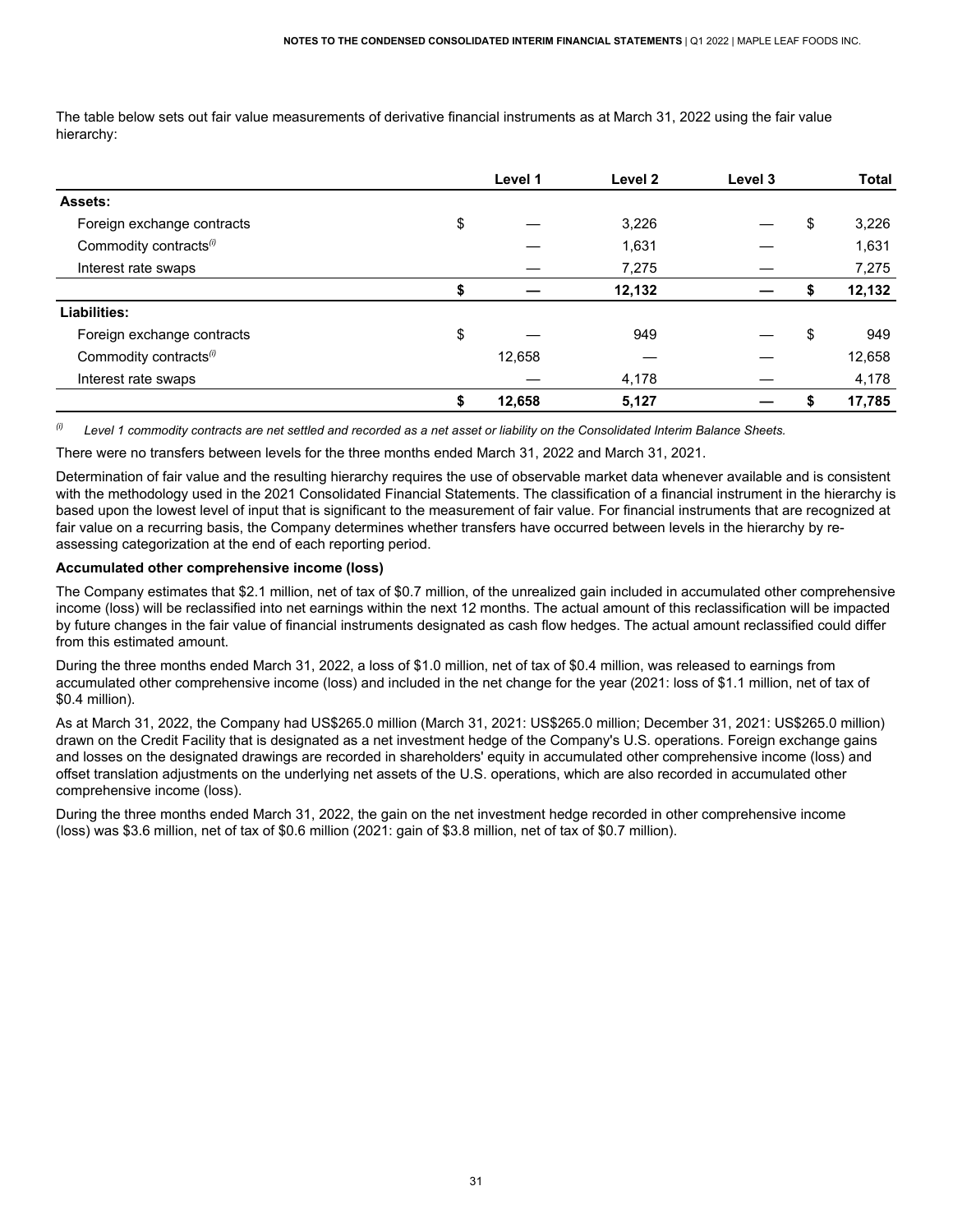The table below sets out fair value measurements of derivative financial instruments as at March 31, 2022 using the fair value hierarchy:

|                                    | Level 1      | Level 2 | Level 3 |    | <b>Total</b> |
|------------------------------------|--------------|---------|---------|----|--------------|
| Assets:                            |              |         |         |    |              |
| Foreign exchange contracts         | \$           | 3,226   |         | \$ | 3,226        |
| Commodity contracts <sup>(i)</sup> |              | 1,631   |         |    | 1,631        |
| Interest rate swaps                |              | 7,275   |         |    | 7,275        |
|                                    | \$           | 12,132  |         | ъ  | 12,132       |
| Liabilities:                       |              |         |         |    |              |
| Foreign exchange contracts         | \$           | 949     |         | \$ | 949          |
| Commodity contracts <sup>(i)</sup> | 12,658       |         |         |    | 12,658       |
| Interest rate swaps                |              | 4,178   |         |    | 4,178        |
|                                    | \$<br>12,658 | 5,127   |         |    | 17,785       |

 $(i)$ Level 1 commodity contracts are net settled and recorded as a net asset or liability on the Consolidated Interim Balance Sheets.

There were no transfers between levels for the three months ended March 31, 2022 and March 31, 2021.

 Determination of fair value and the resulting hierarchy requires the use of observable market data whenever available and is consistent with the methodology used in the 2021 Consolidated Financial Statements. The classification of a financial instrument in the hierarchy is based upon the lowest level of input that is significant to the measurement of fair value. For financial instruments that are recognized at fair value on a recurring basis, the Company determines whether transfers have occurred between levels in the hierarchy by re-assessing categorization at the end of each reporting period.

#### **Accumulated other comprehensive income (loss)**

 The Company estimates that \$2.1 million, net of tax of \$0.7 million, of the unrealized gain included in accumulated other comprehensive income (loss) will be reclassified into net earnings within the next 12 months. The actual amount of this reclassification will be impacted by future changes in the fair value of financial instruments designated as cash flow hedges. The actual amount reclassified could differ from this estimated amount.

 During the three months ended March 31, 2022, a loss of \$1.0 million, net of tax of \$0.4 million, was released to earnings from accumulated other comprehensive income (loss) and included in the net change for the year (2021: loss of \$1.1 million, net of tax of \$0.4 million).

 As at March 31, 2022, the Company had US\$265.0 million (March 31, 2021: US\$265.0 million; December 31, 2021: US\$265.0 million) drawn on the Credit Facility that is designated as a net investment hedge of the Company's U.S. operations. Foreign exchange gains and losses on the designated drawings are recorded in shareholders' equity in accumulated other comprehensive income (loss) and offset translation adjustments on the underlying net assets of the U.S. operations, which are also recorded in accumulated other comprehensive income (loss).

 During the three months ended March 31, 2022, the gain on the net investment hedge recorded in other comprehensive income (loss) was \$3.6 million, net of tax of \$0.6 million (2021: gain of \$3.8 million, net of tax of \$0.7 million).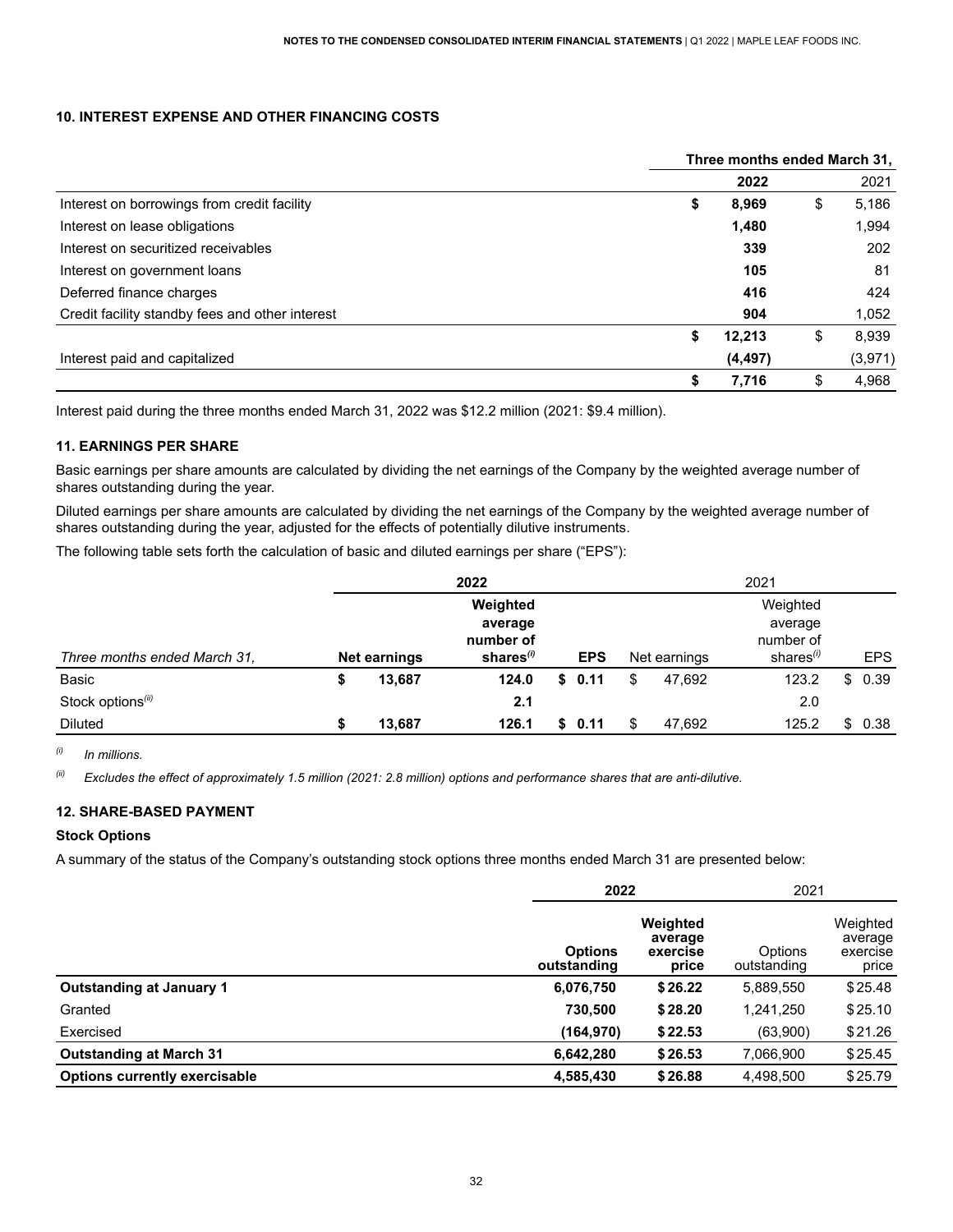#### <span id="page-33-0"></span> **10. INTEREST EXPENSE AND OTHER FINANCING COSTS**

|                                                 | Three months ended March 31, |          |    |         |  |  |  |
|-------------------------------------------------|------------------------------|----------|----|---------|--|--|--|
|                                                 |                              | 2022     |    | 2021    |  |  |  |
| Interest on borrowings from credit facility     | \$                           | 8,969    | \$ | 5,186   |  |  |  |
| Interest on lease obligations                   |                              | 1,480    |    | 1,994   |  |  |  |
| Interest on securitized receivables             |                              | 339      |    | 202     |  |  |  |
| Interest on government loans                    |                              | 105      |    | 81      |  |  |  |
| Deferred finance charges                        |                              | 416      |    | 424     |  |  |  |
| Credit facility standby fees and other interest |                              | 904      |    | 1,052   |  |  |  |
|                                                 | \$                           | 12,213   | \$ | 8,939   |  |  |  |
| Interest paid and capitalized                   |                              | (4, 497) |    | (3,971) |  |  |  |
|                                                 | \$                           | 7,716    | \$ | 4,968   |  |  |  |

Interest paid during the three months ended March 31, 2022 was \$12.2 million (2021: \$9.4 million).

### <span id="page-33-1"></span> **11. EARNINGS PER SHARE**

 Basic earnings per share amounts are calculated by dividing the net earnings of the Company by the weighted average number of shares outstanding during the year.

 Diluted earnings per share amounts are calculated by dividing the net earnings of the Company by the weighted average number of shares outstanding during the year, adjusted for the effects of potentially dilutive instruments.

The following table sets forth the calculation of basic and diluted earnings per share ("EPS"):

|                               | 2022                |                       |    |            |    | 2021         |                 |    |            |  |
|-------------------------------|---------------------|-----------------------|----|------------|----|--------------|-----------------|----|------------|--|
|                               |                     | Weighted              |    |            |    |              | Weighted        |    |            |  |
|                               |                     | average               |    |            |    |              | average         |    |            |  |
|                               |                     | number of             |    |            |    |              | number of       |    |            |  |
| Three months ended March 31,  | <b>Net earnings</b> | shares <sup>(i)</sup> |    | <b>EPS</b> |    | Net earnings | shares $\theta$ |    | <b>EPS</b> |  |
| Basic                         | 13,687              | 124.0                 | S. | 0.11       | \$ | 47.692       | 123.2           |    | \$0.39     |  |
| Stock options <sup>(ii)</sup> |                     | 2.1                   |    |            |    |              | 2.0             |    |            |  |
| <b>Diluted</b>                | 13,687              | 126.1                 | S. | 0.11       |    | 47.692       | 125.2           | \$ | 0.38       |  |

*(i) In millions.*

 $^{(i)}$  Excludes the effect of approximately 1.5 million (2021: 2.8 million) options and performance shares that are anti-dilutive.

### <span id="page-33-2"></span>**12. SHARE-BASED PAYMENT**

#### **Stock Options**

A summary of the status of the Company's outstanding stock options three months ended March 31 are presented below:

|                                      | 2022                          | 2021                                     |                        |                                          |
|--------------------------------------|-------------------------------|------------------------------------------|------------------------|------------------------------------------|
|                                      | <b>Options</b><br>outstanding | Weighted<br>average<br>exercise<br>price | Options<br>outstanding | Weighted<br>average<br>exercise<br>price |
| <b>Outstanding at January 1</b>      | 6,076,750                     | \$26.22                                  | 5,889,550              | \$25.48                                  |
| Granted                              | 730.500                       | \$28.20                                  | 1,241,250              | \$25.10                                  |
| Exercised                            | (164, 970)                    | \$22.53                                  | (63,900)               | \$21.26                                  |
| <b>Outstanding at March 31</b>       | 6,642,280                     | \$26.53                                  | 7,066,900              | \$25.45                                  |
| <b>Options currently exercisable</b> | 4,585,430                     | \$26.88                                  | 4,498,500              | \$25.79                                  |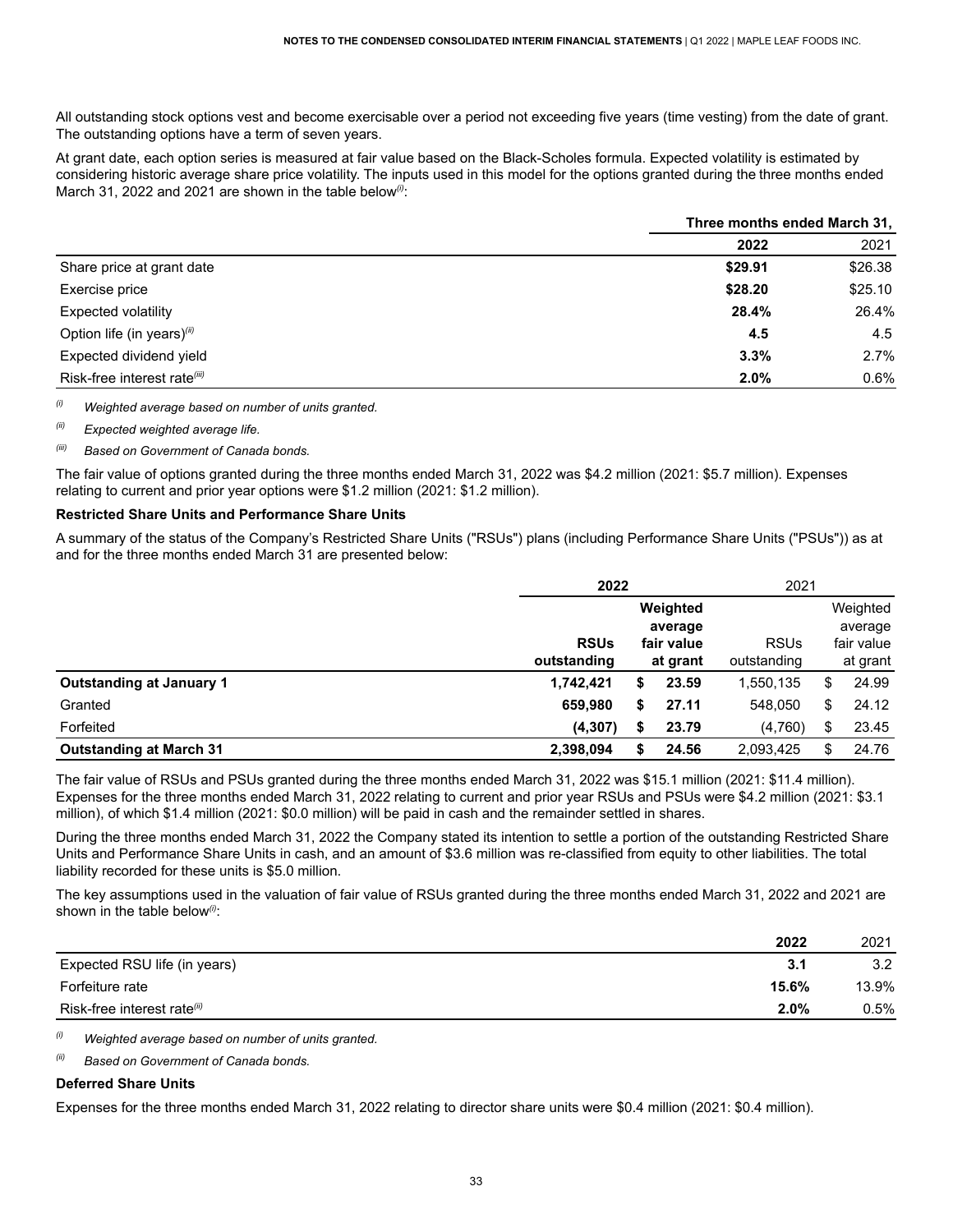All outstanding stock options vest and become exercisable over a period not exceeding five years (time vesting) from the date of grant. The outstanding options have a term of seven years.

 At grant date, each option series is measured at fair value based on the Black-Scholes formula. Expected volatility is estimated by considering historic average share price volatility. The inputs used in this model for the options granted during the three months ended March 31, 2022 and 2021 are shown in the table below<sup>(i)</sup>:

|                                          | Three months ended March 31, |         |  |  |  |
|------------------------------------------|------------------------------|---------|--|--|--|
|                                          | 2022                         | 2021    |  |  |  |
| Share price at grant date                | \$29.91                      | \$26.38 |  |  |  |
| Exercise price                           | \$28.20                      | \$25.10 |  |  |  |
| <b>Expected volatility</b>               | 28.4%                        | 26.4%   |  |  |  |
| Option life (in years)(ii)               | 4.5                          | 4.5     |  |  |  |
| Expected dividend yield                  | 3.3%                         | 2.7%    |  |  |  |
| Risk-free interest rate <sup>(iii)</sup> | 2.0%                         | 0.6%    |  |  |  |

 *(i) Weighted average based on number of units granted.*

 *(ii) Expected weighted average life.*

### *(iii) Based on Government of Canada bonds.*

 The fair value of options granted during the three months ended March 31, 2022 was \$4.2 million (2021: \$5.7 million). Expenses relating to current and prior year options were \$1.2 million (2021: \$1.2 million).

#### **Restricted Share Units and Performance Share Units**

 A summary of the status of the Company's Restricted Share Units ("RSUs") plans (including Performance Share Units ("PSUs")) as at and for the three months ended March 31 are presented below:

|                                 | 2022        |          | 2021       |             |          |            |
|---------------------------------|-------------|----------|------------|-------------|----------|------------|
|                                 |             | Weighted |            |             | Weighted |            |
|                                 |             |          | average    |             | average  |            |
|                                 | <b>RSUs</b> |          | fair value | <b>RSUs</b> |          | fair value |
|                                 | outstanding |          | at grant   | outstanding | at grant |            |
| <b>Outstanding at January 1</b> | 1,742,421   | \$       | 23.59      | 1,550,135   | S        | 24.99      |
| Granted                         | 659,980     | \$       | 27.11      | 548,050     | S        | 24.12      |
| Forfeited                       | (4, 307)    | \$       | 23.79      | (4,760)     | S        | 23.45      |
| <b>Outstanding at March 31</b>  | 2,398,094   | S        | 24.56      | 2,093,425   | S        | 24.76      |

 The fair value of RSUs and PSUs granted during the three months ended March 31, 2022 was \$15.1 million (2021: \$11.4 million). Expenses for the three months ended March 31, 2022 relating to current and prior year RSUs and PSUs were \$4.2 million (2021: \$3.1 million), of which \$1.4 million (2021: \$0.0 million) will be paid in cash and the remainder settled in shares.

 During the three months ended March 31, 2022 the Company stated its intention to settle a portion of the outstanding Restricted Share Units and Performance Share Units in cash, and an amount of \$3.6 million was re-classified from equity to other liabilities. The total liability recorded for these units is \$5.0 million.

 The key assumptions used in the valuation of fair value of RSUs granted during the three months ended March 31, 2022 and 2021 are shown in the table below*(i)*:

|                              | 2022    | 2021    |
|------------------------------|---------|---------|
| Expected RSU life (in years) | 3.1     | 3.2     |
| Forfeiture rate              | 15.6%   | 13.9%   |
| Risk-free interest rate(ii)  | $2.0\%$ | $0.5\%$ |

 *(i) Weighted average based on number of units granted.*

*(ii) Based on Government of Canada bonds.*

#### **Deferred Share Units**

Expenses for the three months ended March 31, 2022 relating to director share units were \$0.4 million (2021: \$0.4 million).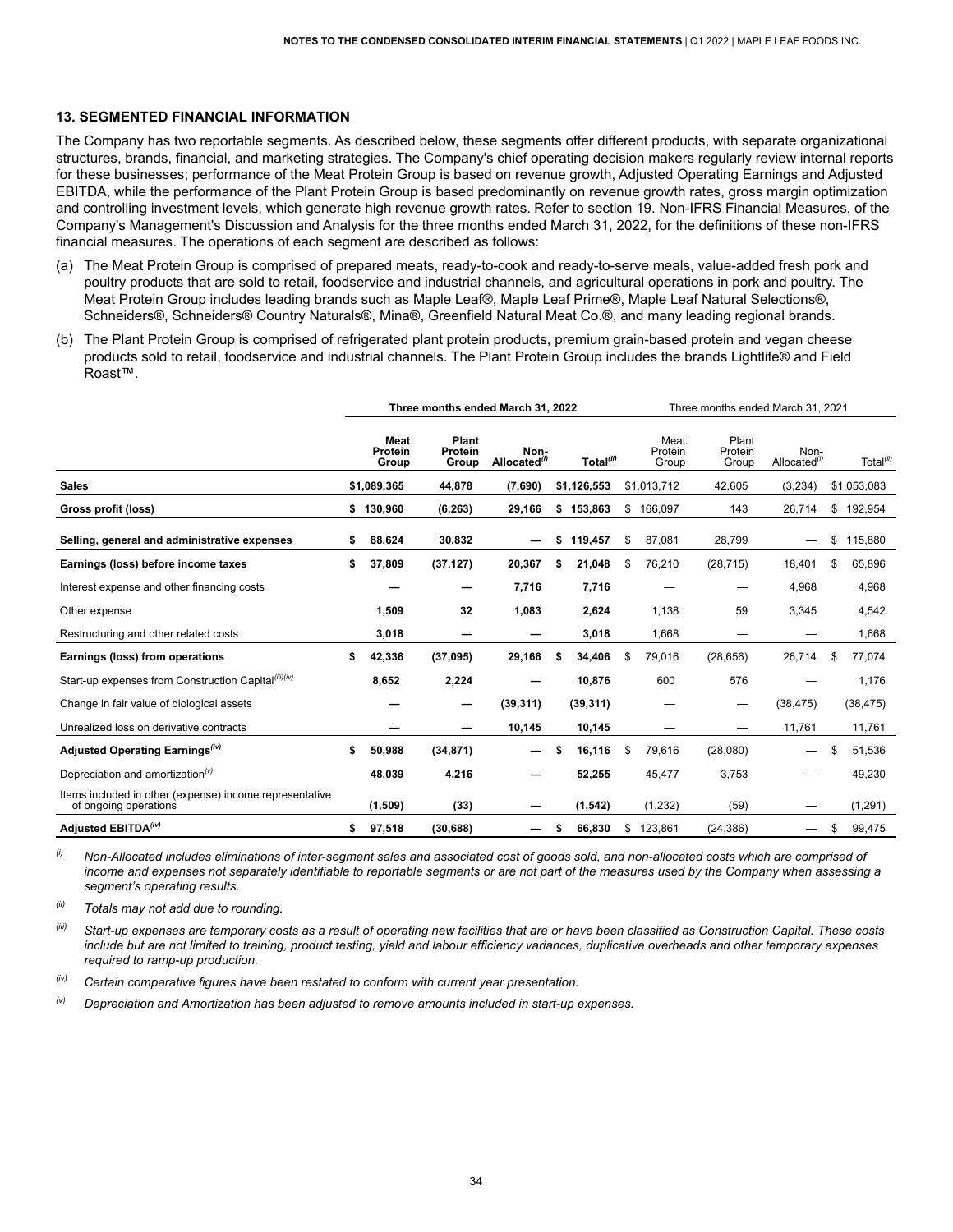#### <span id="page-35-0"></span>**13. SEGMENTED FINANCIAL INFORMATION**

 The Company has two reportable segments. As described below, these segments offer different products, with separate organizational structures, brands, financial, and marketing strategies. The Company's chief operating decision makers regularly review internal reports for these businesses; performance of the Meat Protein Group is based on revenue growth, Adjusted Operating Earnings and Adjusted EBITDA, while the performance of the Plant Protein Group is based predominantly on revenue growth rates, gross margin optimization and controlling investment levels, which generate high revenue growth rates. Refer to section 19. Non-IFRS Financial Measures, of the Company's Management's Discussion and Analysis for the three months ended March 31, 2022, for the definitions of these non-IFRS financial measures. The operations of each segment are described as follows:

- (a) The Meat Protein Group is comprised of prepared meats, ready-to-cook and ready-to-serve meals, value-added fresh pork and poultry products that are sold to retail, foodservice and industrial channels, and agricultural operations in pork and poultry. The Meat Protein Group includes leading brands such as Maple Leaf®, Maple Leaf Prime®, Maple Leaf Natural Selections®, Schneiders®, Schneiders® Country Naturals®, Mina®, Greenfield Natural Meat Co.®, and many leading regional brands.
- (b) The Plant Protein Group is comprised of refrigerated plant protein products, premium grain-based protein and vegan cheese products sold to retail, foodservice and industrial channels. The Plant Protein Group includes the brands Lightlife® and Field Roast™.

|                                                                                  | Three months ended March 31, 2022 |                                 |                           |                                  | Three months ended March 31, 2021 |                       |                          |                           |                         |    |                       |
|----------------------------------------------------------------------------------|-----------------------------------|---------------------------------|---------------------------|----------------------------------|-----------------------------------|-----------------------|--------------------------|---------------------------|-------------------------|----|-----------------------|
|                                                                                  |                                   | <b>Meat</b><br>Protein<br>Group | Plant<br>Protein<br>Group | Non-<br>Allocated <sup>(i)</sup> |                                   | Total <sup>(ii)</sup> | Meat<br>Protein<br>Group | Plant<br>Protein<br>Group | Non-<br>Allocated $(i)$ |    | Total <sup>(ii)</sup> |
| <b>Sales</b>                                                                     |                                   | \$1,089,365                     | 44,878                    | (7,690)                          |                                   | \$1,126,553           | \$1,013,712              | 42,605                    | (3,234)                 |    | \$1,053,083           |
| Gross profit (loss)                                                              | \$                                | 130,960                         | (6, 263)                  | 29,166                           | \$                                | 153,863               | \$<br>166,097            | 143                       | 26,714                  | \$ | 192,954               |
| Selling, general and administrative expenses                                     | \$                                | 88,624                          | 30,832                    |                                  | \$                                | 119,457               | \$<br>87,081             | 28,799                    |                         | \$ | 115,880               |
| Earnings (loss) before income taxes                                              | \$                                | 37,809                          | (37, 127)                 | 20,367                           | \$                                | 21,048                | \$<br>76,210             | (28, 715)                 | 18,401                  | \$ | 65,896                |
| Interest expense and other financing costs                                       |                                   |                                 |                           | 7,716                            |                                   | 7,716                 |                          |                           | 4,968                   |    | 4,968                 |
| Other expense                                                                    |                                   | 1,509                           | 32                        | 1,083                            |                                   | 2,624                 | 1,138                    | 59                        | 3,345                   |    | 4,542                 |
| Restructuring and other related costs                                            |                                   | 3,018                           |                           |                                  |                                   | 3,018                 | 1,668                    |                           |                         |    | 1,668                 |
| Earnings (loss) from operations                                                  |                                   | 42,336                          | (37,095)                  | 29,166                           | \$                                | 34,406                | \$<br>79,016             | (28, 656)                 | 26,714                  | \$ | 77,074                |
| Start-up expenses from Construction Capital(iii)(iv)                             |                                   | 8,652                           | 2,224                     |                                  |                                   | 10,876                | 600                      | 576                       |                         |    | 1,176                 |
| Change in fair value of biological assets                                        |                                   |                                 | –                         | (39, 311)                        |                                   | (39, 311)             |                          |                           | (38, 475)               |    | (38, 475)             |
| Unrealized loss on derivative contracts                                          |                                   |                                 |                           | 10,145                           |                                   | 10,145                |                          |                           | 11,761                  |    | 11,761                |
| Adjusted Operating Earnings <sup>(iv)</sup>                                      | \$                                | 50,988                          | (34, 871)                 |                                  | \$                                | 16,116                | \$<br>79,616             | (28,080)                  |                         | \$ | 51,536                |
| Depreciation and amortization <sup>(v)</sup>                                     |                                   | 48,039                          | 4,216                     |                                  |                                   | 52,255                | 45,477                   | 3,753                     |                         |    | 49,230                |
| Items included in other (expense) income representative<br>of ongoing operations |                                   | (1,509)                         | (33)                      |                                  |                                   | (1, 542)              | (1,232)                  | (59)                      |                         |    | (1, 291)              |
| Adjusted EBITDA <sup>(iv)</sup>                                                  | \$                                | 97,518                          | (30, 688)                 |                                  | S                                 | 66,830                | \$123,861                | (24, 386)                 |                         | \$ | 99,475                |

 $^{(i)}$  Non-Allocated includes eliminations of inter-segment sales and associated cost of goods sold, and non-allocated costs which are comprised ot income and expenses not separately identifiable to reportable segments or are not part of the measures used by the Company when assessing a  *segment's operating results.*

*(ii) Totals may not add due to rounding.*

include but are not limited to training, product testing, yield and labour efficiency variances, duplicative overheads and other temporary expenses  *required to ramp-up production.* <sup>(iii)</sup> Start-up expenses are temporary costs as a result of operating new facilities that are or have been classified as Construction Capital. These costs

*(iv) Certain comparative figures have been restated to conform with current year presentation.*

*(v) Depreciation and Amortization has been adjusted to remove amounts included in start-up expenses.*